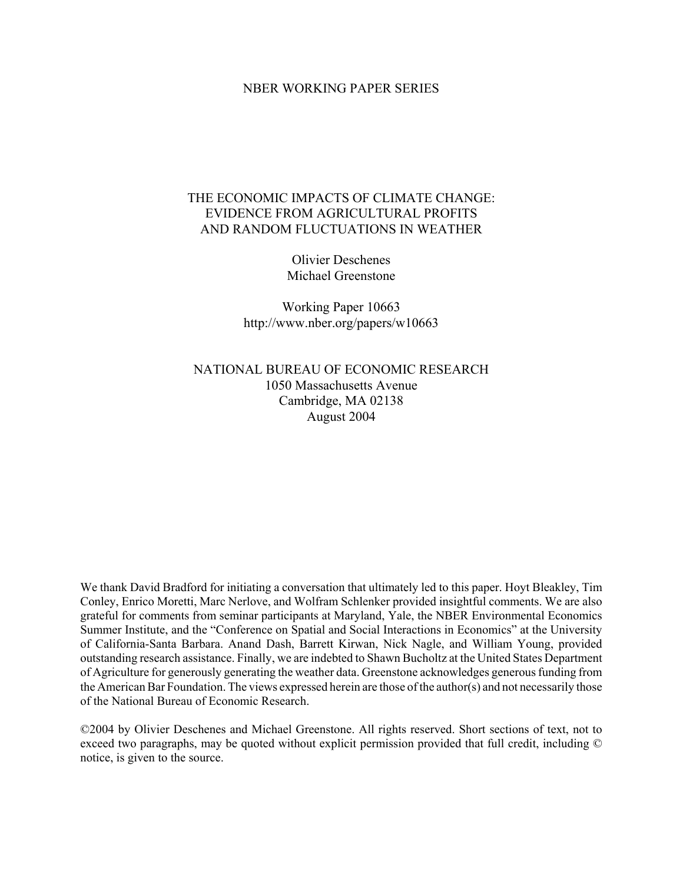# NBER WORKING PAPER SERIES

# THE ECONOMIC IMPACTS OF CLIMATE CHANGE: EVIDENCE FROM AGRICULTURAL PROFITS AND RANDOM FLUCTUATIONS IN WEATHER

Olivier Deschenes Michael Greenstone

Working Paper 10663 http://www.nber.org/papers/w10663

NATIONAL BUREAU OF ECONOMIC RESEARCH 1050 Massachusetts Avenue Cambridge, MA 02138 August 2004

We thank David Bradford for initiating a conversation that ultimately led to this paper. Hoyt Bleakley, Tim Conley, Enrico Moretti, Marc Nerlove, and Wolfram Schlenker provided insightful comments. We are also grateful for comments from seminar participants at Maryland, Yale, the NBER Environmental Economics Summer Institute, and the "Conference on Spatial and Social Interactions in Economics" at the University of California-Santa Barbara. Anand Dash, Barrett Kirwan, Nick Nagle, and William Young, provided outstanding research assistance. Finally, we are indebted to Shawn Bucholtz at the United States Department of Agriculture for generously generating the weather data. Greenstone acknowledges generous funding from the American Bar Foundation. The views expressed herein are those of the author(s) and not necessarily those of the National Bureau of Economic Research.

©2004 by Olivier Deschenes and Michael Greenstone. All rights reserved. Short sections of text, not to exceed two paragraphs, may be quoted without explicit permission provided that full credit, including © notice, is given to the source.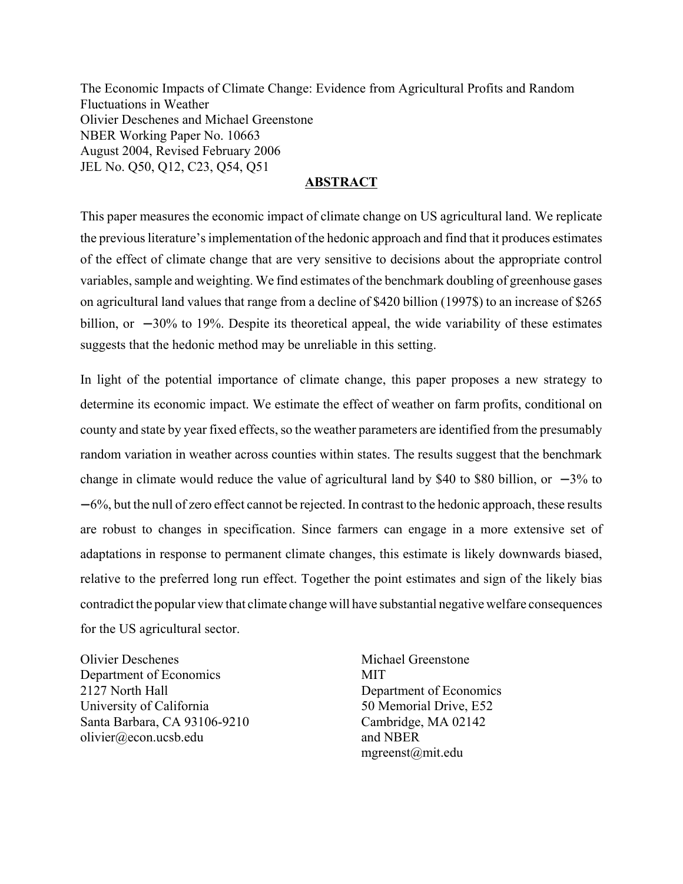The Economic Impacts of Climate Change: Evidence from Agricultural Profits and Random Fluctuations in Weather Olivier Deschenes and Michael Greenstone NBER Working Paper No. 10663 August 2004, Revised February 2006 JEL No. Q50, Q12, C23, Q54, Q51

# **ABSTRACT**

This paper measures the economic impact of climate change on US agricultural land. We replicate the previous literature's implementation of the hedonic approach and find that it produces estimates of the effect of climate change that are very sensitive to decisions about the appropriate control variables, sample and weighting. We find estimates of the benchmark doubling of greenhouse gases on agricultural land values that range from a decline of \$420 billion (1997\$) to an increase of \$265 billion, or  $-30\%$  to 19%. Despite its theoretical appeal, the wide variability of these estimates suggests that the hedonic method may be unreliable in this setting.

In light of the potential importance of climate change, this paper proposes a new strategy to determine its economic impact. We estimate the effect of weather on farm profits, conditional on county and state by year fixed effects, so the weather parameters are identified from the presumably random variation in weather across counties within states. The results suggest that the benchmark change in climate would reduce the value of agricultural land by \$40 to \$80 billion, or  $-3\%$  to  $-6\%$ , but the null of zero effect cannot be rejected. In contrast to the hedonic approach, these results are robust to changes in specification. Since farmers can engage in a more extensive set of adaptations in response to permanent climate changes, this estimate is likely downwards biased, relative to the preferred long run effect. Together the point estimates and sign of the likely bias contradict the popular view that climate change will have substantial negative welfare consequences for the US agricultural sector.

Olivier Deschenes Department of Economics 2127 North Hall University of California Santa Barbara, CA 93106-9210 olivier@econ.ucsb.edu

Michael Greenstone MIT Department of Economics 50 Memorial Drive, E52 Cambridge, MA 02142 and NBER mgreenst@mit.edu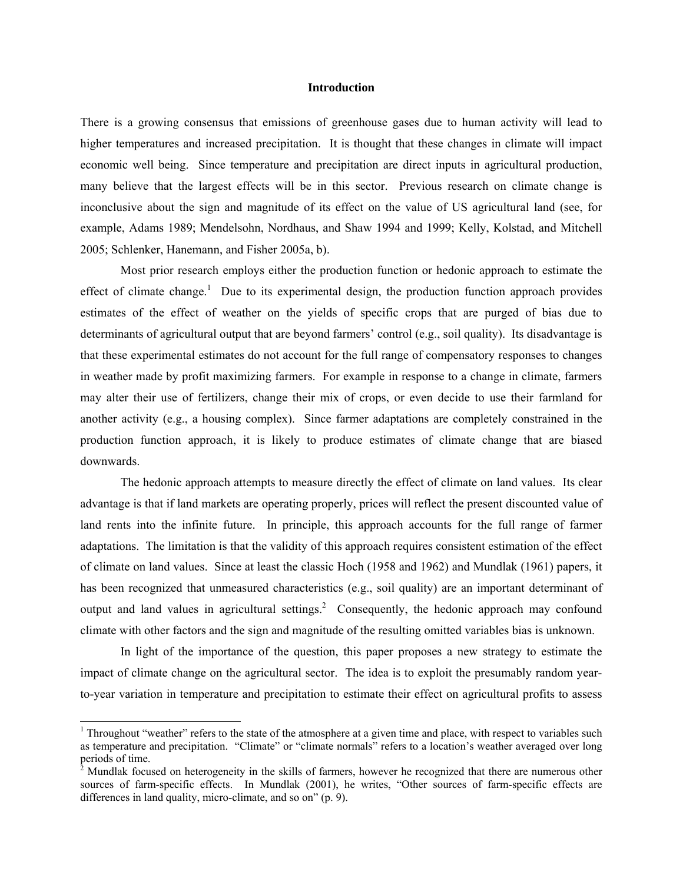#### **Introduction**

There is a growing consensus that emissions of greenhouse gases due to human activity will lead to higher temperatures and increased precipitation. It is thought that these changes in climate will impact economic well being. Since temperature and precipitation are direct inputs in agricultural production, many believe that the largest effects will be in this sector. Previous research on climate change is inconclusive about the sign and magnitude of its effect on the value of US agricultural land (see, for example, Adams 1989; Mendelsohn, Nordhaus, and Shaw 1994 and 1999; Kelly, Kolstad, and Mitchell 2005; Schlenker, Hanemann, and Fisher 2005a, b).

Most prior research employs either the production function or hedonic approach to estimate the effect of climate change.<sup>[1](#page-2-0)</sup> Due to its experimental design, the production function approach provides estimates of the effect of weather on the yields of specific crops that are purged of bias due to determinants of agricultural output that are beyond farmers' control (e.g., soil quality). Its disadvantage is that these experimental estimates do not account for the full range of compensatory responses to changes in weather made by profit maximizing farmers. For example in response to a change in climate, farmers may alter their use of fertilizers, change their mix of crops, or even decide to use their farmland for another activity (e.g., a housing complex). Since farmer adaptations are completely constrained in the production function approach, it is likely to produce estimates of climate change that are biased downwards.

The hedonic approach attempts to measure directly the effect of climate on land values. Its clear advantage is that if land markets are operating properly, prices will reflect the present discounted value of land rents into the infinite future. In principle, this approach accounts for the full range of farmer adaptations. The limitation is that the validity of this approach requires consistent estimation of the effect of climate on land values. Since at least the classic Hoch (1958 and 1962) and Mundlak (1961) papers, it has been recognized that unmeasured characteristics (e.g., soil quality) are an important determinant of output and land values in agricultural settings.<sup>[2](#page-2-1)</sup> Consequently, the hedonic approach may confound climate with other factors and the sign and magnitude of the resulting omitted variables bias is unknown.

In light of the importance of the question, this paper proposes a new strategy to estimate the impact of climate change on the agricultural sector. The idea is to exploit the presumably random yearto-year variation in temperature and precipitation to estimate their effect on agricultural profits to assess

l

<span id="page-2-0"></span><sup>&</sup>lt;sup>1</sup> Throughout "weather" refers to the state of the atmosphere at a given time and place, with respect to variables such as temperature and precipitation. "Climate" or "climate normals" refers to a location's weather averaged over long periods of time.<br><sup>2</sup> Mundlak focused on heterogeneity in the skills of farmers, however he recognized that there are numerous other

<span id="page-2-1"></span>sources of farm-specific effects. In Mundlak (2001), he writes, "Other sources of farm-specific effects are differences in land quality, micro-climate, and so on" (p. 9).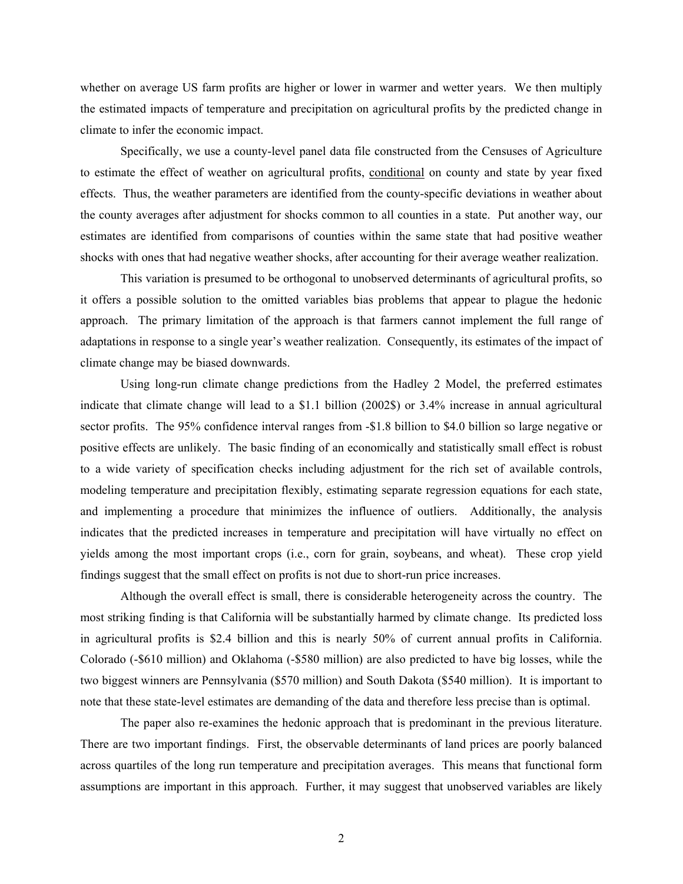whether on average US farm profits are higher or lower in warmer and wetter years. We then multiply the estimated impacts of temperature and precipitation on agricultural profits by the predicted change in climate to infer the economic impact.

Specifically, we use a county-level panel data file constructed from the Censuses of Agriculture to estimate the effect of weather on agricultural profits, conditional on county and state by year fixed effects. Thus, the weather parameters are identified from the county-specific deviations in weather about the county averages after adjustment for shocks common to all counties in a state. Put another way, our estimates are identified from comparisons of counties within the same state that had positive weather shocks with ones that had negative weather shocks, after accounting for their average weather realization.

This variation is presumed to be orthogonal to unobserved determinants of agricultural profits, so it offers a possible solution to the omitted variables bias problems that appear to plague the hedonic approach. The primary limitation of the approach is that farmers cannot implement the full range of adaptations in response to a single year's weather realization. Consequently, its estimates of the impact of climate change may be biased downwards.

Using long-run climate change predictions from the Hadley 2 Model, the preferred estimates indicate that climate change will lead to a \$1.1 billion (2002\$) or 3.4% increase in annual agricultural sector profits. The 95% confidence interval ranges from -\$1.8 billion to \$4.0 billion so large negative or positive effects are unlikely. The basic finding of an economically and statistically small effect is robust to a wide variety of specification checks including adjustment for the rich set of available controls, modeling temperature and precipitation flexibly, estimating separate regression equations for each state, and implementing a procedure that minimizes the influence of outliers. Additionally, the analysis indicates that the predicted increases in temperature and precipitation will have virtually no effect on yields among the most important crops (i.e., corn for grain, soybeans, and wheat). These crop yield findings suggest that the small effect on profits is not due to short-run price increases.

Although the overall effect is small, there is considerable heterogeneity across the country. The most striking finding is that California will be substantially harmed by climate change. Its predicted loss in agricultural profits is \$2.4 billion and this is nearly 50% of current annual profits in California. Colorado (-\$610 million) and Oklahoma (-\$580 million) are also predicted to have big losses, while the two biggest winners are Pennsylvania (\$570 million) and South Dakota (\$540 million). It is important to note that these state-level estimates are demanding of the data and therefore less precise than is optimal.

The paper also re-examines the hedonic approach that is predominant in the previous literature. There are two important findings. First, the observable determinants of land prices are poorly balanced across quartiles of the long run temperature and precipitation averages. This means that functional form assumptions are important in this approach. Further, it may suggest that unobserved variables are likely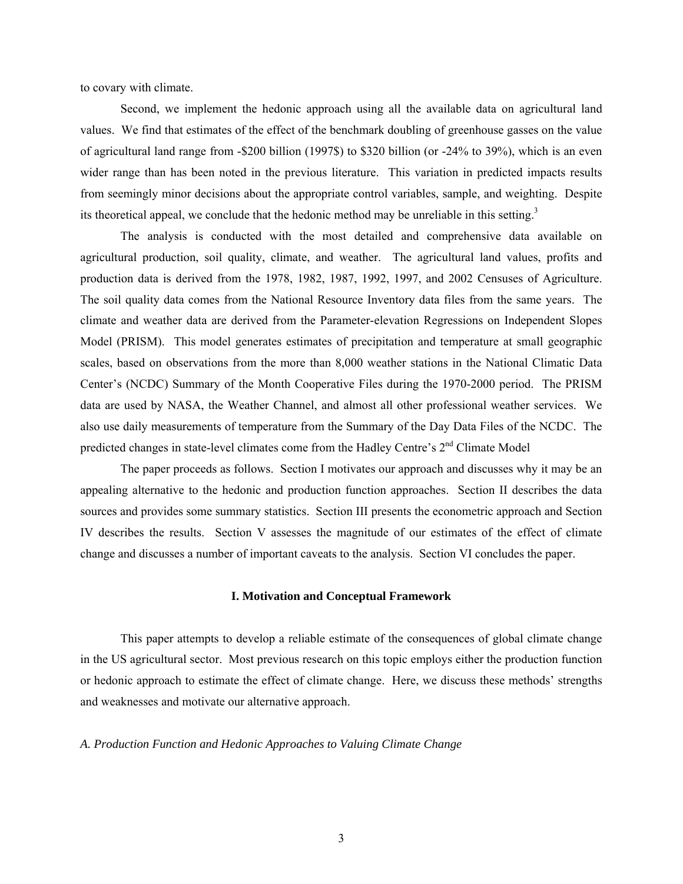to covary with climate.

Second, we implement the hedonic approach using all the available data on agricultural land values. We find that estimates of the effect of the benchmark doubling of greenhouse gasses on the value of agricultural land range from -\$200 billion (1997\$) to \$320 billion (or -24% to 39%), which is an even wider range than has been noted in the previous literature. This variation in predicted impacts results from seemingly minor decisions about the appropriate control variables, sample, and weighting. Despite its theoretical appeal, we conclude that the hedonic method may be unreliable in this setting.<sup>3</sup>

The analysis is conducted with the most detailed and comprehensive data available on agricultural production, soil quality, climate, and weather. The agricultural land values, profits and production data is derived from the 1978, 1982, 1987, 1992, 1997, and 2002 Censuses of Agriculture. The soil quality data comes from the National Resource Inventory data files from the same years. The climate and weather data are derived from the Parameter-elevation Regressions on Independent Slopes Model (PRISM). This model generates estimates of precipitation and temperature at small geographic scales, based on observations from the more than 8,000 weather stations in the National Climatic Data Center's (NCDC) Summary of the Month Cooperative Files during the 1970-2000 period. The PRISM data are used by NASA, the Weather Channel, and almost all other professional weather services. We also use daily measurements of temperature from the Summary of the Day Data Files of the NCDC. The predicted changes in state-level climates come from the Hadley Centre's  $2<sup>nd</sup>$  Climate Model

The paper proceeds as follows. Section I motivates our approach and discusses why it may be an appealing alternative to the hedonic and production function approaches. Section II describes the data sources and provides some summary statistics. Section III presents the econometric approach and Section IV describes the results. Section V assesses the magnitude of our estimates of the effect of climate change and discusses a number of important caveats to the analysis. Section VI concludes the paper.

## **I. Motivation and Conceptual Framework**

This paper attempts to develop a reliable estimate of the consequences of global climate change in the US agricultural sector. Most previous research on this topic employs either the production function or hedonic approach to estimate the effect of climate change. Here, we discuss these methods' strengths and weaknesses and motivate our alternative approach.

### <span id="page-4-0"></span>*A. Production Function and Hedonic Approaches to Valuing Climate Change*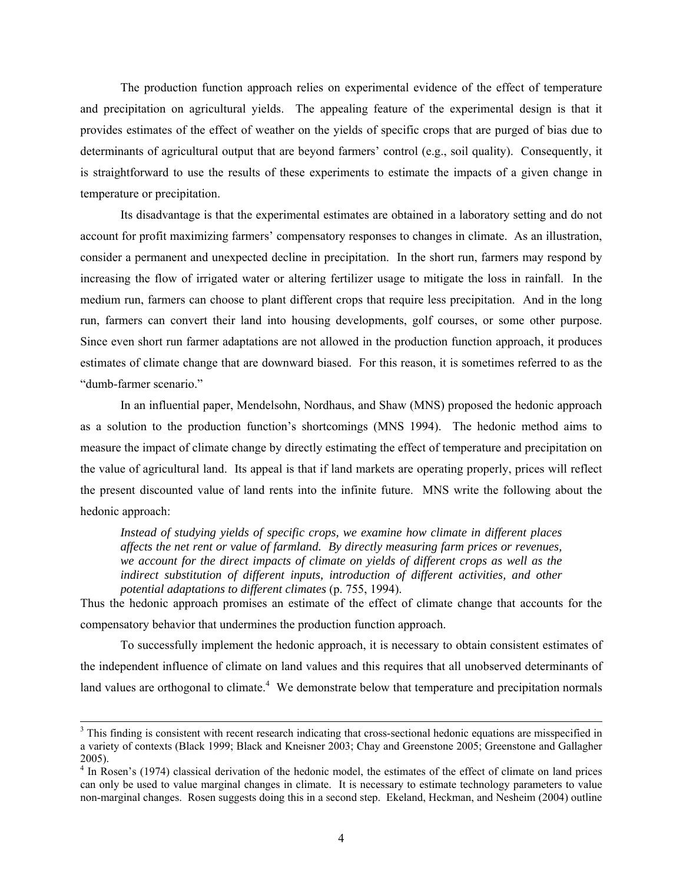The production function approach relies on experimental evidence of the effect of temperature and precipitation on agricultural yields. The appealing feature of the experimental design is that it provides estimates of the effect of weather on the yields of specific crops that are purged of bias due to determinants of agricultural output that are beyond farmers' control (e.g., soil quality). Consequently, it is straightforward to use the results of these experiments to estimate the impacts of a given change in temperature or precipitation.

Its disadvantage is that the experimental estimates are obtained in a laboratory setting and do not account for profit maximizing farmers' compensatory responses to changes in climate. As an illustration, consider a permanent and unexpected decline in precipitation. In the short run, farmers may respond by increasing the flow of irrigated water or altering fertilizer usage to mitigate the loss in rainfall. In the medium run, farmers can choose to plant different crops that require less precipitation. And in the long run, farmers can convert their land into housing developments, golf courses, or some other purpose. Since even short run farmer adaptations are not allowed in the production function approach, it produces estimates of climate change that are downward biased. For this reason, it is sometimes referred to as the "dumb-farmer scenario."

In an influential paper, Mendelsohn, Nordhaus, and Shaw (MNS) proposed the hedonic approach as a solution to the production function's shortcomings (MNS 1994). The hedonic method aims to measure the impact of climate change by directly estimating the effect of temperature and precipitation on the value of agricultural land. Its appeal is that if land markets are operating properly, prices will reflect the present discounted value of land rents into the infinite future. MNS write the following about the hedonic approach:

*Instead of studying yields of specific crops, we examine how climate in different places affects the net rent or value of farmland. By directly measuring farm prices or revenues, we account for the direct impacts of climate on yields of different crops as well as the indirect substitution of different inputs, introduction of different activities, and other potential adaptations to different climates* (p. 755, 1994).

Thus the hedonic approach promises an estimate of the effect of climate change that accounts for the compensatory behavior that undermines the production function approach.

To successfully implement the hedonic approach, it is necessary to obtain consistent estimates of the independent influence of climate on land values and this requires that all unobserved determinants of land values are orthogonal to climate.<sup>[4](#page-5-0)</sup> We demonstrate below that temperature and precipitation normals

 <sup>3</sup> <sup>3</sup> This finding is consistent with recent research indicating that cross-sectional hedonic equations are misspecified in a variety of contexts (Black 1999; Black and Kneisner 2003; Chay and Greenstone 2005; Greenstone and Gallagher 2005).<br><sup>4</sup> In Rosen's (1974) classical derivation of the hedonic model, the estimates of the effect of climate on land prices

<span id="page-5-0"></span>can only be used to value marginal changes in climate. It is necessary to estimate technology parameters to value non-marginal changes. Rosen suggests doing this in a second step. Ekeland, Heckman, and Nesheim (2004) outline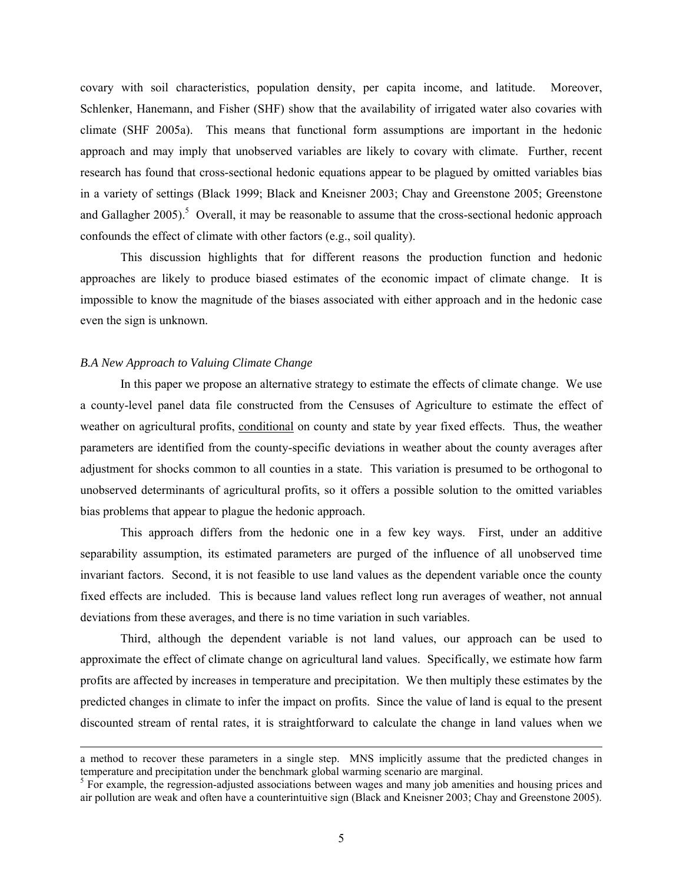covary with soil characteristics, population density, per capita income, and latitude. Moreover, Schlenker, Hanemann, and Fisher (SHF) show that the availability of irrigated water also covaries with climate (SHF 2005a). This means that functional form assumptions are important in the hedonic approach and may imply that unobserved variables are likely to covary with climate. Further, recent research has found that cross-sectional hedonic equations appear to be plagued by omitted variables bias in a variety of settings (Black 1999; Black and Kneisner 2003; Chay and Greenstone 2005; Greenstone and Gallagher 2005).<sup>5</sup> Overall, it may be reasonable to assume that the cross-sectional hedonic approach confounds the effect of climate with other factors (e.g., soil quality).

This discussion highlights that for different reasons the production function and hedonic approaches are likely to produce biased estimates of the economic impact of climate change. It is impossible to know the magnitude of the biases associated with either approach and in the hedonic case even the sign is unknown.

### *B.A New Approach to Valuing Climate Change*

 $\overline{a}$ 

In this paper we propose an alternative strategy to estimate the effects of climate change. We use a county-level panel data file constructed from the Censuses of Agriculture to estimate the effect of weather on agricultural profits, conditional on county and state by year fixed effects. Thus, the weather parameters are identified from the county-specific deviations in weather about the county averages after adjustment for shocks common to all counties in a state. This variation is presumed to be orthogonal to unobserved determinants of agricultural profits, so it offers a possible solution to the omitted variables bias problems that appear to plague the hedonic approach.

This approach differs from the hedonic one in a few key ways. First, under an additive separability assumption, its estimated parameters are purged of the influence of all unobserved time invariant factors. Second, it is not feasible to use land values as the dependent variable once the county fixed effects are included. This is because land values reflect long run averages of weather, not annual deviations from these averages, and there is no time variation in such variables.

Third, although the dependent variable is not land values, our approach can be used to approximate the effect of climate change on agricultural land values. Specifically, we estimate how farm profits are affected by increases in temperature and precipitation. We then multiply these estimates by the predicted changes in climate to infer the impact on profits. Since the value of land is equal to the present discounted stream of rental rates, it is straightforward to calculate the change in land values when we

a method to recover these parameters in a single step. MNS implicitly assume that the predicted changes in temperature and precipitation under the benchmark global warming scenario are marginal.

<span id="page-6-0"></span><sup>&</sup>lt;sup>5</sup> For example, the regression-adjusted associations between wages and many job amenities and housing prices and air pollution are weak and often have a counterintuitive sign (Black and Kneisner 2003; Chay and Greenstone 2005).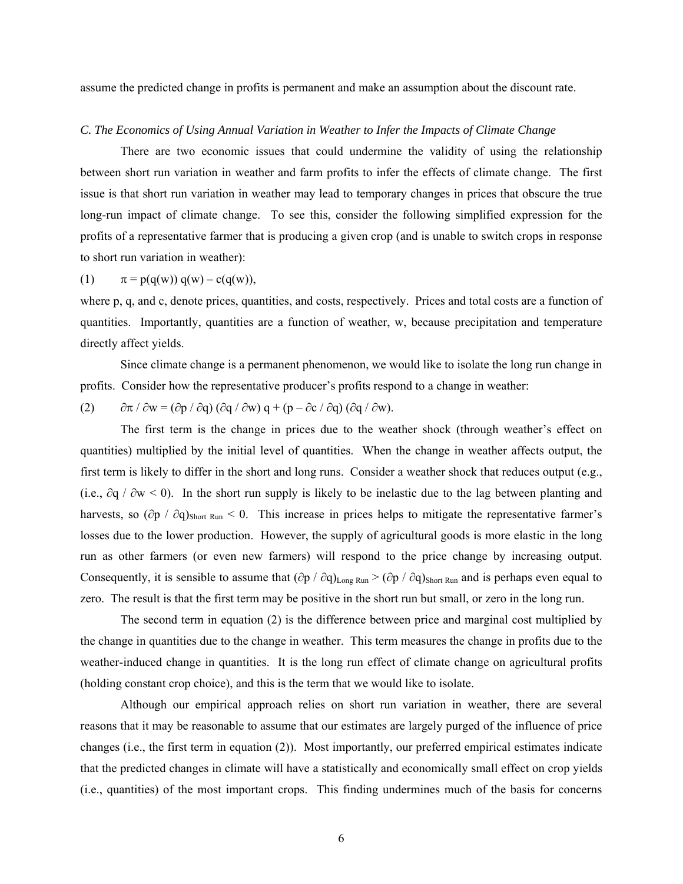assume the predicted change in profits is permanent and make an assumption about the discount rate.

### *C. The Economics of Using Annual Variation in Weather to Infer the Impacts of Climate Change*

There are two economic issues that could undermine the validity of using the relationship between short run variation in weather and farm profits to infer the effects of climate change. The first issue is that short run variation in weather may lead to temporary changes in prices that obscure the true long-run impact of climate change. To see this, consider the following simplified expression for the profits of a representative farmer that is producing a given crop (and is unable to switch crops in response to short run variation in weather):

### (1)  $\pi = p(q(w)) q(w) - c(q(w)),$

where p, q, and c, denote prices, quantities, and costs, respectively. Prices and total costs are a function of quantities. Importantly, quantities are a function of weather, w, because precipitation and temperature directly affect yields.

Since climate change is a permanent phenomenon, we would like to isolate the long run change in profits. Consider how the representative producer's profits respond to a change in weather:

# (2)  $\partial \pi / \partial w = (\partial p / \partial q) (\partial q / \partial w) q + (p - \partial c / \partial q) (\partial q / \partial w).$

The first term is the change in prices due to the weather shock (through weather's effect on quantities) multiplied by the initial level of quantities. When the change in weather affects output, the first term is likely to differ in the short and long runs. Consider a weather shock that reduces output (e.g., (i.e., ∂q / ∂w < 0). In the short run supply is likely to be inelastic due to the lag between planting and harvests, so  $(\partial p / \partial q)_{\text{Short Run}} < 0$ . This increase in prices helps to mitigate the representative farmer's losses due to the lower production. However, the supply of agricultural goods is more elastic in the long run as other farmers (or even new farmers) will respond to the price change by increasing output. Consequently, it is sensible to assume that  $(\partial p / \partial q)_{\text{Long Run}} > (\partial p / \partial q)_{\text{Short Run}}$  and is perhaps even equal to zero. The result is that the first term may be positive in the short run but small, or zero in the long run.

The second term in equation (2) is the difference between price and marginal cost multiplied by the change in quantities due to the change in weather. This term measures the change in profits due to the weather-induced change in quantities. It is the long run effect of climate change on agricultural profits (holding constant crop choice), and this is the term that we would like to isolate.

Although our empirical approach relies on short run variation in weather, there are several reasons that it may be reasonable to assume that our estimates are largely purged of the influence of price changes (i.e., the first term in equation (2)). Most importantly, our preferred empirical estimates indicate that the predicted changes in climate will have a statistically and economically small effect on crop yields (i.e., quantities) of the most important crops. This finding undermines much of the basis for concerns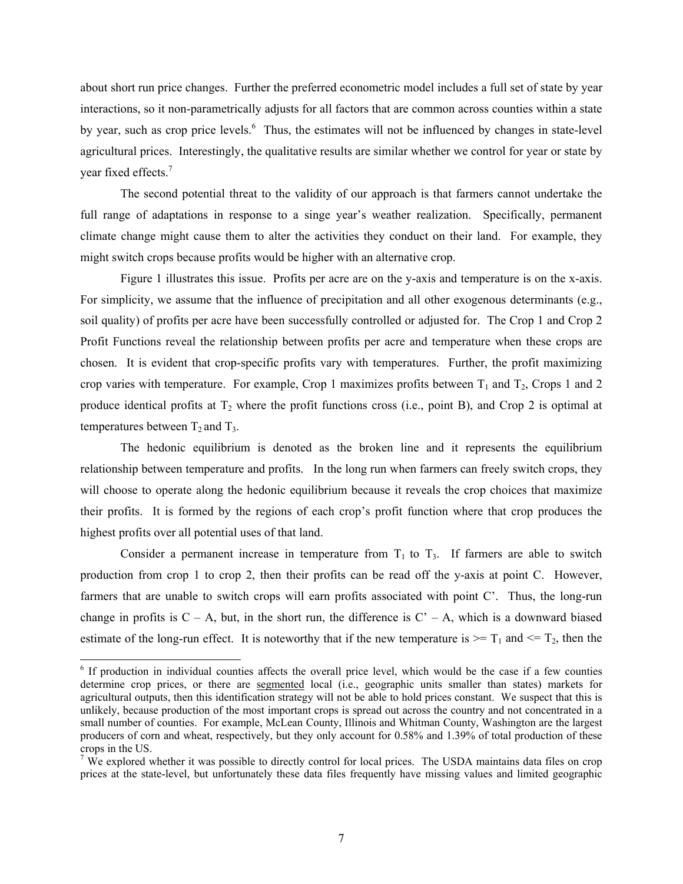about short run price changes. Further the preferred econometric model includes a full set of state by year interactions, so it non-parametrically adjusts for all factors that are common across counties within a state by year, such as crop price levels.<sup>[6](#page-8-0)</sup> Thus, the estimates will not be influenced by changes in state-level agricultural prices. Interestingly, the qualitative results are similar whether we control for year or state by yearfixed effects.<sup>7</sup>

The second potential threat to the validity of our approach is that farmers cannot undertake the full range of adaptations in response to a singe year's weather realization. Specifically, permanent climate change might cause them to alter the activities they conduct on their land. For example, they might switch crops because profits would be higher with an alternative crop.

Figure 1 illustrates this issue. Profits per acre are on the y-axis and temperature is on the x-axis. For simplicity, we assume that the influence of precipitation and all other exogenous determinants (e.g., soil quality) of profits per acre have been successfully controlled or adjusted for. The Crop 1 and Crop 2 Profit Functions reveal the relationship between profits per acre and temperature when these crops are chosen. It is evident that crop-specific profits vary with temperatures. Further, the profit maximizing crop varies with temperature. For example, Crop 1 maximizes profits between  $T_1$  and  $T_2$ , Crops 1 and 2 produce identical profits at  $T_2$  where the profit functions cross (i.e., point B), and Crop 2 is optimal at temperatures between  $T_2$  and  $T_3$ .

The hedonic equilibrium is denoted as the broken line and it represents the equilibrium relationship between temperature and profits. In the long run when farmers can freely switch crops, they will choose to operate along the hedonic equilibrium because it reveals the crop choices that maximize their profits. It is formed by the regions of each crop's profit function where that crop produces the highest profits over all potential uses of that land.

Consider a permanent increase in temperature from  $T_1$  to  $T_3$ . If farmers are able to switch production from crop 1 to crop 2, then their profits can be read off the y-axis at point C. However, farmers that are unable to switch crops will earn profits associated with point C'. Thus, the long-run change in profits is  $C - A$ , but, in the short run, the difference is  $C' - A$ , which is a downward biased estimate of the long-run effect. It is noteworthy that if the new temperature is  $>= T_1$  and  $<= T_2$ , then the

<span id="page-8-0"></span> <sup>6</sup> <sup>6</sup> If production in individual counties affects the overall price level, which would be the case if a few counties determine crop prices, or there are segmented local (i.e., geographic units smaller than states) markets for agricultural outputs, then this identification strategy will not be able to hold prices constant. We suspect that this is unlikely, because production of the most important crops is spread out across the country and not concentrated in a small number of counties. For example, McLean County, Illinois and Whitman County, Washington are the largest producers of corn and wheat, respectively, but they only account for 0.58% and 1.39% of total production of these

<span id="page-8-1"></span>crops in the US.  $\frac{7}{1}$  We explored whether it was possible to directly control for local prices. The USDA maintains data files on crop prices at the state-level, but unfortunately these data files frequently have missing values and limited geographic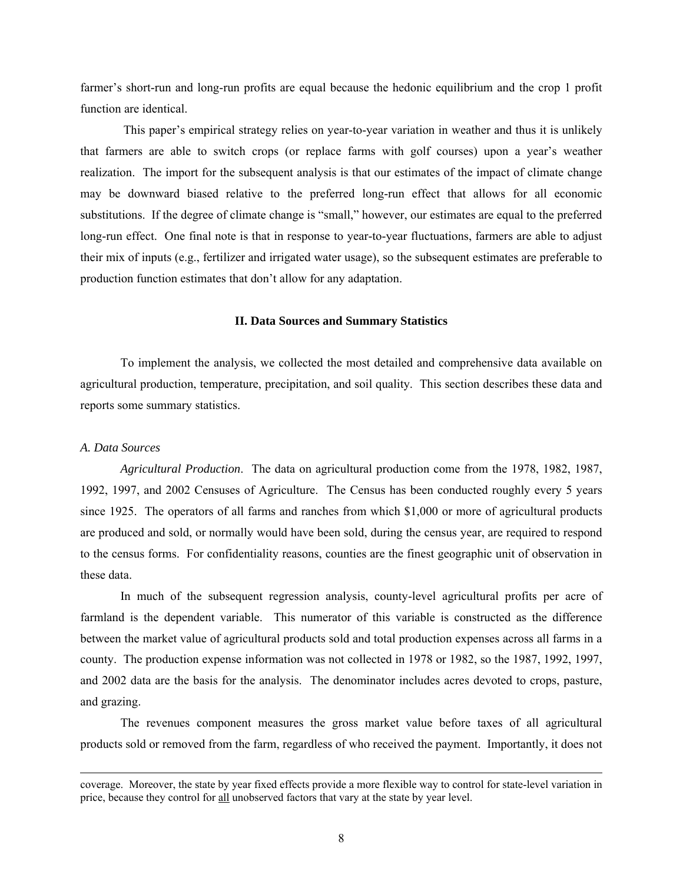farmer's short-run and long-run profits are equal because the hedonic equilibrium and the crop 1 profit function are identical.

This paper's empirical strategy relies on year-to-year variation in weather and thus it is unlikely that farmers are able to switch crops (or replace farms with golf courses) upon a year's weather realization. The import for the subsequent analysis is that our estimates of the impact of climate change may be downward biased relative to the preferred long-run effect that allows for all economic substitutions. If the degree of climate change is "small," however, our estimates are equal to the preferred long-run effect. One final note is that in response to year-to-year fluctuations, farmers are able to adjust their mix of inputs (e.g., fertilizer and irrigated water usage), so the subsequent estimates are preferable to production function estimates that don't allow for any adaptation.

#### **II. Data Sources and Summary Statistics**

To implement the analysis, we collected the most detailed and comprehensive data available on agricultural production, temperature, precipitation, and soil quality. This section describes these data and reports some summary statistics.

### *A. Data Sources*

 $\overline{a}$ 

*Agricultural Production*. The data on agricultural production come from the 1978, 1982, 1987, 1992, 1997, and 2002 Censuses of Agriculture. The Census has been conducted roughly every 5 years since 1925. The operators of all farms and ranches from which \$1,000 or more of agricultural products are produced and sold, or normally would have been sold, during the census year, are required to respond to the census forms. For confidentiality reasons, counties are the finest geographic unit of observation in these data.

In much of the subsequent regression analysis, county-level agricultural profits per acre of farmland is the dependent variable. This numerator of this variable is constructed as the difference between the market value of agricultural products sold and total production expenses across all farms in a county. The production expense information was not collected in 1978 or 1982, so the 1987, 1992, 1997, and 2002 data are the basis for the analysis. The denominator includes acres devoted to crops, pasture, and grazing.

The revenues component measures the gross market value before taxes of all agricultural products sold or removed from the farm, regardless of who received the payment. Importantly, it does not

coverage. Moreover, the state by year fixed effects provide a more flexible way to control for state-level variation in price, because they control for all unobserved factors that vary at the state by year level.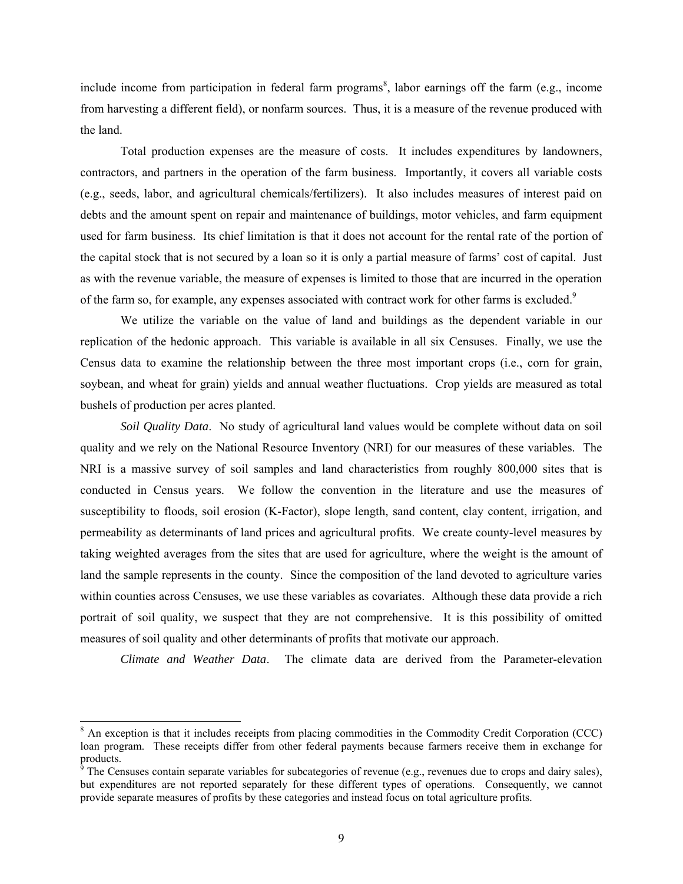include income from participation in federal farm programs<sup>[8](#page-10-0)</sup>, labor earnings off the farm (e.g., income from harvesting a different field), or nonfarm sources. Thus, it is a measure of the revenue produced with the land.

Total production expenses are the measure of costs. It includes expenditures by landowners, contractors, and partners in the operation of the farm business. Importantly, it covers all variable costs (e.g., seeds, labor, and agricultural chemicals/fertilizers). It also includes measures of interest paid on debts and the amount spent on repair and maintenance of buildings, motor vehicles, and farm equipment used for farm business. Its chief limitation is that it does not account for the rental rate of the portion of the capital stock that is not secured by a loan so it is only a partial measure of farms' cost of capital. Just as with the revenue variable, the measure of expenses is limited to those that are incurred in the operation of the farm so, for example, any expenses associated with contract work for other farms is excluded.<sup>[9](#page-10-1)</sup>

We utilize the variable on the value of land and buildings as the dependent variable in our replication of the hedonic approach. This variable is available in all six Censuses. Finally, we use the Census data to examine the relationship between the three most important crops (i.e., corn for grain, soybean, and wheat for grain) yields and annual weather fluctuations. Crop yields are measured as total bushels of production per acres planted.

*Soil Quality Data*. No study of agricultural land values would be complete without data on soil quality and we rely on the National Resource Inventory (NRI) for our measures of these variables. The NRI is a massive survey of soil samples and land characteristics from roughly 800,000 sites that is conducted in Census years. We follow the convention in the literature and use the measures of susceptibility to floods, soil erosion (K-Factor), slope length, sand content, clay content, irrigation, and permeability as determinants of land prices and agricultural profits. We create county-level measures by taking weighted averages from the sites that are used for agriculture, where the weight is the amount of land the sample represents in the county. Since the composition of the land devoted to agriculture varies within counties across Censuses, we use these variables as covariates. Although these data provide a rich portrait of soil quality, we suspect that they are not comprehensive. It is this possibility of omitted measures of soil quality and other determinants of profits that motivate our approach.

*Climate and Weather Data*. The climate data are derived from the Parameter-elevation

<span id="page-10-0"></span> <sup>8</sup> <sup>8</sup> An exception is that it includes receipts from placing commodities in the Commodity Credit Corporation (CCC) loan program. These receipts differ from other federal payments because farmers receive them in exchange for products.<br><sup>9</sup> The Censuses contain separate variables for subcategories of revenue (e.g., revenues due to crops and dairy sales),

<span id="page-10-1"></span>but expenditures are not reported separately for these different types of operations. Consequently, we cannot provide separate measures of profits by these categories and instead focus on total agriculture profits.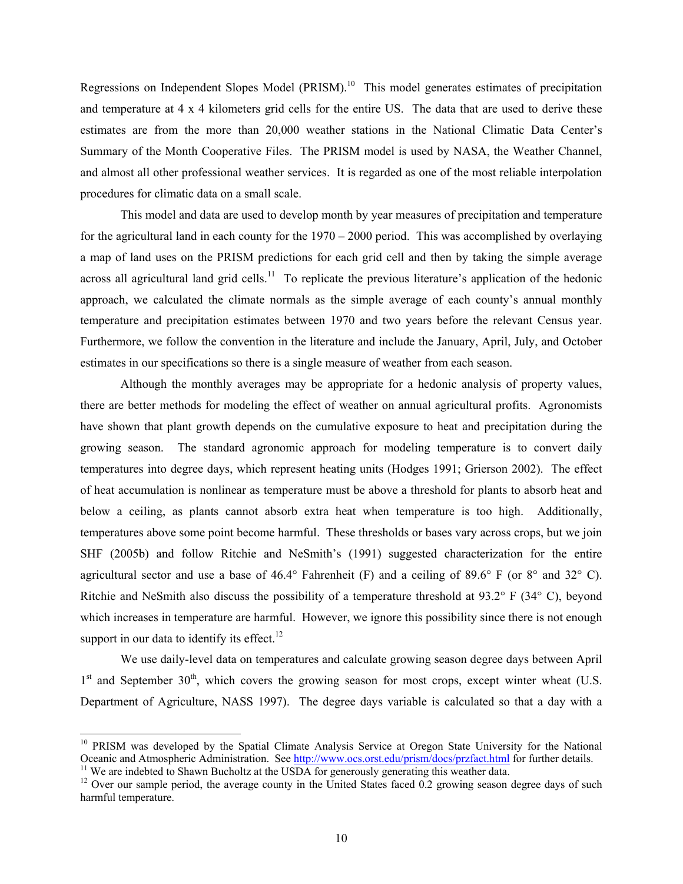Regressions on Independent Slopes Model (PRISM).<sup>10</sup> This model generates estimates of precipitation and temperature at 4 x 4 kilometers grid cells for the entire US. The data that are used to derive these estimates are from the more than 20,000 weather stations in the National Climatic Data Center's Summary of the Month Cooperative Files. The PRISM model is used by NASA, the Weather Channel, and almost all other professional weather services. It is regarded as one of the most reliable interpolation procedures for climatic data on a small scale.

This model and data are used to develop month by year measures of precipitation and temperature for the agricultural land in each county for the  $1970 - 2000$  period. This was accomplished by overlaying a map of land uses on the PRISM predictions for each grid cell and then by taking the simple average across all agricultural land grid cells.<sup>11</sup> To replicate the previous literature's application of the hedonic approach, we calculated the climate normals as the simple average of each county's annual monthly temperature and precipitation estimates between 1970 and two years before the relevant Census year. Furthermore, we follow the convention in the literature and include the January, April, July, and October estimates in our specifications so there is a single measure of weather from each season.

Although the monthly averages may be appropriate for a hedonic analysis of property values, there are better methods for modeling the effect of weather on annual agricultural profits. Agronomists have shown that plant growth depends on the cumulative exposure to heat and precipitation during the growing season. The standard agronomic approach for modeling temperature is to convert daily temperatures into degree days, which represent heating units (Hodges 1991; Grierson 2002). The effect of heat accumulation is nonlinear as temperature must be above a threshold for plants to absorb heat and below a ceiling, as plants cannot absorb extra heat when temperature is too high. Additionally, temperatures above some point become harmful. These thresholds or bases vary across crops, but we join SHF (2005b) and follow Ritchie and NeSmith's (1991) suggested characterization for the entire agricultural sector and use a base of 46.4° Fahrenheit (F) and a ceiling of 89.6° F (or 8° and 32° C). Ritchie and NeSmith also discuss the possibility of a temperature threshold at 93.2° F (34° C), beyond which increases in temperature are harmful. However, we ignore this possibility since there is not enough support in our data to identify its effect. $12$ 

We use daily-level data on temperatures and calculate growing season degree days between April  $1<sup>st</sup>$  and September 30<sup>th</sup>, which covers the growing season for most crops, except winter wheat (U.S. Department of Agriculture, NASS 1997). The degree days variable is calculated so that a day with a

<span id="page-11-0"></span><sup>&</sup>lt;sup>10</sup> PRISM was developed by the Spatial Climate Analysis Service at Oregon State University for the National Oceanic and Atmospheric Administration. See  $\frac{http://www.ocs.orst.edu/prism/docs/przfact.html}{http://www.ocs.orst.edu/prism/docs/przfact.html}$  for further details.

<span id="page-11-2"></span>

<span id="page-11-1"></span><sup>&</sup>lt;sup>11</sup> We are indebted to Shawn Bucholtz at the USDA for generously generating this weather data.<br><sup>12</sup> Over our sample period, the average county in the United States faced 0.2 growing season degree days of such harmful temperature.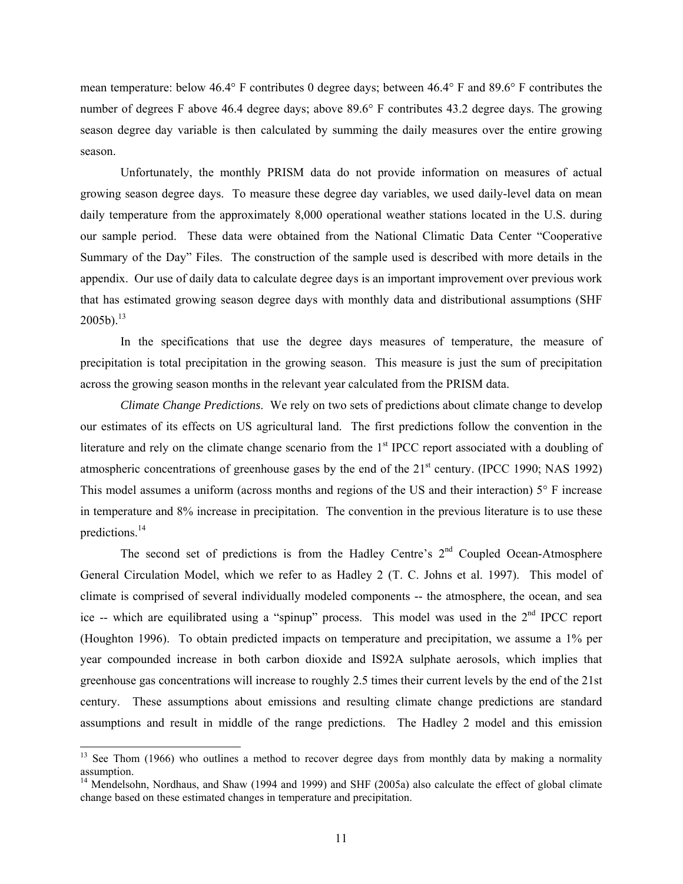mean temperature: below 46.4° F contributes 0 degree days; between 46.4° F and 89.6° F contributes the number of degrees F above 46.4 degree days; above 89.6° F contributes 43.2 degree days. The growing season degree day variable is then calculated by summing the daily measures over the entire growing season.

Unfortunately, the monthly PRISM data do not provide information on measures of actual growing season degree days. To measure these degree day variables, we used daily-level data on mean daily temperature from the approximately 8,000 operational weather stations located in the U.S. during our sample period. These data were obtained from the National Climatic Data Center "Cooperative Summary of the Day" Files. The construction of the sample used is described with more details in the appendix. Our use of daily data to calculate degree days is an important improvement over previous work that has estimated growing season degree days with monthly data and distributional assumptions (SHF  $2005b$ ).<sup>13</sup>

In the specifications that use the degree days measures of temperature, the measure of precipitation is total precipitation in the growing season. This measure is just the sum of precipitation across the growing season months in the relevant year calculated from the PRISM data.

*Climate Change Predictions*. We rely on two sets of predictions about climate change to develop our estimates of its effects on US agricultural land. The first predictions follow the convention in the literature and rely on the climate change scenario from the 1<sup>st</sup> IPCC report associated with a doubling of atmospheric concentrations of greenhouse gases by the end of the  $21<sup>st</sup>$  century. (IPCC 1990; NAS 1992) This model assumes a uniform (across months and regions of the US and their interaction) 5° F increase in temperature and 8% increase in precipitation. The convention in the previous literature is to use these predictions.[14](#page-12-1)

The second set of predictions is from the Hadley Centre's 2<sup>nd</sup> Coupled Ocean-Atmosphere General Circulation Model, which we refer to as Hadley 2 (T. C. Johns et al. 1997). This model of climate is comprised of several individually modeled components -- the atmosphere, the ocean, and sea ice -- which are equilibrated using a "spinup" process. This model was used in the  $2<sup>nd</sup>$  IPCC report (Houghton 1996). To obtain predicted impacts on temperature and precipitation, we assume a 1% per year compounded increase in both carbon dioxide and IS92A sulphate aerosols, which implies that greenhouse gas concentrations will increase to roughly 2.5 times their current levels by the end of the 21st century. These assumptions about emissions and resulting climate change predictions are standard assumptions and result in middle of the range predictions. The Hadley 2 model and this emission

<span id="page-12-0"></span> $13$  See Thom (1966) who outlines a method to recover degree days from monthly data by making a normality assumption.

<span id="page-12-1"></span> $14$  Mendelsohn, Nordhaus, and Shaw (1994 and 1999) and SHF (2005a) also calculate the effect of global climate change based on these estimated changes in temperature and precipitation.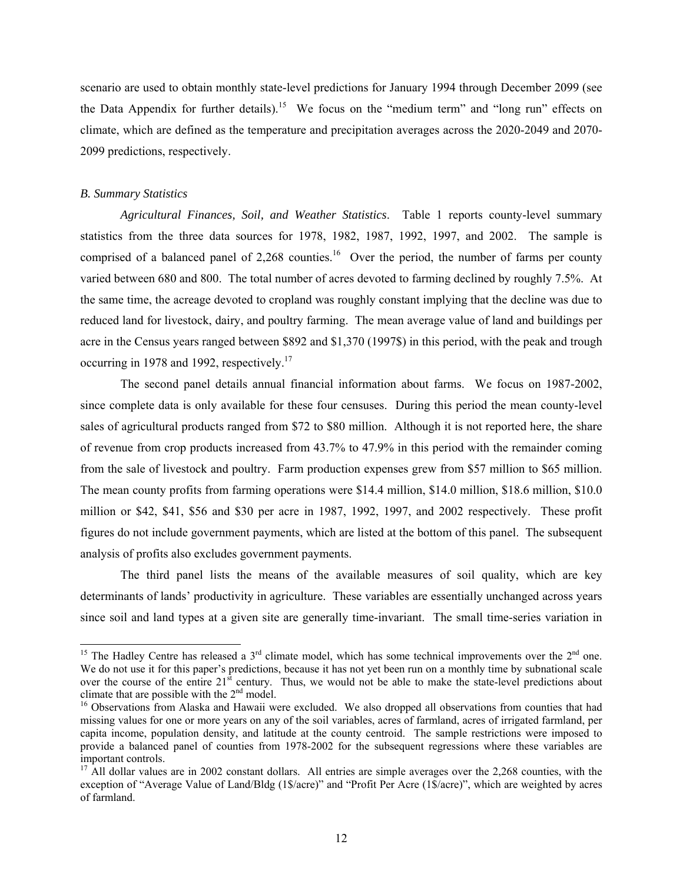scenario are used to obtain monthly state-level predictions for January 1994 through December 2099 (see the Data Appendix for further details).<sup>15</sup> We focus on the "medium term" and "long run" effects on climate, which are defined as the temperature and precipitation averages across the 2020-2049 and 2070- 2099 predictions, respectively.

#### *B. Summary Statistics*

*Agricultural Finances, Soil, and Weather Statistics*. Table 1 reports county-level summary statistics from the three data sources for 1978, 1982, 1987, 1992, 1997, and 2002. The sample is comprised of a balanced panel of  $2,268$  counties.<sup>16</sup> Over the period, the number of farms per county varied between 680 and 800. The total number of acres devoted to farming declined by roughly 7.5%. At the same time, the acreage devoted to cropland was roughly constant implying that the decline was due to reduced land for livestock, dairy, and poultry farming. The mean average value of land and buildings per acre in the Census years ranged between \$892 and \$1,370 (1997\$) in this period, with the peak and trough occurring in 1978 and 1992, respectively.<sup>17</sup>

The second panel details annual financial information about farms. We focus on 1987-2002, since complete data is only available for these four censuses. During this period the mean county-level sales of agricultural products ranged from \$72 to \$80 million. Although it is not reported here, the share of revenue from crop products increased from 43.7% to 47.9% in this period with the remainder coming from the sale of livestock and poultry. Farm production expenses grew from \$57 million to \$65 million. The mean county profits from farming operations were \$14.4 million, \$14.0 million, \$18.6 million, \$10.0 million or \$42, \$41, \$56 and \$30 per acre in 1987, 1992, 1997, and 2002 respectively. These profit figures do not include government payments, which are listed at the bottom of this panel. The subsequent analysis of profits also excludes government payments.

The third panel lists the means of the available measures of soil quality, which are key determinants of lands' productivity in agriculture. These variables are essentially unchanged across years since soil and land types at a given site are generally time-invariant. The small time-series variation in

<span id="page-13-0"></span><sup>&</sup>lt;sup>15</sup> The Hadley Centre has released a  $3<sup>rd</sup>$  climate model, which has some technical improvements over the  $2<sup>nd</sup>$  one. We do not use it for this paper's predictions, because it has not yet been run on a monthly time by subnational scale over the course of the entire  $21^{\text{st}}$  century. Thus, we would not be able to make the state-level predictions about climate that are possible with the  $2^{\text{nd}}$  model.

<span id="page-13-1"></span><sup>&</sup>lt;sup>16</sup> Observations from Alaska and Hawaii were excluded. We also dropped all observations from counties that had missing values for one or more years on any of the soil variables, acres of farmland, acres of irrigated farmland, per capita income, population density, and latitude at the county centroid. The sample restrictions were imposed to provide a balanced panel of counties from 1978-2002 for the subsequent regressions where these variables are important controls. 17 All dollar values are in 2002 constant dollars. All entries are simple averages over the 2,268 counties, with the

<span id="page-13-2"></span>exception of "Average Value of Land/Bldg (1\$/acre)" and "Profit Per Acre (1\$/acre)", which are weighted by acres of farmland.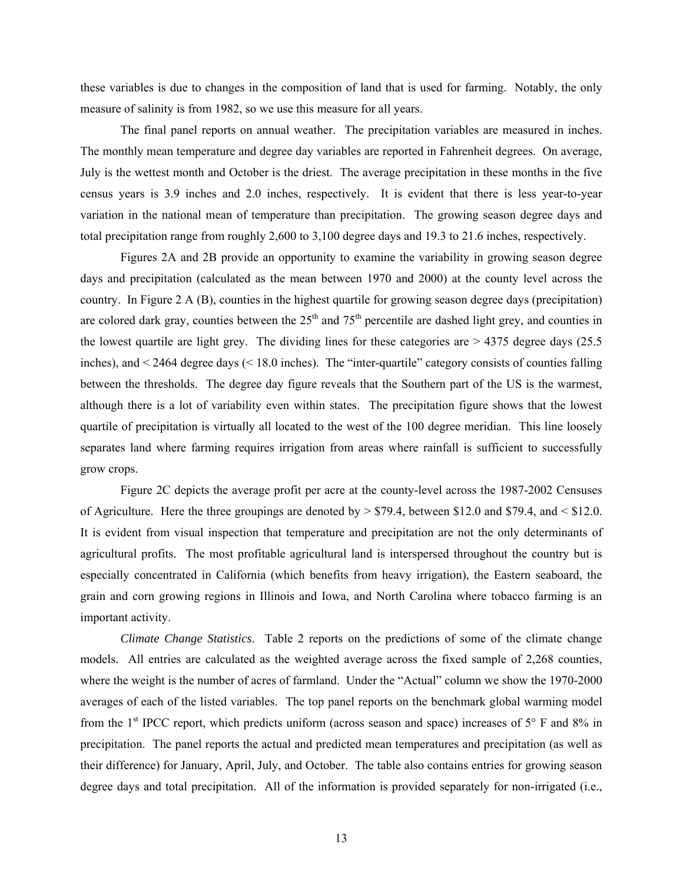these variables is due to changes in the composition of land that is used for farming. Notably, the only measure of salinity is from 1982, so we use this measure for all years.

The final panel reports on annual weather. The precipitation variables are measured in inches. The monthly mean temperature and degree day variables are reported in Fahrenheit degrees. On average, July is the wettest month and October is the driest. The average precipitation in these months in the five census years is 3.9 inches and 2.0 inches, respectively. It is evident that there is less year-to-year variation in the national mean of temperature than precipitation. The growing season degree days and total precipitation range from roughly 2,600 to 3,100 degree days and 19.3 to 21.6 inches, respectively.

Figures 2A and 2B provide an opportunity to examine the variability in growing season degree days and precipitation (calculated as the mean between 1970 and 2000) at the county level across the country. In Figure 2 A (B), counties in the highest quartile for growing season degree days (precipitation) are colored dark gray, counties between the  $25<sup>th</sup>$  and  $75<sup>th</sup>$  percentile are dashed light grey, and counties in the lowest quartile are light grey. The dividing lines for these categories are  $> 4375$  degree days (25.5) inches), and < 2464 degree days (< 18.0 inches). The "inter-quartile" category consists of counties falling between the thresholds. The degree day figure reveals that the Southern part of the US is the warmest, although there is a lot of variability even within states. The precipitation figure shows that the lowest quartile of precipitation is virtually all located to the west of the 100 degree meridian. This line loosely separates land where farming requires irrigation from areas where rainfall is sufficient to successfully grow crops.

Figure 2C depicts the average profit per acre at the county-level across the 1987-2002 Censuses of Agriculture. Here the three groupings are denoted by  $> $79.4$ , between \$12.0 and \$79.4, and  $< $12.0$ . It is evident from visual inspection that temperature and precipitation are not the only determinants of agricultural profits. The most profitable agricultural land is interspersed throughout the country but is especially concentrated in California (which benefits from heavy irrigation), the Eastern seaboard, the grain and corn growing regions in Illinois and Iowa, and North Carolina where tobacco farming is an important activity.

*Climate Change Statistics*. Table 2 reports on the predictions of some of the climate change models. All entries are calculated as the weighted average across the fixed sample of 2,268 counties, where the weight is the number of acres of farmland. Under the "Actual" column we show the 1970-2000 averages of each of the listed variables. The top panel reports on the benchmark global warming model from the 1<sup>st</sup> IPCC report, which predicts uniform (across season and space) increases of  $5^\circ$  F and  $8\%$  in precipitation. The panel reports the actual and predicted mean temperatures and precipitation (as well as their difference) for January, April, July, and October. The table also contains entries for growing season degree days and total precipitation. All of the information is provided separately for non-irrigated (i.e.,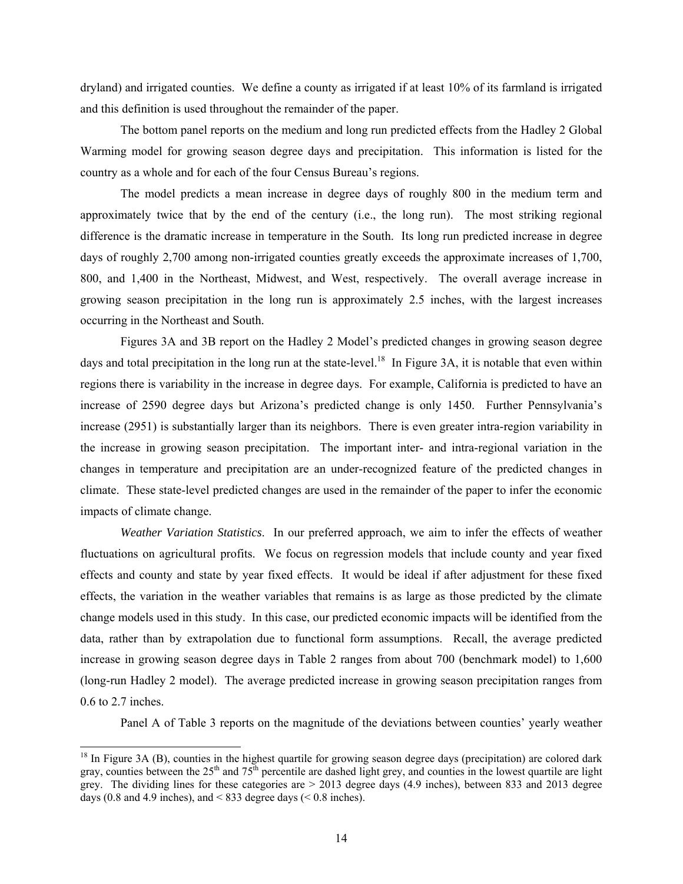dryland) and irrigated counties. We define a county as irrigated if at least 10% of its farmland is irrigated and this definition is used throughout the remainder of the paper.

The bottom panel reports on the medium and long run predicted effects from the Hadley 2 Global Warming model for growing season degree days and precipitation. This information is listed for the country as a whole and for each of the four Census Bureau's regions.

The model predicts a mean increase in degree days of roughly 800 in the medium term and approximately twice that by the end of the century (i.e., the long run). The most striking regional difference is the dramatic increase in temperature in the South. Its long run predicted increase in degree days of roughly 2,700 among non-irrigated counties greatly exceeds the approximate increases of 1,700, 800, and 1,400 in the Northeast, Midwest, and West, respectively. The overall average increase in growing season precipitation in the long run is approximately 2.5 inches, with the largest increases occurring in the Northeast and South.

Figures 3A and 3B report on the Hadley 2 Model's predicted changes in growing season degree days and total precipitation in the long run at the state-level.<sup>18</sup> In Figure 3A, it is notable that even within regions there is variability in the increase in degree days. For example, California is predicted to have an increase of 2590 degree days but Arizona's predicted change is only 1450. Further Pennsylvania's increase (2951) is substantially larger than its neighbors. There is even greater intra-region variability in the increase in growing season precipitation. The important inter- and intra-regional variation in the changes in temperature and precipitation are an under-recognized feature of the predicted changes in climate. These state-level predicted changes are used in the remainder of the paper to infer the economic impacts of climate change.

*Weather Variation Statistics*. In our preferred approach, we aim to infer the effects of weather fluctuations on agricultural profits. We focus on regression models that include county and year fixed effects and county and state by year fixed effects. It would be ideal if after adjustment for these fixed effects, the variation in the weather variables that remains is as large as those predicted by the climate change models used in this study. In this case, our predicted economic impacts will be identified from the data, rather than by extrapolation due to functional form assumptions. Recall, the average predicted increase in growing season degree days in Table 2 ranges from about 700 (benchmark model) to 1,600 (long-run Hadley 2 model). The average predicted increase in growing season precipitation ranges from 0.6 to 2.7 inches.

Panel A of Table 3 reports on the magnitude of the deviations between counties' yearly weather

<span id="page-15-0"></span> $18$  In Figure 3A (B), counties in the highest quartile for growing season degree days (precipitation) are colored dark gray, counties between the  $25<sup>th</sup>$  and  $75<sup>th</sup>$  percentile are dashed light grey, and counties in the lowest quartile are light grey. The dividing lines for these categories are > 2013 degree days (4.9 inches), between 833 and 2013 degree days (0.8 and 4.9 inches), and  $< 833$  degree days ( $< 0.8$  inches).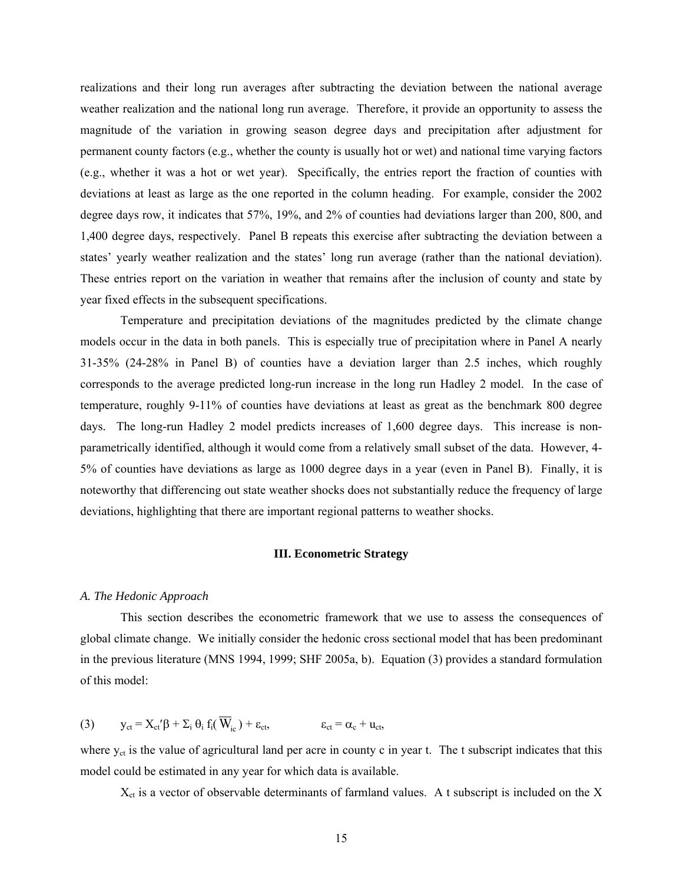realizations and their long run averages after subtracting the deviation between the national average weather realization and the national long run average. Therefore, it provide an opportunity to assess the magnitude of the variation in growing season degree days and precipitation after adjustment for permanent county factors (e.g., whether the county is usually hot or wet) and national time varying factors (e.g., whether it was a hot or wet year). Specifically, the entries report the fraction of counties with deviations at least as large as the one reported in the column heading. For example, consider the 2002 degree days row, it indicates that 57%, 19%, and 2% of counties had deviations larger than 200, 800, and 1,400 degree days, respectively. Panel B repeats this exercise after subtracting the deviation between a states' yearly weather realization and the states' long run average (rather than the national deviation). These entries report on the variation in weather that remains after the inclusion of county and state by year fixed effects in the subsequent specifications.

Temperature and precipitation deviations of the magnitudes predicted by the climate change models occur in the data in both panels. This is especially true of precipitation where in Panel A nearly 31-35% (24-28% in Panel B) of counties have a deviation larger than 2.5 inches, which roughly corresponds to the average predicted long-run increase in the long run Hadley 2 model. In the case of temperature, roughly 9-11% of counties have deviations at least as great as the benchmark 800 degree days. The long-run Hadley 2 model predicts increases of 1,600 degree days. This increase is nonparametrically identified, although it would come from a relatively small subset of the data. However, 4- 5% of counties have deviations as large as 1000 degree days in a year (even in Panel B). Finally, it is noteworthy that differencing out state weather shocks does not substantially reduce the frequency of large deviations, highlighting that there are important regional patterns to weather shocks.

### **III. Econometric Strategy**

#### *A. The Hedonic Approach*

This section describes the econometric framework that we use to assess the consequences of global climate change. We initially consider the hedonic cross sectional model that has been predominant in the previous literature (MNS 1994, 1999; SHF 2005a, b). Equation (3) provides a standard formulation of this model:

(3) 
$$
y_{ct} = X_{ct}'\beta + \Sigma_i \theta_i f_i(\overline{W}_{ic}) + \varepsilon_{ct}, \qquad \varepsilon_{ct} = \alpha_c + u_{ct},
$$

where  $y_{ct}$  is the value of agricultural land per acre in county c in year t. The t subscript indicates that this model could be estimated in any year for which data is available.

 $X<sub>ct</sub>$  is a vector of observable determinants of farmland values. A t subscript is included on the X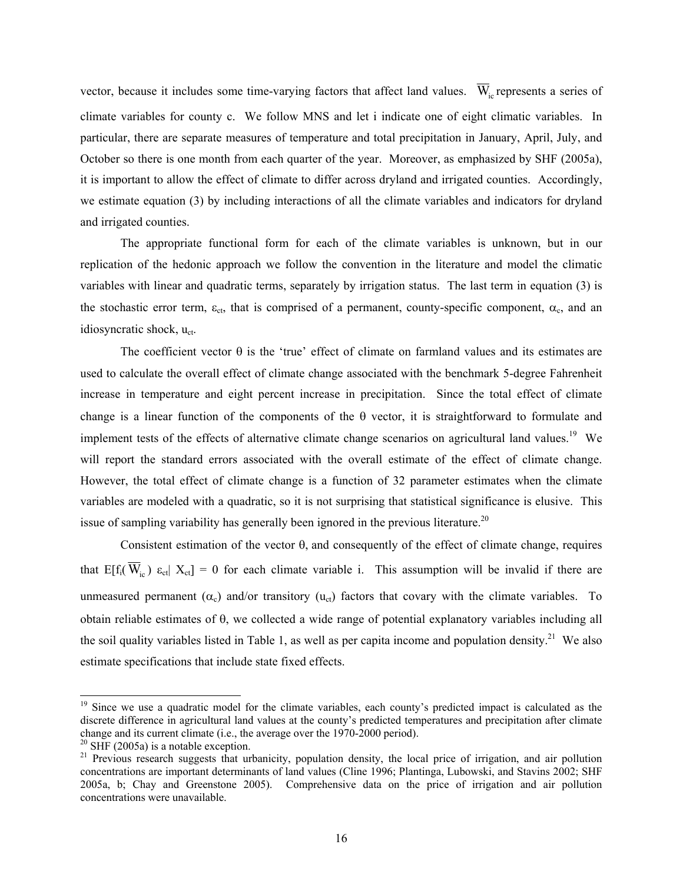vector, because it includes some time-varying factors that affect land values.  $\overline{W}_{ic}$  represents a series of climate variables for county c. We follow MNS and let i indicate one of eight climatic variables. In particular, there are separate measures of temperature and total precipitation in January, April, July, and October so there is one month from each quarter of the year. Moreover, as emphasized by SHF (2005a), it is important to allow the effect of climate to differ across dryland and irrigated counties. Accordingly, we estimate equation (3) by including interactions of all the climate variables and indicators for dryland and irrigated counties.

The appropriate functional form for each of the climate variables is unknown, but in our replication of the hedonic approach we follow the convention in the literature and model the climatic variables with linear and quadratic terms, separately by irrigation status. The last term in equation (3) is the stochastic error term,  $\varepsilon_{ct}$ , that is comprised of a permanent, county-specific component,  $\alpha_c$ , and an idiosyncratic shock, u<sub>ct</sub>.

The coefficient vector  $\theta$  is the 'true' effect of climate on farmland values and its estimates are used to calculate the overall effect of climate change associated with the benchmark 5-degree Fahrenheit increase in temperature and eight percent increase in precipitation. Since the total effect of climate change is a linear function of the components of the  $\theta$  vector, it is straightforward to formulate and implement tests of the effects of alternative climate change scenarios on agricultural land values.<sup>19</sup> We will report the standard errors associated with the overall estimate of the effect of climate change. However, the total effect of climate change is a function of 32 parameter estimates when the climate variables are modeled with a quadratic, so it is not surprising that statistical significance is elusive. This issue of sampling variability has generally been ignored in the previous literature.<sup>20</sup>

Consistent estimation of the vector  $\theta$ , and consequently of the effect of climate change, requires that E[f<sub>i</sub>( $\overline{W}_{ic}$ )  $\varepsilon_{ct}$ |  $X_{ct}$ ] = 0 for each climate variable i. This assumption will be invalid if there are unmeasured permanent  $(\alpha_c)$  and/or transitory  $(u_{ct})$  factors that covary with the climate variables. To obtain reliable estimates of θ, we collected a wide range of potential explanatory variables including all the soil quality variables listed in Table 1, as well as per capita income and population density.<sup>21</sup> We also estimate specifications that include state fixed effects.

<span id="page-17-0"></span><sup>&</sup>lt;sup>19</sup> Since we use a quadratic model for the climate variables, each county's predicted impact is calculated as the discrete difference in agricultural land values at the county's predicted temperatures and precipitation after climate change and its current climate (i.e., the average over the 1970-2000 period).

<span id="page-17-2"></span>

<span id="page-17-1"></span> $^{20}$  SHF (2005a) is a notable exception.<br><sup>21</sup> Previous research suggests that urbanicity, population density, the local price of irrigation, and air pollution concentrations are important determinants of land values (Cline 1996; Plantinga, Lubowski, and Stavins 2002; SHF 2005a, b; Chay and Greenstone 2005). Comprehensive data on the price of irrigation and air pollution concentrations were unavailable.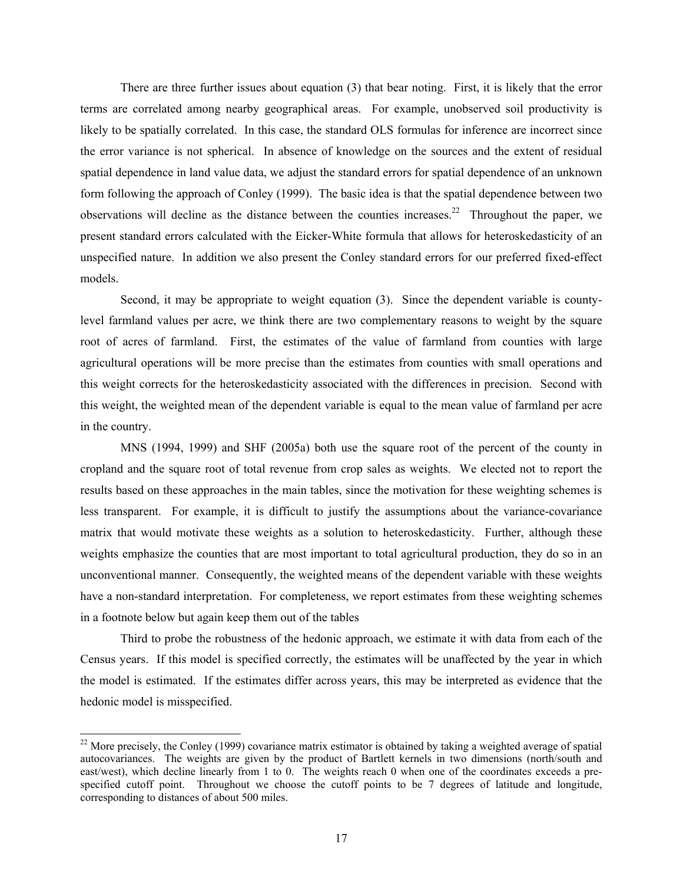There are three further issues about equation (3) that bear noting. First, it is likely that the error terms are correlated among nearby geographical areas. For example, unobserved soil productivity is likely to be spatially correlated. In this case, the standard OLS formulas for inference are incorrect since the error variance is not spherical. In absence of knowledge on the sources and the extent of residual spatial dependence in land value data, we adjust the standard errors for spatial dependence of an unknown form following the approach of Conley (1999). The basic idea is that the spatial dependence between two observations will decline as the distance between the counties increases.<sup>22</sup> Throughout the paper, we present standard errors calculated with the Eicker-White formula that allows for heteroskedasticity of an unspecified nature. In addition we also present the Conley standard errors for our preferred fixed-effect models.

Second, it may be appropriate to weight equation (3). Since the dependent variable is countylevel farmland values per acre, we think there are two complementary reasons to weight by the square root of acres of farmland. First, the estimates of the value of farmland from counties with large agricultural operations will be more precise than the estimates from counties with small operations and this weight corrects for the heteroskedasticity associated with the differences in precision. Second with this weight, the weighted mean of the dependent variable is equal to the mean value of farmland per acre in the country.

MNS (1994, 1999) and SHF (2005a) both use the square root of the percent of the county in cropland and the square root of total revenue from crop sales as weights. We elected not to report the results based on these approaches in the main tables, since the motivation for these weighting schemes is less transparent. For example, it is difficult to justify the assumptions about the variance-covariance matrix that would motivate these weights as a solution to heteroskedasticity. Further, although these weights emphasize the counties that are most important to total agricultural production, they do so in an unconventional manner. Consequently, the weighted means of the dependent variable with these weights have a non-standard interpretation. For completeness, we report estimates from these weighting schemes in a footnote below but again keep them out of the tables

Third to probe the robustness of the hedonic approach, we estimate it with data from each of the Census years. If this model is specified correctly, the estimates will be unaffected by the year in which the model is estimated. If the estimates differ across years, this may be interpreted as evidence that the hedonic model is misspecified.

<span id="page-18-0"></span><sup>&</sup>lt;sup>22</sup> More precisely, the Conley (1999) covariance matrix estimator is obtained by taking a weighted average of spatial autocovariances. The weights are given by the product of Bartlett kernels in two dimensions (north/south and east/west), which decline linearly from 1 to 0. The weights reach 0 when one of the coordinates exceeds a prespecified cutoff point. Throughout we choose the cutoff points to be 7 degrees of latitude and longitude, corresponding to distances of about 500 miles.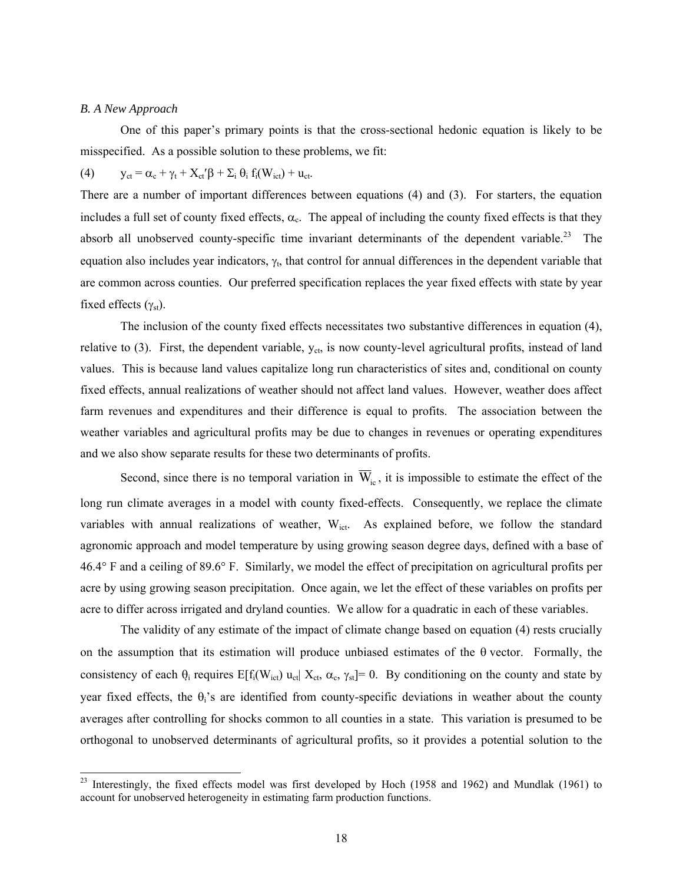### *B. A New Approach*

One of this paper's primary points is that the cross-sectional hedonic equation is likely to be misspecified. As a possible solution to these problems, we fit:

(4)  $y_{ct} = \alpha_c + \gamma_t + X_{ct} \beta + \Sigma_i \theta_i f_i(W_{ict}) + u_{ct}.$ 

There are a number of important differences between equations (4) and (3). For starters, the equation includes a full set of county fixed effects,  $\alpha_c$ . The appeal of including the county fixed effects is that they absorb all unobserved county-specific time invariant determinants of the dependent variable.<sup>23</sup> The equation also includes year indicators,  $\gamma_t$ , that control for annual differences in the dependent variable that are common across counties. Our preferred specification replaces the year fixed effects with state by year fixed effects  $(\gamma_{st})$ .

The inclusion of the county fixed effects necessitates two substantive differences in equation (4), relative to  $(3)$ . First, the dependent variable,  $y_{ct}$ , is now county-level agricultural profits, instead of land values. This is because land values capitalize long run characteristics of sites and, conditional on county fixed effects, annual realizations of weather should not affect land values. However, weather does affect farm revenues and expenditures and their difference is equal to profits. The association between the weather variables and agricultural profits may be due to changes in revenues or operating expenditures and we also show separate results for these two determinants of profits.

Second, since there is no temporal variation in  $\overline{W}_{ic}$ , it is impossible to estimate the effect of the long run climate averages in a model with county fixed-effects. Consequently, we replace the climate variables with annual realizations of weather, W<sub>ict</sub>. As explained before, we follow the standard agronomic approach and model temperature by using growing season degree days, defined with a base of 46.4° F and a ceiling of 89.6° F. Similarly, we model the effect of precipitation on agricultural profits per acre by using growing season precipitation. Once again, we let the effect of these variables on profits per acre to differ across irrigated and dryland counties. We allow for a quadratic in each of these variables.

The validity of any estimate of the impact of climate change based on equation (4) rests crucially on the assumption that its estimation will produce unbiased estimates of the  $\theta$  vector. Formally, the consistency of each  $\theta_i$  requires E[f<sub>i</sub>(W<sub>ict</sub>) u<sub>ct</sub>| X<sub>ct</sub>,  $\alpha_c$ ,  $\gamma_{st}$ ]= 0. By conditioning on the county and state by year fixed effects, the  $\theta_i$ 's are identified from county-specific deviations in weather about the county averages after controlling for shocks common to all counties in a state. This variation is presumed to be orthogonal to unobserved determinants of agricultural profits, so it provides a potential solution to the

<span id="page-19-0"></span><sup>&</sup>lt;sup>23</sup> Interestingly, the fixed effects model was first developed by Hoch (1958 and 1962) and Mundlak (1961) to account for unobserved heterogeneity in estimating farm production functions.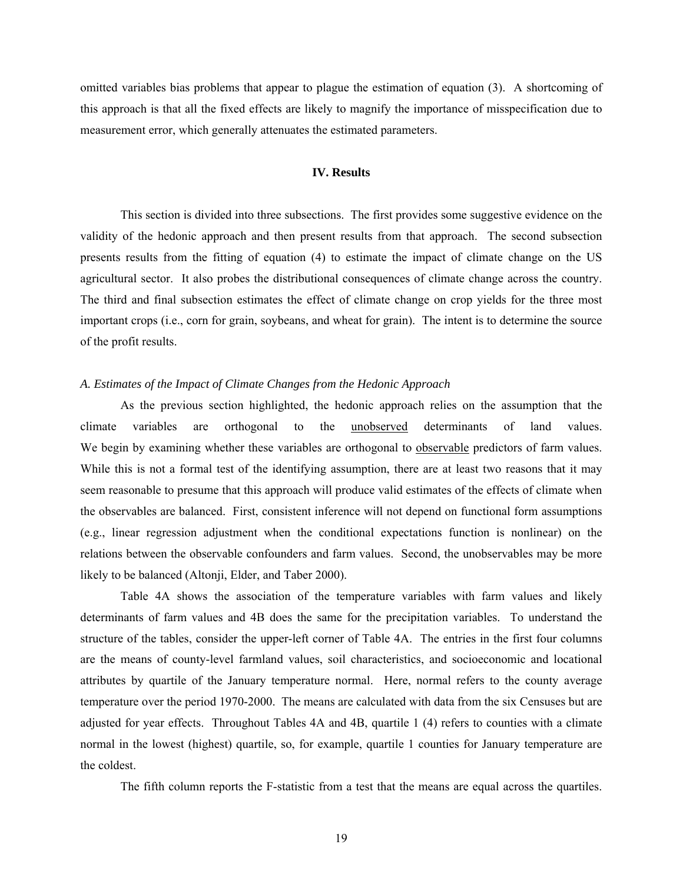omitted variables bias problems that appear to plague the estimation of equation (3). A shortcoming of this approach is that all the fixed effects are likely to magnify the importance of misspecification due to measurement error, which generally attenuates the estimated parameters.

# **IV. Results**

This section is divided into three subsections. The first provides some suggestive evidence on the validity of the hedonic approach and then present results from that approach. The second subsection presents results from the fitting of equation (4) to estimate the impact of climate change on the US agricultural sector. It also probes the distributional consequences of climate change across the country. The third and final subsection estimates the effect of climate change on crop yields for the three most important crops (i.e., corn for grain, soybeans, and wheat for grain). The intent is to determine the source of the profit results.

### *A. Estimates of the Impact of Climate Changes from the Hedonic Approach*

As the previous section highlighted, the hedonic approach relies on the assumption that the climate variables are orthogonal to the unobserved determinants of land values. We begin by examining whether these variables are orthogonal to observable predictors of farm values. While this is not a formal test of the identifying assumption, there are at least two reasons that it may seem reasonable to presume that this approach will produce valid estimates of the effects of climate when the observables are balanced. First, consistent inference will not depend on functional form assumptions (e.g., linear regression adjustment when the conditional expectations function is nonlinear) on the relations between the observable confounders and farm values. Second, the unobservables may be more likely to be balanced (Altonji, Elder, and Taber 2000).

Table 4A shows the association of the temperature variables with farm values and likely determinants of farm values and 4B does the same for the precipitation variables. To understand the structure of the tables, consider the upper-left corner of Table 4A. The entries in the first four columns are the means of county-level farmland values, soil characteristics, and socioeconomic and locational attributes by quartile of the January temperature normal. Here, normal refers to the county average temperature over the period 1970-2000. The means are calculated with data from the six Censuses but are adjusted for year effects. Throughout Tables 4A and 4B, quartile 1 (4) refers to counties with a climate normal in the lowest (highest) quartile, so, for example, quartile 1 counties for January temperature are the coldest.

The fifth column reports the F-statistic from a test that the means are equal across the quartiles.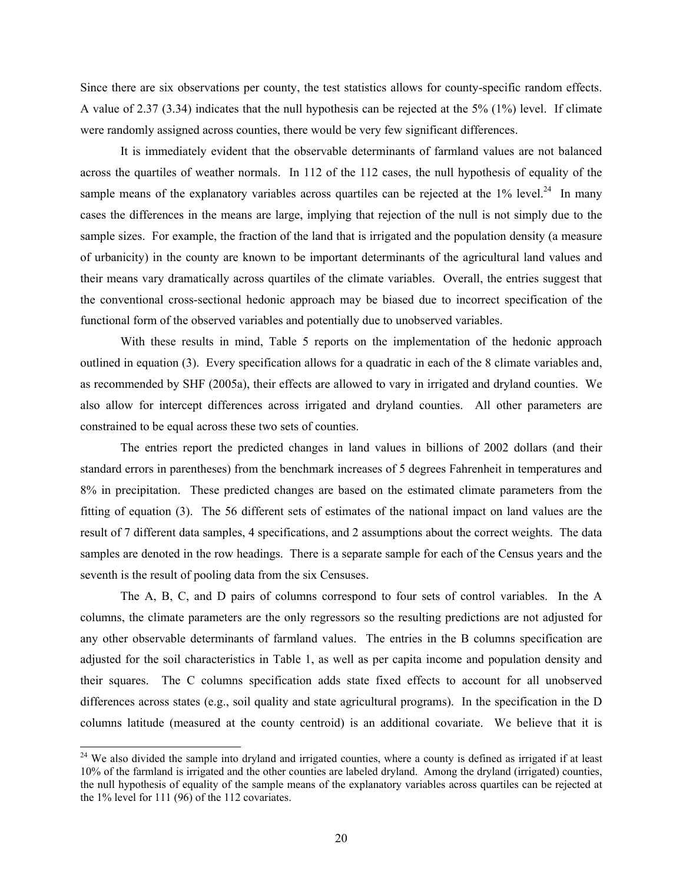Since there are six observations per county, the test statistics allows for county-specific random effects. A value of 2.37 (3.34) indicates that the null hypothesis can be rejected at the 5% (1%) level. If climate were randomly assigned across counties, there would be very few significant differences.

It is immediately evident that the observable determinants of farmland values are not balanced across the quartiles of weather normals. In 112 of the 112 cases, the null hypothesis of equality of the sample means of the explanatory variables across quartiles can be rejected at the  $1\%$  level.<sup>24</sup> In many cases the differences in the means are large, implying that rejection of the null is not simply due to the sample sizes. For example, the fraction of the land that is irrigated and the population density (a measure of urbanicity) in the county are known to be important determinants of the agricultural land values and their means vary dramatically across quartiles of the climate variables. Overall, the entries suggest that the conventional cross-sectional hedonic approach may be biased due to incorrect specification of the functional form of the observed variables and potentially due to unobserved variables.

With these results in mind, Table 5 reports on the implementation of the hedonic approach outlined in equation (3). Every specification allows for a quadratic in each of the 8 climate variables and, as recommended by SHF (2005a), their effects are allowed to vary in irrigated and dryland counties. We also allow for intercept differences across irrigated and dryland counties. All other parameters are constrained to be equal across these two sets of counties.

The entries report the predicted changes in land values in billions of 2002 dollars (and their standard errors in parentheses) from the benchmark increases of 5 degrees Fahrenheit in temperatures and 8% in precipitation. These predicted changes are based on the estimated climate parameters from the fitting of equation (3). The 56 different sets of estimates of the national impact on land values are the result of 7 different data samples, 4 specifications, and 2 assumptions about the correct weights. The data samples are denoted in the row headings. There is a separate sample for each of the Census years and the seventh is the result of pooling data from the six Censuses.

The A, B, C, and D pairs of columns correspond to four sets of control variables. In the A columns, the climate parameters are the only regressors so the resulting predictions are not adjusted for any other observable determinants of farmland values. The entries in the B columns specification are adjusted for the soil characteristics in Table 1, as well as per capita income and population density and their squares. The C columns specification adds state fixed effects to account for all unobserved differences across states (e.g., soil quality and state agricultural programs). In the specification in the D columns latitude (measured at the county centroid) is an additional covariate. We believe that it is

<span id="page-21-0"></span> $24$  We also divided the sample into dryland and irrigated counties, where a county is defined as irrigated if at least 10% of the farmland is irrigated and the other counties are labeled dryland. Among the dryland (irrigated) counties, the null hypothesis of equality of the sample means of the explanatory variables across quartiles can be rejected at the 1% level for 111 (96) of the 112 covariates.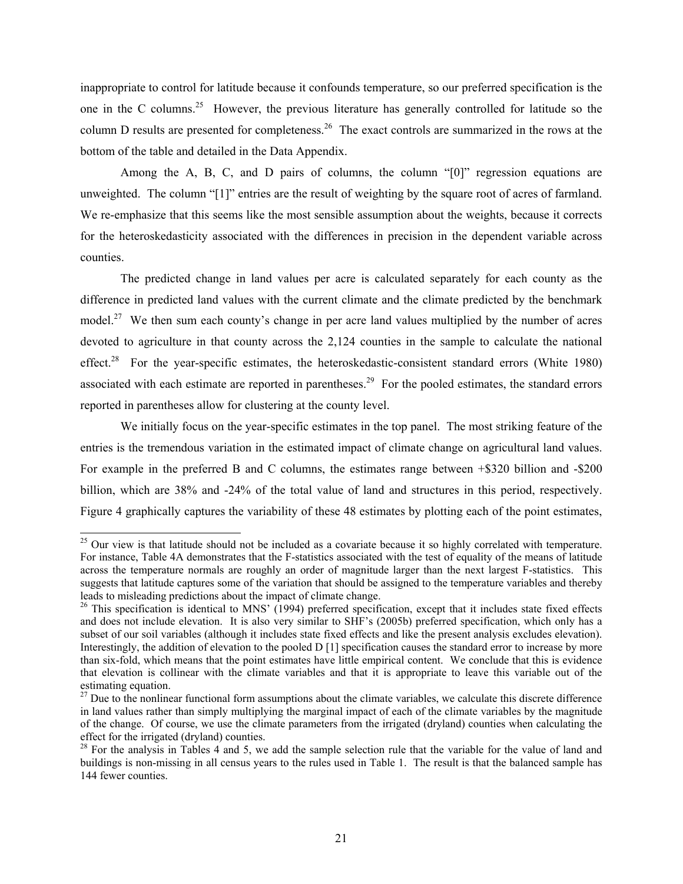inappropriate to control for latitude because it confounds temperature, so our preferred specification is the one in the C columns.<sup>25</sup> However, the previous literature has generally controlled for latitude so the column D results are presented for completeness.<sup>26</sup> The exact controls are summarized in the rows at the bottom of the table and detailed in the Data Appendix.

Among the A, B, C, and D pairs of columns, the column "[0]" regression equations are unweighted. The column "[1]" entries are the result of weighting by the square root of acres of farmland. We re-emphasize that this seems like the most sensible assumption about the weights, because it corrects for the heteroskedasticity associated with the differences in precision in the dependent variable across counties.

The predicted change in land values per acre is calculated separately for each county as the difference in predicted land values with the current climate and the climate predicted by the benchmark model.<sup>27</sup> We then sum each county's change in per acre land values multiplied by the number of acres devoted to agriculture in that county across the 2,124 counties in the sample to calculate the national effect.<sup>28</sup> For the vear-specific estimates, the heteroskedastic-consistent standard errors (White 1980) associated with each estimate are reported in parentheses.<sup>29</sup> For the pooled estimates, the standard errors reported in parentheses allow for clustering at the county level.

We initially focus on the year-specific estimates in the top panel. The most striking feature of the entries is the tremendous variation in the estimated impact of climate change on agricultural land values. For example in the preferred B and C columns, the estimates range between +\$320 billion and -\$200 billion, which are 38% and -24% of the total value of land and structures in this period, respectively. Figure 4 graphically captures the variability of these 48 estimates by plotting each of the point estimates,

<span id="page-22-0"></span> $25$  Our view is that latitude should not be included as a covariate because it so highly correlated with temperature. For instance, Table 4A demonstrates that the F-statistics associated with the test of equality of the means of latitude across the temperature normals are roughly an order of magnitude larger than the next largest F-statistics. This suggests that latitude captures some of the variation that should be assigned to the temperature variables and thereby leads to misleading predictions about the impact of climate change.

<span id="page-22-1"></span><sup>&</sup>lt;sup>26</sup> This specification is identical to MNS' (1994) preferred specification, except that it includes state fixed effects and does not include elevation. It is also very similar to SHF's (2005b) preferred specification, which only has a subset of our soil variables (although it includes state fixed effects and like the present analysis excludes elevation). Interestingly, the addition of elevation to the pooled D [1] specification causes the standard error to increase by more than six-fold, which means that the point estimates have little empirical content. We conclude that this is evidence that elevation is collinear with the climate variables and that it is appropriate to leave this variable out of the

<span id="page-22-4"></span><span id="page-22-2"></span> $27$  Due to the nonlinear functional form assumptions about the climate variables, we calculate this discrete difference in land values rather than simply multiplying the marginal impact of each of the climate variables by the magnitude of the change. Of course, we use the climate parameters from the irrigated (dryland) counties when calculating the

<span id="page-22-3"></span><sup>&</sup>lt;sup>28</sup> For the analysis in Tables 4 and 5, we add the sample selection rule that the variable for the value of land and  $\frac{28}{100}$ buildings is non-missing in all census years to the rules used in Table 1. The result is that the balanced sample has 144 fewer counties.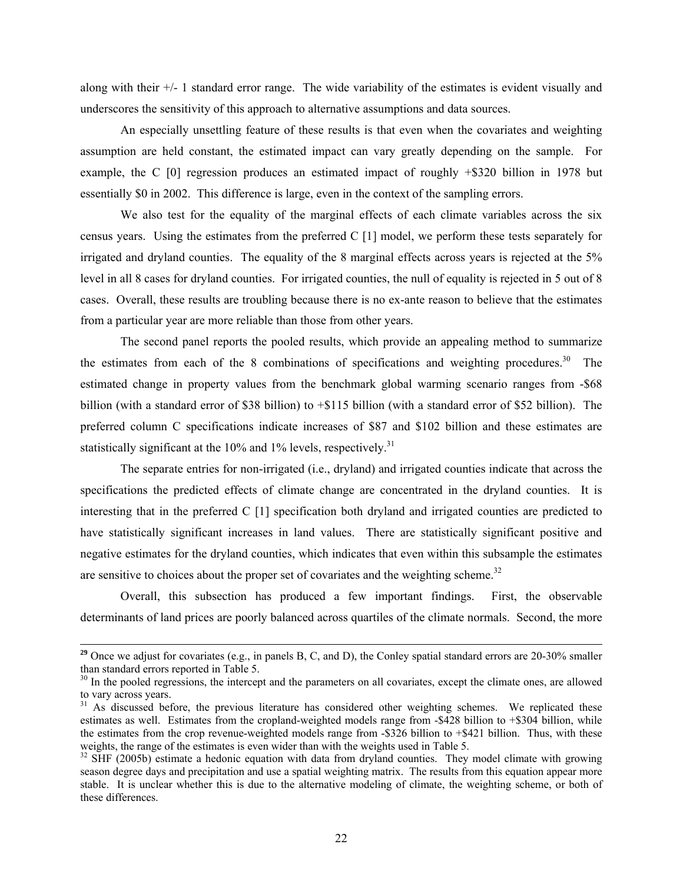along with their +/- 1 standard error range. The wide variability of the estimates is evident visually and underscores the sensitivity of this approach to alternative assumptions and data sources.

An especially unsettling feature of these results is that even when the covariates and weighting assumption are held constant, the estimated impact can vary greatly depending on the sample. For example, the C [0] regression produces an estimated impact of roughly +\$320 billion in 1978 but essentially \$0 in 2002. This difference is large, even in the context of the sampling errors.

We also test for the equality of the marginal effects of each climate variables across the six census years. Using the estimates from the preferred C [1] model, we perform these tests separately for irrigated and dryland counties. The equality of the 8 marginal effects across years is rejected at the 5% level in all 8 cases for dryland counties. For irrigated counties, the null of equality is rejected in 5 out of 8 cases. Overall, these results are troubling because there is no ex-ante reason to believe that the estimates from a particular year are more reliable than those from other years.

The second panel reports the pooled results, which provide an appealing method to summarize the estimates from each of the 8 combinations of specifications and weighting procedures.<sup>30</sup> The estimated change in property values from the benchmark global warming scenario ranges from -\$68 billion (with a standard error of \$38 billion) to +\$115 billion (with a standard error of \$52 billion). The preferred column C specifications indicate increases of \$87 and \$102 billion and these estimates are statistically significant at the 10% and 1% levels, respectively.<sup>[31](#page-23-1)</sup>

The separate entries for non-irrigated (i.e., dryland) and irrigated counties indicate that across the specifications the predicted effects of climate change are concentrated in the dryland counties. It is interesting that in the preferred C [1] specification both dryland and irrigated counties are predicted to have statistically significant increases in land values. There are statistically significant positive and negative estimates for the dryland counties, which indicates that even within this subsample the estimates are sensitive to choices about the proper set of covariates and the weighting scheme.<sup>[32](#page-23-2)</sup>

Overall, this subsection has produced a few important findings. First, the observable determinants of land prices are poorly balanced across quartiles of the climate normals. Second, the more

<sup>&</sup>lt;sup>29</sup> Once we adjust for covariates (e.g., in panels B, C, and D), the Conley spatial standard errors are 20-30% smaller than standard errors reported in Table 5.

<span id="page-23-0"></span> $30$  In the pooled regressions, the intercept and the parameters on all covariates, except the climate ones, are allowed to vary across years.<br><sup>31</sup> As discussed before, the previous literature has considered other weighting schemes. We replicated these

<span id="page-23-1"></span>estimates as well. Estimates from the cropland-weighted models range from -\$428 billion to +\$304 billion, while the estimates from the crop revenue-weighted models range from -\$326 billion to +\$421 billion. Thus, with these weights, the range of the estimates is even wider than with the weights used in Table 5.<br><sup>32</sup> SHF (2005b) estimate a hedonic equation with data from dryland counties. They model climate with growing

<span id="page-23-2"></span>season degree days and precipitation and use a spatial weighting matrix. The results from this equation appear more stable. It is unclear whether this is due to the alternative modeling of climate, the weighting scheme, or both of these differences.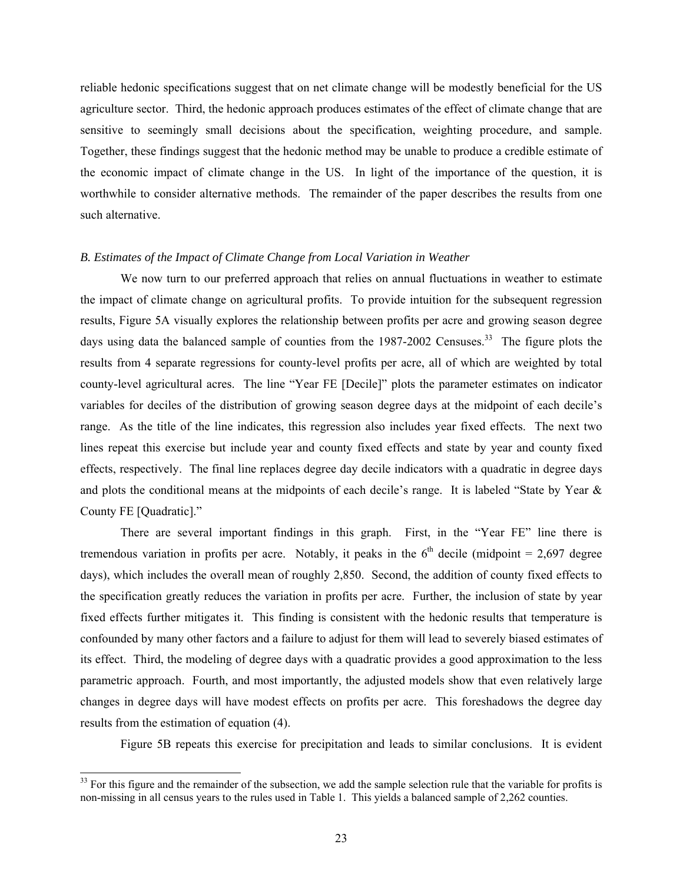reliable hedonic specifications suggest that on net climate change will be modestly beneficial for the US agriculture sector. Third, the hedonic approach produces estimates of the effect of climate change that are sensitive to seemingly small decisions about the specification, weighting procedure, and sample. Together, these findings suggest that the hedonic method may be unable to produce a credible estimate of the economic impact of climate change in the US. In light of the importance of the question, it is worthwhile to consider alternative methods. The remainder of the paper describes the results from one such alternative.

### *B. Estimates of the Impact of Climate Change from Local Variation in Weather*

We now turn to our preferred approach that relies on annual fluctuations in weather to estimate the impact of climate change on agricultural profits. To provide intuition for the subsequent regression results, Figure 5A visually explores the relationship between profits per acre and growing season degree days using data the balanced sample of counties from the 1987-2002 Censuses.<sup>33</sup> The figure plots the results from 4 separate regressions for county-level profits per acre, all of which are weighted by total county-level agricultural acres. The line "Year FE [Decile]" plots the parameter estimates on indicator variables for deciles of the distribution of growing season degree days at the midpoint of each decile's range. As the title of the line indicates, this regression also includes year fixed effects. The next two lines repeat this exercise but include year and county fixed effects and state by year and county fixed effects, respectively. The final line replaces degree day decile indicators with a quadratic in degree days and plots the conditional means at the midpoints of each decile's range. It is labeled "State by Year & County FE [Quadratic]."

There are several important findings in this graph. First, in the "Year FE" line there is tremendous variation in profits per acre. Notably, it peaks in the  $6<sup>th</sup>$  decile (midpoint = 2,697 degree days), which includes the overall mean of roughly 2,850. Second, the addition of county fixed effects to the specification greatly reduces the variation in profits per acre. Further, the inclusion of state by year fixed effects further mitigates it. This finding is consistent with the hedonic results that temperature is confounded by many other factors and a failure to adjust for them will lead to severely biased estimates of its effect. Third, the modeling of degree days with a quadratic provides a good approximation to the less parametric approach. Fourth, and most importantly, the adjusted models show that even relatively large changes in degree days will have modest effects on profits per acre. This foreshadows the degree day results from the estimation of equation (4).

Figure 5B repeats this exercise for precipitation and leads to similar conclusions. It is evident

<span id="page-24-0"></span><sup>&</sup>lt;sup>33</sup> For this figure and the remainder of the subsection, we add the sample selection rule that the variable for profits is non-missing in all census years to the rules used in Table 1. This yields a balanced sample of 2,262 counties.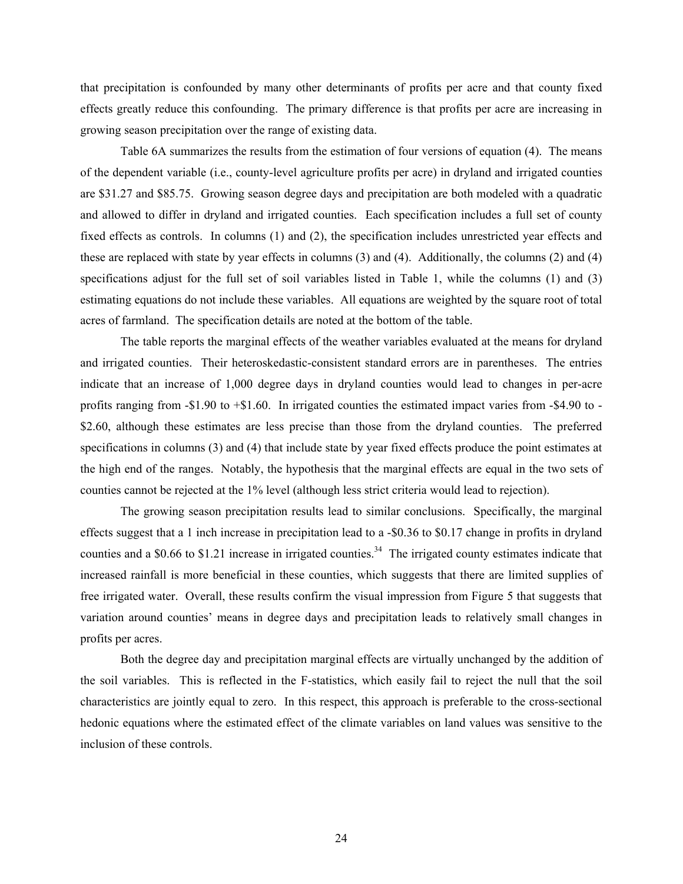that precipitation is confounded by many other determinants of profits per acre and that county fixed effects greatly reduce this confounding. The primary difference is that profits per acre are increasing in growing season precipitation over the range of existing data.

Table 6A summarizes the results from the estimation of four versions of equation (4). The means of the dependent variable (i.e., county-level agriculture profits per acre) in dryland and irrigated counties are \$31.27 and \$85.75. Growing season degree days and precipitation are both modeled with a quadratic and allowed to differ in dryland and irrigated counties. Each specification includes a full set of county fixed effects as controls. In columns (1) and (2), the specification includes unrestricted year effects and these are replaced with state by year effects in columns (3) and (4). Additionally, the columns (2) and (4) specifications adjust for the full set of soil variables listed in Table 1, while the columns (1) and (3) estimating equations do not include these variables. All equations are weighted by the square root of total acres of farmland. The specification details are noted at the bottom of the table.

The table reports the marginal effects of the weather variables evaluated at the means for dryland and irrigated counties. Their heteroskedastic-consistent standard errors are in parentheses. The entries indicate that an increase of 1,000 degree days in dryland counties would lead to changes in per-acre profits ranging from -\$1.90 to +\$1.60. In irrigated counties the estimated impact varies from -\$4.90 to - \$2.60, although these estimates are less precise than those from the dryland counties. The preferred specifications in columns (3) and (4) that include state by year fixed effects produce the point estimates at the high end of the ranges. Notably, the hypothesis that the marginal effects are equal in the two sets of counties cannot be rejected at the 1% level (although less strict criteria would lead to rejection).

The growing season precipitation results lead to similar conclusions. Specifically, the marginal effects suggest that a 1 inch increase in precipitation lead to a -\$0.36 to \$0.17 change in profits in dryland counties and a \$0.66 to \$1.21 increase in irrigated counties.<sup>34</sup> The irrigated county estimates indicate that increased rainfall is more beneficial in these counties, which suggests that there are limited supplies of free irrigated water. Overall, these results confirm the visual impression from Figure 5 that suggests that variation around counties' means in degree days and precipitation leads to relatively small changes in profits per acres.

<span id="page-25-0"></span>Both the degree day and precipitation marginal effects are virtually unchanged by the addition of the soil variables. This is reflected in the F-statistics, which easily fail to reject the null that the soil characteristics are jointly equal to zero. In this respect, this approach is preferable to the cross-sectional hedonic equations where the estimated effect of the climate variables on land values was sensitive to the inclusion of these controls.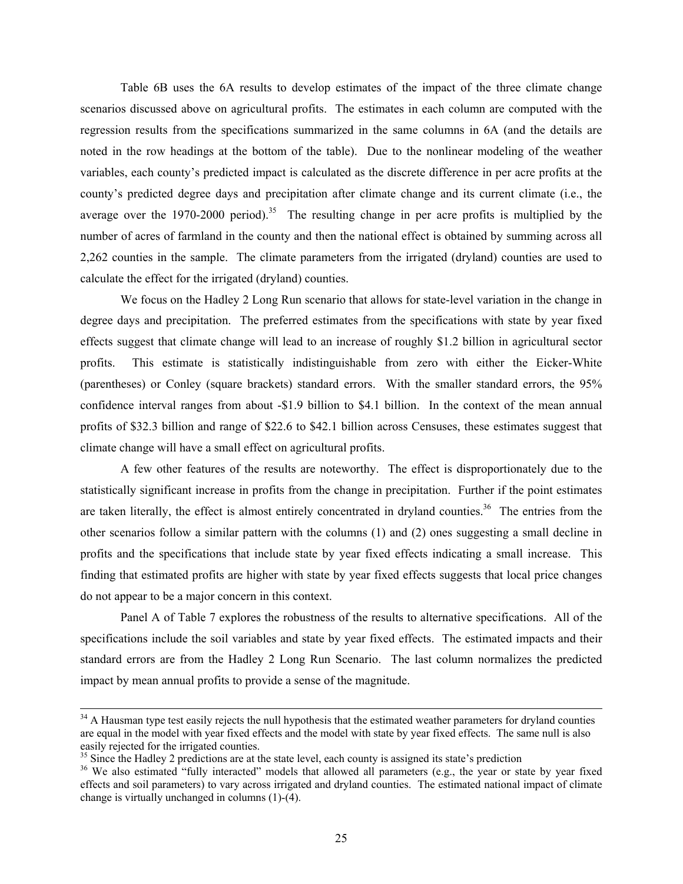Table 6B uses the 6A results to develop estimates of the impact of the three climate change scenarios discussed above on agricultural profits. The estimates in each column are computed with the regression results from the specifications summarized in the same columns in 6A (and the details are noted in the row headings at the bottom of the table). Due to the nonlinear modeling of the weather variables, each county's predicted impact is calculated as the discrete difference in per acre profits at the county's predicted degree days and precipitation after climate change and its current climate (i.e., the average over the 1970-2000 period).<sup>35</sup> The resulting change in per acre profits is multiplied by the number of acres of farmland in the county and then the national effect is obtained by summing across all 2,262 counties in the sample. The climate parameters from the irrigated (dryland) counties are used to calculate the effect for the irrigated (dryland) counties.

We focus on the Hadley 2 Long Run scenario that allows for state-level variation in the change in degree days and precipitation. The preferred estimates from the specifications with state by year fixed effects suggest that climate change will lead to an increase of roughly \$1.2 billion in agricultural sector profits. This estimate is statistically indistinguishable from zero with either the Eicker-White (parentheses) or Conley (square brackets) standard errors. With the smaller standard errors, the 95% confidence interval ranges from about -\$1.9 billion to \$4.1 billion. In the context of the mean annual profits of \$32.3 billion and range of \$22.6 to \$42.1 billion across Censuses, these estimates suggest that climate change will have a small effect on agricultural profits.

A few other features of the results are noteworthy. The effect is disproportionately due to the statistically significant increase in profits from the change in precipitation. Further if the point estimates are taken literally, the effect is almost entirely concentrated in dryland counties.<sup>36</sup> The entries from the other scenarios follow a similar pattern with the columns (1) and (2) ones suggesting a small decline in profits and the specifications that include state by year fixed effects indicating a small increase. This finding that estimated profits are higher with state by year fixed effects suggests that local price changes do not appear to be a major concern in this context.

Panel A of Table 7 explores the robustness of the results to alternative specifications. All of the specifications include the soil variables and state by year fixed effects. The estimated impacts and their standard errors are from the Hadley 2 Long Run Scenario. The last column normalizes the predicted impact by mean annual profits to provide a sense of the magnitude.

<sup>&</sup>lt;sup>34</sup> A Hausman type test easily rejects the null hypothesis that the estimated weather parameters for dryland counties are equal in the model with year fixed effects and the model with state by year fixed effects. The same null is also easily rejected for the irrigated counties.<br><sup>35</sup> Since the Hadley 2 predictions are at the state level, each county is assigned its state's prediction<br><sup>36</sup> We also estimated "fully interacted" models that allowed all para

<span id="page-26-0"></span>

<span id="page-26-1"></span>effects and soil parameters) to vary across irrigated and dryland counties. The estimated national impact of climate change is virtually unchanged in columns (1)-(4).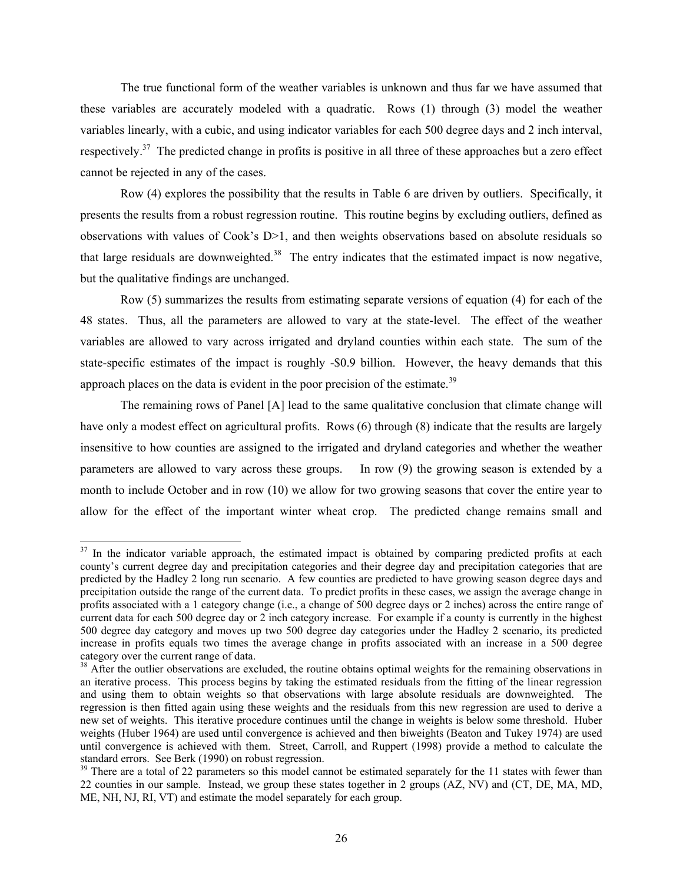The true functional form of the weather variables is unknown and thus far we have assumed that these variables are accurately modeled with a quadratic. Rows (1) through (3) model the weather variables linearly, with a cubic, and using indicator variables for each 500 degree days and 2 inch interval, respectively.<sup>[37](#page-27-0)</sup> The predicted change in profits is positive in all three of these approaches but a zero effect cannot be rejected in any of the cases.

Row (4) explores the possibility that the results in Table 6 are driven by outliers. Specifically, it presents the results from a robust regression routine. This routine begins by excluding outliers, defined as observations with values of Cook's D>1, and then weights observations based on absolute residuals so that large residuals are downweighted.<sup>[38](#page-27-1)</sup> The entry indicates that the estimated impact is now negative, but the qualitative findings are unchanged.

Row (5) summarizes the results from estimating separate versions of equation (4) for each of the 48 states. Thus, all the parameters are allowed to vary at the state-level. The effect of the weather variables are allowed to vary across irrigated and dryland counties within each state. The sum of the state-specific estimates of the impact is roughly -\$0.9 billion. However, the heavy demands that this approach places on the data is evident in the poor precision of the estimate.<sup>[39](#page-27-2)</sup>

The remaining rows of Panel [A] lead to the same qualitative conclusion that climate change will have only a modest effect on agricultural profits. Rows (6) through (8) indicate that the results are largely insensitive to how counties are assigned to the irrigated and dryland categories and whether the weather parameters are allowed to vary across these groups. In row (9) the growing season is extended by a month to include October and in row (10) we allow for two growing seasons that cover the entire year to allow for the effect of the important winter wheat crop. The predicted change remains small and

<span id="page-27-0"></span><sup>&</sup>lt;sup>37</sup> In the indicator variable approach, the estimated impact is obtained by comparing predicted profits at each county's current degree day and precipitation categories and their degree day and precipitation categories that are predicted by the Hadley 2 long run scenario. A few counties are predicted to have growing season degree days and precipitation outside the range of the current data. To predict profits in these cases, we assign the average change in profits associated with a 1 category change (i.e., a change of 500 degree days or 2 inches) across the entire range of current data for each 500 degree day or 2 inch category increase. For example if a county is currently in the highest 500 degree day category and moves up two 500 degree day categories under the Hadley 2 scenario, its predicted increase in profits equals two times the average change in profits associated with an increase in a 500 degree

<span id="page-27-1"></span> $38$  After the outlier observations are excluded, the routine obtains optimal weights for the remaining observations in an iterative process. This process begins by taking the estimated residuals from the fitting of the linear regression and using them to obtain weights so that observations with large absolute residuals are downweighted. The regression is then fitted again using these weights and the residuals from this new regression are used to derive a new set of weights. This iterative procedure continues until the change in weights is below some threshold. Huber weights (Huber 1964) are used until convergence is achieved and then biweights (Beaton and Tukey 1974) are used until convergence is achieved with them. Street, Carroll, and Ruppert (1998) provide a method to calculate the standard errors. See Berk (1990) on robust regression.

<span id="page-27-2"></span><sup>&</sup>lt;sup>39</sup> There are a total of 22 parameters so this model cannot be estimated separately for the 11 states with fewer than 22 counties in our sample. Instead, we group these states together in 2 groups (AZ, NV) and (CT, DE, MA, MD, ME, NH, NJ, RI, VT) and estimate the model separately for each group.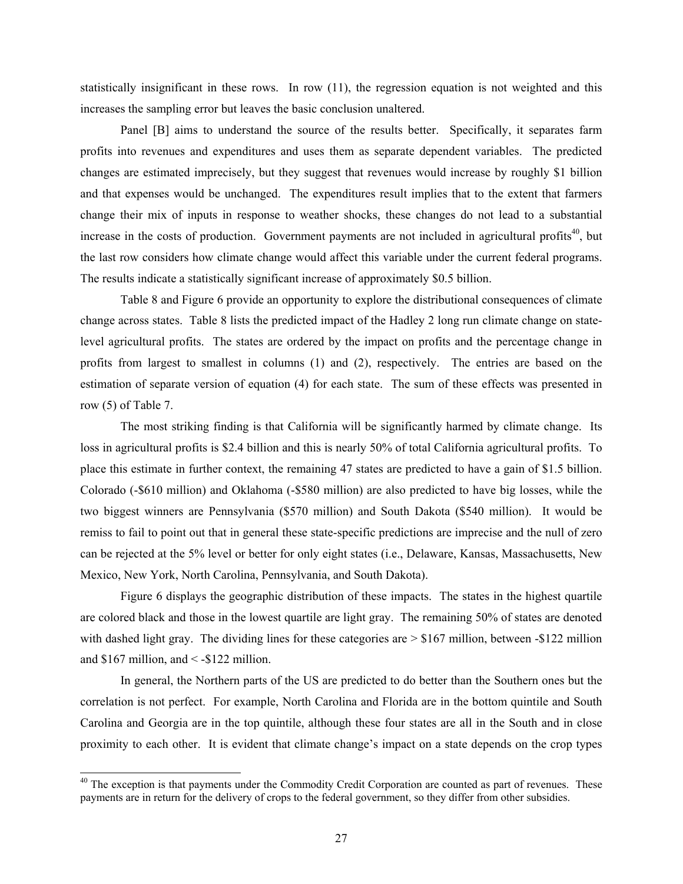statistically insignificant in these rows. In row (11), the regression equation is not weighted and this increases the sampling error but leaves the basic conclusion unaltered.

Panel [B] aims to understand the source of the results better. Specifically, it separates farm profits into revenues and expenditures and uses them as separate dependent variables. The predicted changes are estimated imprecisely, but they suggest that revenues would increase by roughly \$1 billion and that expenses would be unchanged. The expenditures result implies that to the extent that farmers change their mix of inputs in response to weather shocks, these changes do not lead to a substantial increase in the costs of production. Government payments are not included in agricultural profits<sup>40</sup>, but the last row considers how climate change would affect this variable under the current federal programs. The results indicate a statistically significant increase of approximately \$0.5 billion.

Table 8 and Figure 6 provide an opportunity to explore the distributional consequences of climate change across states. Table 8 lists the predicted impact of the Hadley 2 long run climate change on statelevel agricultural profits. The states are ordered by the impact on profits and the percentage change in profits from largest to smallest in columns (1) and (2), respectively. The entries are based on the estimation of separate version of equation (4) for each state. The sum of these effects was presented in row (5) of Table 7.

The most striking finding is that California will be significantly harmed by climate change. Its loss in agricultural profits is \$2.4 billion and this is nearly 50% of total California agricultural profits. To place this estimate in further context, the remaining 47 states are predicted to have a gain of \$1.5 billion. Colorado (-\$610 million) and Oklahoma (-\$580 million) are also predicted to have big losses, while the two biggest winners are Pennsylvania (\$570 million) and South Dakota (\$540 million). It would be remiss to fail to point out that in general these state-specific predictions are imprecise and the null of zero can be rejected at the 5% level or better for only eight states (i.e., Delaware, Kansas, Massachusetts, New Mexico, New York, North Carolina, Pennsylvania, and South Dakota).

Figure 6 displays the geographic distribution of these impacts. The states in the highest quartile are colored black and those in the lowest quartile are light gray. The remaining 50% of states are denoted with dashed light gray. The dividing lines for these categories are  $> $167$  million, between -\$122 million and \$167 million, and  $\le$  -\$122 million.

In general, the Northern parts of the US are predicted to do better than the Southern ones but the correlation is not perfect. For example, North Carolina and Florida are in the bottom quintile and South Carolina and Georgia are in the top quintile, although these four states are all in the South and in close proximity to each other. It is evident that climate change's impact on a state depends on the crop types

<span id="page-28-0"></span><sup>&</sup>lt;sup>40</sup> The exception is that payments under the Commodity Credit Corporation are counted as part of revenues. These payments are in return for the delivery of crops to the federal government, so they differ from other subsidies.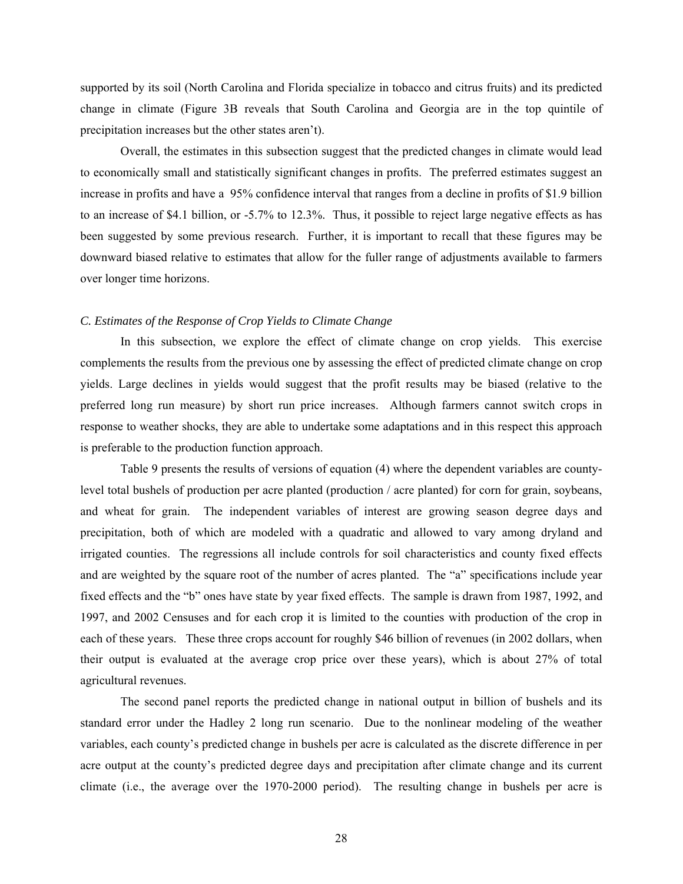supported by its soil (North Carolina and Florida specialize in tobacco and citrus fruits) and its predicted change in climate (Figure 3B reveals that South Carolina and Georgia are in the top quintile of precipitation increases but the other states aren't).

Overall, the estimates in this subsection suggest that the predicted changes in climate would lead to economically small and statistically significant changes in profits. The preferred estimates suggest an increase in profits and have a 95% confidence interval that ranges from a decline in profits of \$1.9 billion to an increase of \$4.1 billion, or -5.7% to 12.3%. Thus, it possible to reject large negative effects as has been suggested by some previous research. Further, it is important to recall that these figures may be downward biased relative to estimates that allow for the fuller range of adjustments available to farmers over longer time horizons.

### *C. Estimates of the Response of Crop Yields to Climate Change*

In this subsection, we explore the effect of climate change on crop yields. This exercise complements the results from the previous one by assessing the effect of predicted climate change on crop yields. Large declines in yields would suggest that the profit results may be biased (relative to the preferred long run measure) by short run price increases. Although farmers cannot switch crops in response to weather shocks, they are able to undertake some adaptations and in this respect this approach is preferable to the production function approach.

Table 9 presents the results of versions of equation (4) where the dependent variables are countylevel total bushels of production per acre planted (production / acre planted) for corn for grain, soybeans, and wheat for grain. The independent variables of interest are growing season degree days and precipitation, both of which are modeled with a quadratic and allowed to vary among dryland and irrigated counties. The regressions all include controls for soil characteristics and county fixed effects and are weighted by the square root of the number of acres planted. The "a" specifications include year fixed effects and the "b" ones have state by year fixed effects. The sample is drawn from 1987, 1992, and 1997, and 2002 Censuses and for each crop it is limited to the counties with production of the crop in each of these years. These three crops account for roughly \$46 billion of revenues (in 2002 dollars, when their output is evaluated at the average crop price over these years), which is about 27% of total agricultural revenues.

The second panel reports the predicted change in national output in billion of bushels and its standard error under the Hadley 2 long run scenario. Due to the nonlinear modeling of the weather variables, each county's predicted change in bushels per acre is calculated as the discrete difference in per acre output at the county's predicted degree days and precipitation after climate change and its current climate (i.e., the average over the 1970-2000 period). The resulting change in bushels per acre is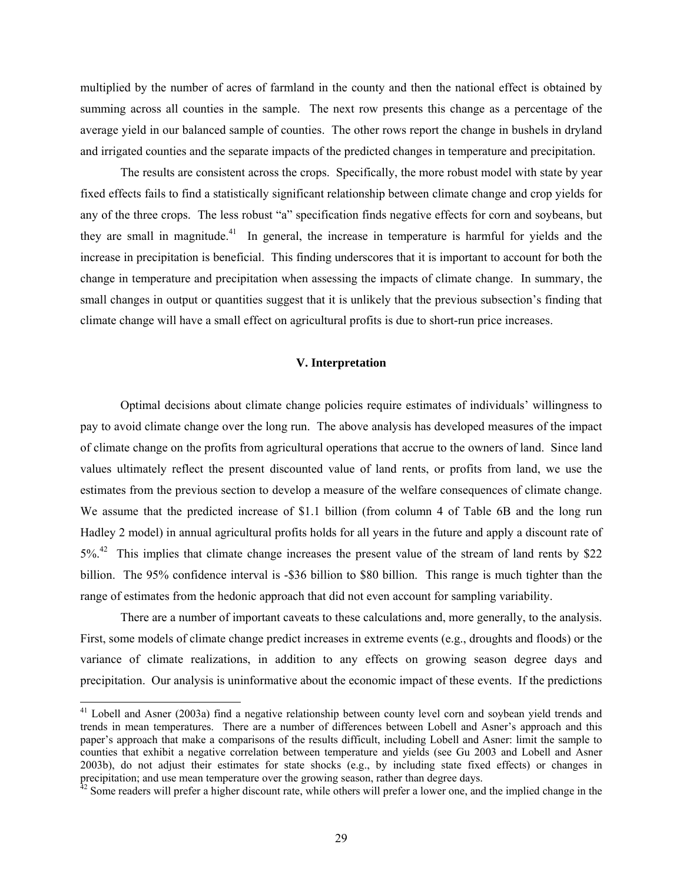multiplied by the number of acres of farmland in the county and then the national effect is obtained by summing across all counties in the sample. The next row presents this change as a percentage of the average yield in our balanced sample of counties. The other rows report the change in bushels in dryland and irrigated counties and the separate impacts of the predicted changes in temperature and precipitation.

The results are consistent across the crops. Specifically, the more robust model with state by year fixed effects fails to find a statistically significant relationship between climate change and crop yields for any of the three crops. The less robust "a" specification finds negative effects for corn and soybeans, but they are small in magnitude.<sup>41</sup> In general, the increase in temperature is harmful for yields and the increase in precipitation is beneficial. This finding underscores that it is important to account for both the change in temperature and precipitation when assessing the impacts of climate change. In summary, the small changes in output or quantities suggest that it is unlikely that the previous subsection's finding that climate change will have a small effect on agricultural profits is due to short-run price increases.

# **V. Interpretation**

Optimal decisions about climate change policies require estimates of individuals' willingness to pay to avoid climate change over the long run. The above analysis has developed measures of the impact of climate change on the profits from agricultural operations that accrue to the owners of land. Since land values ultimately reflect the present discounted value of land rents, or profits from land, we use the estimates from the previous section to develop a measure of the welfare consequences of climate change. We assume that the predicted increase of \$1.1 billion (from column 4 of Table 6B and the long run Hadley 2 model) in annual agricultural profits holds for all years in the future and apply a discount rate of 5%.<sup>42</sup> This implies that climate change increases the present value of the stream of land rents by \$22 billion. The 95% confidence interval is -\$36 billion to \$80 billion. This range is much tighter than the range of estimates from the hedonic approach that did not even account for sampling variability.

There are a number of important caveats to these calculations and, more generally, to the analysis. First, some models of climate change predict increases in extreme events (e.g., droughts and floods) or the variance of climate realizations, in addition to any effects on growing season degree days and precipitation. Our analysis is uninformative about the economic impact of these events. If the predictions

<span id="page-30-0"></span><sup>&</sup>lt;sup>41</sup> Lobell and Asner (2003a) find a negative relationship between county level corn and soybean yield trends and trends in mean temperatures. There are a number of differences between Lobell and Asner's approach and this paper's approach that make a comparisons of the results difficult, including Lobell and Asner: limit the sample to counties that exhibit a negative correlation between temperature and yields (see Gu 2003 and Lobell and Asner 2003b), do not adjust their estimates for state shocks (e.g., by including state fixed effects) or changes in precipitation; and use mean temperature over the growing season, rather than degree days.<br><sup>42</sup> Some readers will prefer a higher discount rate, while others will prefer a lower one, and the implied change in the

<span id="page-30-1"></span>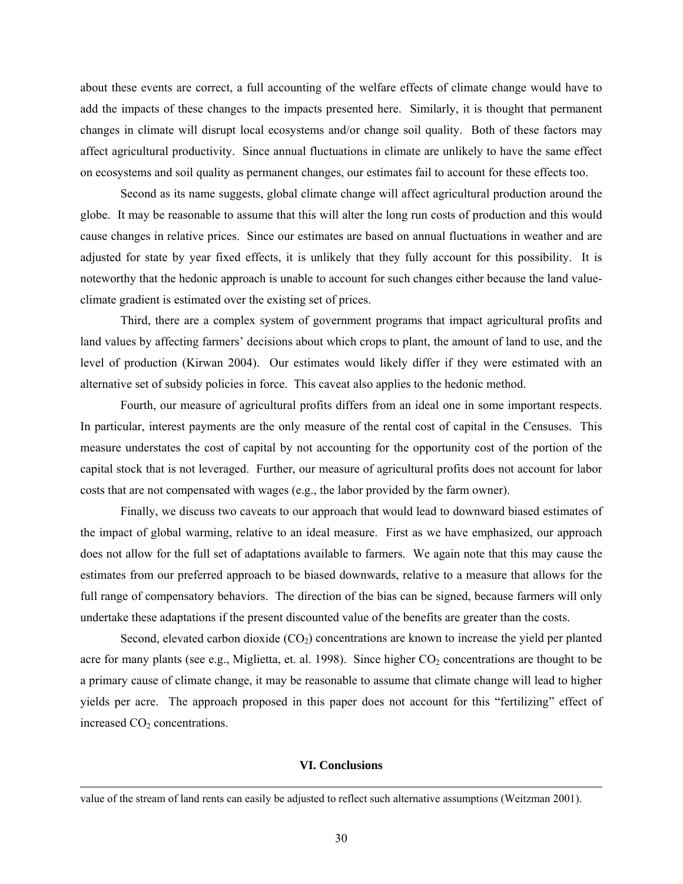about these events are correct, a full accounting of the welfare effects of climate change would have to add the impacts of these changes to the impacts presented here. Similarly, it is thought that permanent changes in climate will disrupt local ecosystems and/or change soil quality. Both of these factors may affect agricultural productivity. Since annual fluctuations in climate are unlikely to have the same effect on ecosystems and soil quality as permanent changes, our estimates fail to account for these effects too.

Second as its name suggests, global climate change will affect agricultural production around the globe. It may be reasonable to assume that this will alter the long run costs of production and this would cause changes in relative prices. Since our estimates are based on annual fluctuations in weather and are adjusted for state by year fixed effects, it is unlikely that they fully account for this possibility. It is noteworthy that the hedonic approach is unable to account for such changes either because the land valueclimate gradient is estimated over the existing set of prices.

Third, there are a complex system of government programs that impact agricultural profits and land values by affecting farmers' decisions about which crops to plant, the amount of land to use, and the level of production (Kirwan 2004). Our estimates would likely differ if they were estimated with an alternative set of subsidy policies in force. This caveat also applies to the hedonic method.

Fourth, our measure of agricultural profits differs from an ideal one in some important respects. In particular, interest payments are the only measure of the rental cost of capital in the Censuses. This measure understates the cost of capital by not accounting for the opportunity cost of the portion of the capital stock that is not leveraged. Further, our measure of agricultural profits does not account for labor costs that are not compensated with wages (e.g., the labor provided by the farm owner).

Finally, we discuss two caveats to our approach that would lead to downward biased estimates of the impact of global warming, relative to an ideal measure. First as we have emphasized, our approach does not allow for the full set of adaptations available to farmers. We again note that this may cause the estimates from our preferred approach to be biased downwards, relative to a measure that allows for the full range of compensatory behaviors. The direction of the bias can be signed, because farmers will only undertake these adaptations if the present discounted value of the benefits are greater than the costs.

Second, elevated carbon dioxide  $(CO<sub>2</sub>)$  concentrations are known to increase the yield per planted acre for many plants (see e.g., Miglietta, et. al. 1998). Since higher  $CO<sub>2</sub>$  concentrations are thought to be a primary cause of climate change, it may be reasonable to assume that climate change will lead to higher yields per acre. The approach proposed in this paper does not account for this "fertilizing" effect of increased  $CO<sub>2</sub>$  concentrations.

#### **VI. Conclusions**

 $\overline{a}$ 

value of the stream of land rents can easily be adjusted to reflect such alternative assumptions (Weitzman 2001).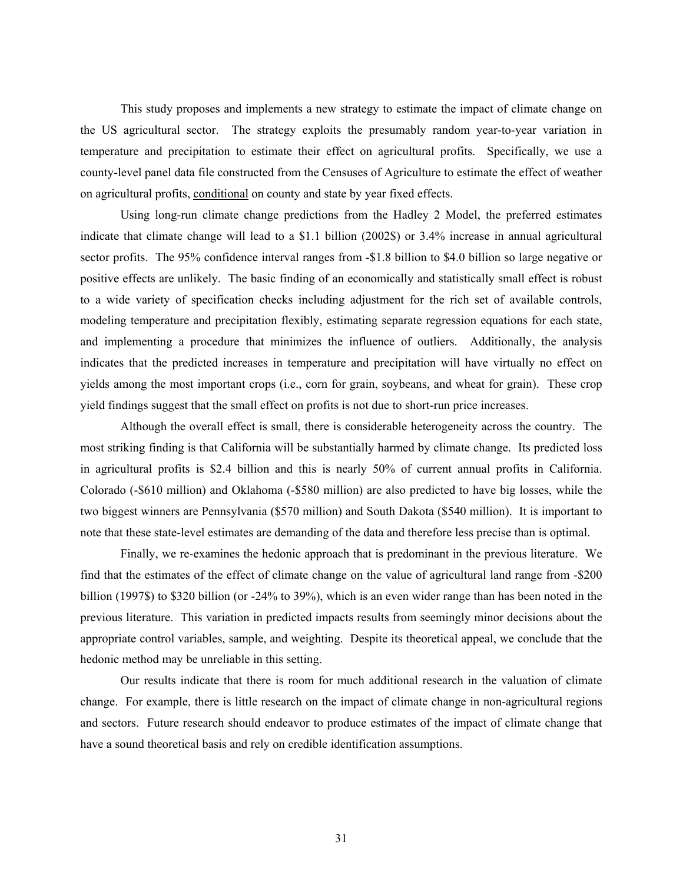This study proposes and implements a new strategy to estimate the impact of climate change on the US agricultural sector. The strategy exploits the presumably random year-to-year variation in temperature and precipitation to estimate their effect on agricultural profits. Specifically, we use a county-level panel data file constructed from the Censuses of Agriculture to estimate the effect of weather on agricultural profits, conditional on county and state by year fixed effects.

Using long-run climate change predictions from the Hadley 2 Model, the preferred estimates indicate that climate change will lead to a \$1.1 billion (2002\$) or 3.4% increase in annual agricultural sector profits. The 95% confidence interval ranges from -\$1.8 billion to \$4.0 billion so large negative or positive effects are unlikely. The basic finding of an economically and statistically small effect is robust to a wide variety of specification checks including adjustment for the rich set of available controls, modeling temperature and precipitation flexibly, estimating separate regression equations for each state, and implementing a procedure that minimizes the influence of outliers. Additionally, the analysis indicates that the predicted increases in temperature and precipitation will have virtually no effect on yields among the most important crops (i.e., corn for grain, soybeans, and wheat for grain). These crop yield findings suggest that the small effect on profits is not due to short-run price increases.

Although the overall effect is small, there is considerable heterogeneity across the country. The most striking finding is that California will be substantially harmed by climate change. Its predicted loss in agricultural profits is \$2.4 billion and this is nearly 50% of current annual profits in California. Colorado (-\$610 million) and Oklahoma (-\$580 million) are also predicted to have big losses, while the two biggest winners are Pennsylvania (\$570 million) and South Dakota (\$540 million). It is important to note that these state-level estimates are demanding of the data and therefore less precise than is optimal.

Finally, we re-examines the hedonic approach that is predominant in the previous literature. We find that the estimates of the effect of climate change on the value of agricultural land range from -\$200 billion (1997\$) to \$320 billion (or -24% to 39%), which is an even wider range than has been noted in the previous literature. This variation in predicted impacts results from seemingly minor decisions about the appropriate control variables, sample, and weighting. Despite its theoretical appeal, we conclude that the hedonic method may be unreliable in this setting.

Our results indicate that there is room for much additional research in the valuation of climate change. For example, there is little research on the impact of climate change in non-agricultural regions and sectors. Future research should endeavor to produce estimates of the impact of climate change that have a sound theoretical basis and rely on credible identification assumptions.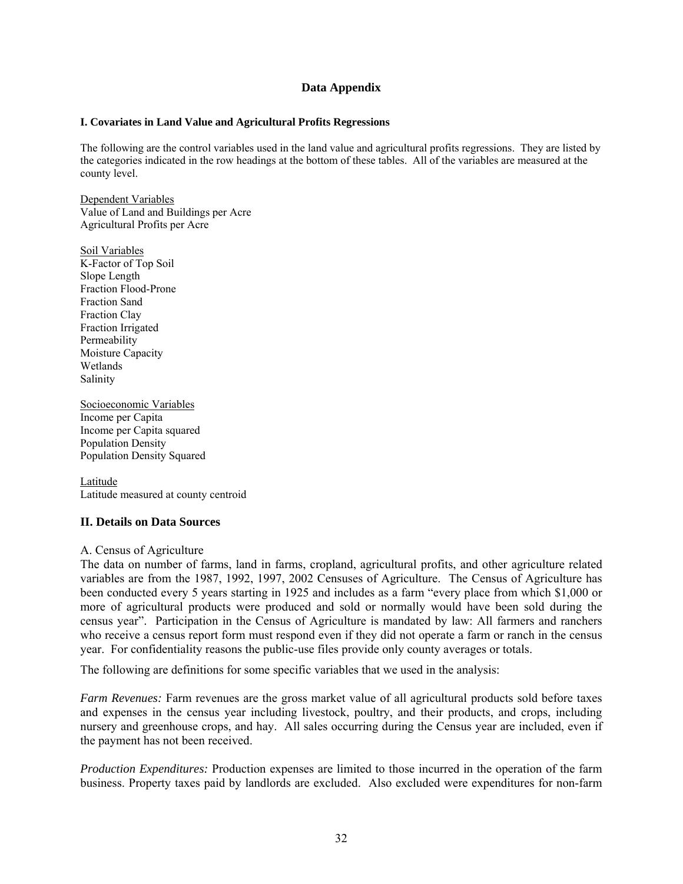# **Data Appendix**

### **I. Covariates in Land Value and Agricultural Profits Regressions**

The following are the control variables used in the land value and agricultural profits regressions. They are listed by the categories indicated in the row headings at the bottom of these tables. All of the variables are measured at the county level.

Dependent Variables Value of Land and Buildings per Acre Agricultural Profits per Acre

Soil Variables K-Factor of Top Soil Slope Length Fraction Flood-Prone Fraction Sand Fraction Clay Fraction Irrigated Permeability Moisture Capacity Wetlands Salinity

Socioeconomic Variables Income per Capita Income per Capita squared Population Density Population Density Squared

Latitude Latitude measured at county centroid

### **II. Details on Data Sources**

### A. Census of Agriculture

The data on number of farms, land in farms, cropland, agricultural profits, and other agriculture related variables are from the 1987, 1992, 1997, 2002 Censuses of Agriculture. The Census of Agriculture has been conducted every 5 years starting in 1925 and includes as a farm "every place from which \$1,000 or more of agricultural products were produced and sold or normally would have been sold during the census year". Participation in the Census of Agriculture is mandated by law: All farmers and ranchers who receive a census report form must respond even if they did not operate a farm or ranch in the census year. For confidentiality reasons the public-use files provide only county averages or totals.

The following are definitions for some specific variables that we used in the analysis:

*Farm Revenues:* Farm revenues are the gross market value of all agricultural products sold before taxes and expenses in the census year including livestock, poultry, and their products, and crops, including nursery and greenhouse crops, and hay. All sales occurring during the Census year are included, even if the payment has not been received.

*Production Expenditures:* Production expenses are limited to those incurred in the operation of the farm business. Property taxes paid by landlords are excluded. Also excluded were expenditures for non-farm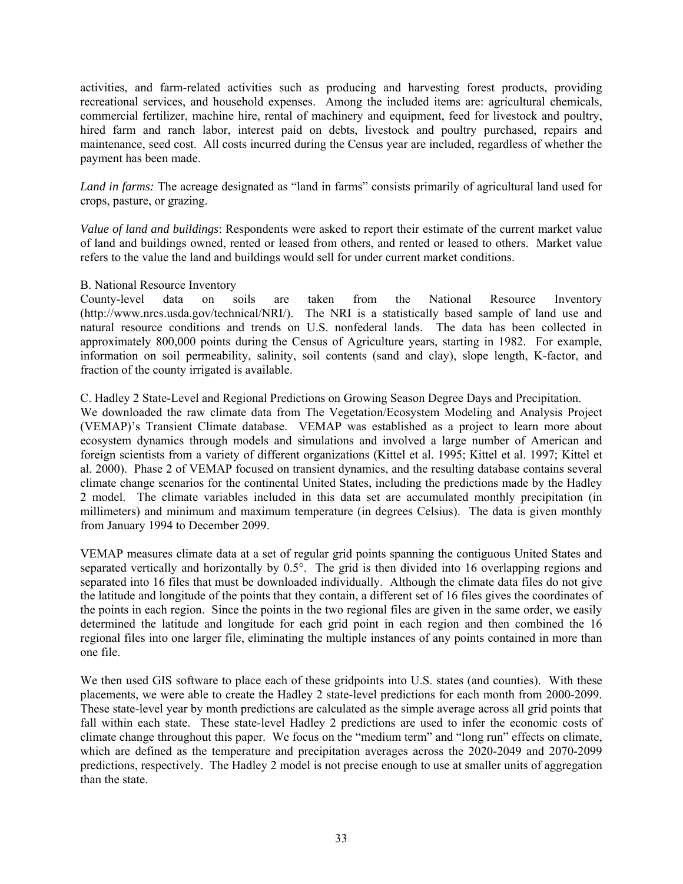activities, and farm-related activities such as producing and harvesting forest products, providing recreational services, and household expenses. Among the included items are: agricultural chemicals, commercial fertilizer, machine hire, rental of machinery and equipment, feed for livestock and poultry, hired farm and ranch labor, interest paid on debts, livestock and poultry purchased, repairs and maintenance, seed cost. All costs incurred during the Census year are included, regardless of whether the payment has been made.

*Land in farms:* The acreage designated as "land in farms" consists primarily of agricultural land used for crops, pasture, or grazing.

*Value of land and buildings*: Respondents were asked to report their estimate of the current market value of land and buildings owned, rented or leased from others, and rented or leased to others. Market value refers to the value the land and buildings would sell for under current market conditions.

# B. National Resource Inventory

County-level data on soils are taken from the National Resource Inventory (http://www.nrcs.usda.gov/technical/NRI/). The NRI is a statistically based sample of land use and natural resource conditions and trends on U.S. nonfederal lands. The data has been collected in approximately 800,000 points during the Census of Agriculture years, starting in 1982. For example, information on soil permeability, salinity, soil contents (sand and clay), slope length, K-factor, and fraction of the county irrigated is available.

# C. Hadley 2 State-Level and Regional Predictions on Growing Season Degree Days and Precipitation.

We downloaded the raw climate data from The Vegetation/Ecosystem Modeling and Analysis Project (VEMAP)'s Transient Climate database. VEMAP was established as a project to learn more about ecosystem dynamics through models and simulations and involved a large number of American and foreign scientists from a variety of different organizations (Kittel et al. 1995; Kittel et al. 1997; Kittel et al. 2000). Phase 2 of VEMAP focused on transient dynamics, and the resulting database contains several climate change scenarios for the continental United States, including the predictions made by the Hadley 2 model. The climate variables included in this data set are accumulated monthly precipitation (in millimeters) and minimum and maximum temperature (in degrees Celsius). The data is given monthly from January 1994 to December 2099.

VEMAP measures climate data at a set of regular grid points spanning the contiguous United States and separated vertically and horizontally by 0.5°. The grid is then divided into 16 overlapping regions and separated into 16 files that must be downloaded individually. Although the climate data files do not give the latitude and longitude of the points that they contain, a different set of 16 files gives the coordinates of the points in each region. Since the points in the two regional files are given in the same order, we easily determined the latitude and longitude for each grid point in each region and then combined the 16 regional files into one larger file, eliminating the multiple instances of any points contained in more than one file.

We then used GIS software to place each of these gridpoints into U.S. states (and counties). With these placements, we were able to create the Hadley 2 state-level predictions for each month from 2000-2099. These state-level year by month predictions are calculated as the simple average across all grid points that fall within each state. These state-level Hadley 2 predictions are used to infer the economic costs of climate change throughout this paper. We focus on the "medium term" and "long run" effects on climate, which are defined as the temperature and precipitation averages across the 2020-2049 and 2070-2099 predictions, respectively. The Hadley 2 model is not precise enough to use at smaller units of aggregation than the state.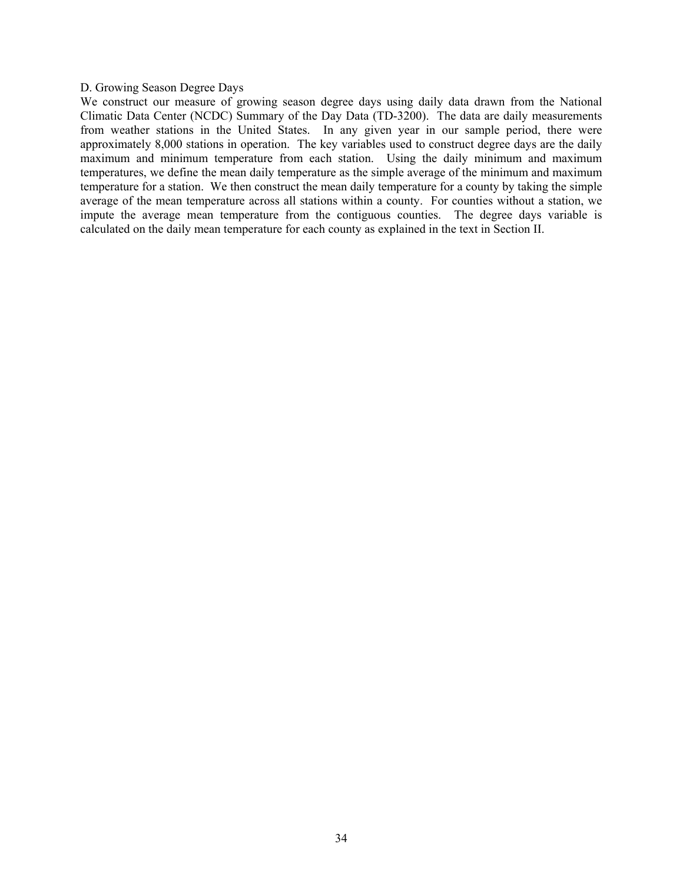### D. Growing Season Degree Days

We construct our measure of growing season degree days using daily data drawn from the National Climatic Data Center (NCDC) Summary of the Day Data (TD-3200). The data are daily measurements from weather stations in the United States. In any given year in our sample period, there were approximately 8,000 stations in operation. The key variables used to construct degree days are the daily maximum and minimum temperature from each station. Using the daily minimum and maximum temperatures, we define the mean daily temperature as the simple average of the minimum and maximum temperature for a station. We then construct the mean daily temperature for a county by taking the simple average of the mean temperature across all stations within a county. For counties without a station, we impute the average mean temperature from the contiguous counties. The degree days variable is calculated on the daily mean temperature for each county as explained in the text in Section II.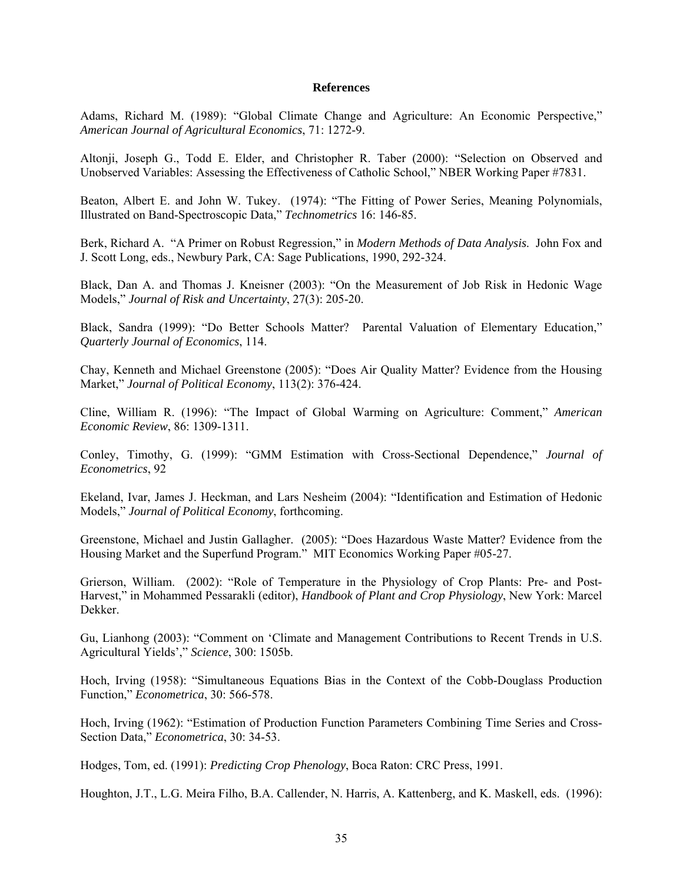#### **References**

Adams, Richard M. (1989): "Global Climate Change and Agriculture: An Economic Perspective," *American Journal of Agricultural Economics*, 71: 1272-9.

Altonji, Joseph G., Todd E. Elder, and Christopher R. Taber (2000): "Selection on Observed and Unobserved Variables: Assessing the Effectiveness of Catholic School," NBER Working Paper #7831.

Beaton, Albert E. and John W. Tukey. (1974): "The Fitting of Power Series, Meaning Polynomials, Illustrated on Band-Spectroscopic Data," *Technometrics* 16: 146-85.

Berk, Richard A. "A Primer on Robust Regression," in *Modern Methods of Data Analysis*. John Fox and J. Scott Long, eds., Newbury Park, CA: Sage Publications, 1990, 292-324.

Black, Dan A. and Thomas J. Kneisner (2003): "On the Measurement of Job Risk in Hedonic Wage Models," *Journal of Risk and Uncertainty*, 27(3): 205-20.

Black, Sandra (1999): "Do Better Schools Matter? Parental Valuation of Elementary Education," *Quarterly Journal of Economics*, 114.

Chay, Kenneth and Michael Greenstone (2005): "Does Air Quality Matter? Evidence from the Housing Market," *Journal of Political Economy*, 113(2): 376-424.

Cline, William R. (1996): "The Impact of Global Warming on Agriculture: Comment," *American Economic Review*, 86: 1309-1311.

Conley, Timothy, G. (1999): "GMM Estimation with Cross-Sectional Dependence," *Journal of Econometrics*, 92

Ekeland, Ivar, James J. Heckman, and Lars Nesheim (2004): "Identification and Estimation of Hedonic Models," *Journal of Political Economy*, forthcoming.

Greenstone, Michael and Justin Gallagher. (2005): "Does Hazardous Waste Matter? Evidence from the Housing Market and the Superfund Program." MIT Economics Working Paper #05-27.

Grierson, William. (2002): "Role of Temperature in the Physiology of Crop Plants: Pre- and Post-Harvest," in Mohammed Pessarakli (editor), *Handbook of Plant and Crop Physiology*, New York: Marcel Dekker.

Gu, Lianhong (2003): "Comment on 'Climate and Management Contributions to Recent Trends in U.S. Agricultural Yields'," *Science*, 300: 1505b.

Hoch, Irving (1958): "Simultaneous Equations Bias in the Context of the Cobb-Douglass Production Function," *Econometrica*, 30: 566-578.

Hoch, Irving (1962): "Estimation of Production Function Parameters Combining Time Series and Cross-Section Data," *Econometrica*, 30: 34-53.

Hodges, Tom, ed. (1991): *Predicting Crop Phenology*, Boca Raton: CRC Press, 1991.

Houghton, J.T., L.G. Meira Filho, B.A. Callender, N. Harris, A. Kattenberg, and K. Maskell, eds. (1996):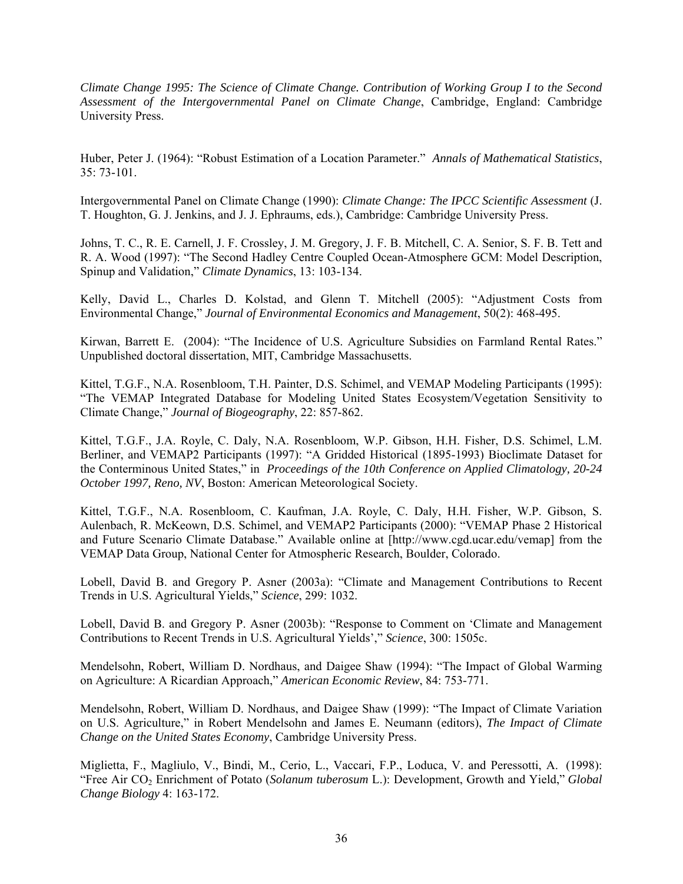*Climate Change 1995: The Science of Climate Change. Contribution of Working Group I to the Second Assessment of the Intergovernmental Panel on Climate Change*, Cambridge, England: Cambridge University Press.

Huber, Peter J. (1964): "Robust Estimation of a Location Parameter." *Annals of Mathematical Statistics*, 35: 73-101.

Intergovernmental Panel on Climate Change (1990): *Climate Change: The IPCC Scientific Assessment* (J. T. Houghton, G. J. Jenkins, and J. J. Ephraums, eds.), Cambridge: Cambridge University Press.

Johns, T. C., R. E. Carnell, J. F. Crossley, J. M. Gregory, J. F. B. Mitchell, C. A. Senior, S. F. B. Tett and R. A. Wood (1997): "The Second Hadley Centre Coupled Ocean-Atmosphere GCM: Model Description, Spinup and Validation," *Climate Dynamics*, 13: 103-134.

Kelly, David L., Charles D. Kolstad, and Glenn T. Mitchell (2005): "Adjustment Costs from Environmental Change," *Journal of Environmental Economics and Management*, 50(2): 468-495.

Kirwan, Barrett E. (2004): "The Incidence of U.S. Agriculture Subsidies on Farmland Rental Rates." Unpublished doctoral dissertation, MIT, Cambridge Massachusetts.

Kittel, T.G.F., N.A. Rosenbloom, T.H. Painter, D.S. Schimel, and VEMAP Modeling Participants (1995): "The VEMAP Integrated Database for Modeling United States Ecosystem/Vegetation Sensitivity to Climate Change," *Journal of Biogeography*, 22: 857-862.

Kittel, T.G.F., J.A. Royle, C. Daly, N.A. Rosenbloom, W.P. Gibson, H.H. Fisher, D.S. Schimel, L.M. Berliner, and VEMAP2 Participants (1997): "A Gridded Historical (1895-1993) Bioclimate Dataset for the Conterminous United States," in *Proceedings of the 10th Conference on Applied Climatology, 20-24 October 1997, Reno, NV*, Boston: American Meteorological Society.

Kittel, T.G.F., N.A. Rosenbloom, C. Kaufman, J.A. Royle, C. Daly, H.H. Fisher, W.P. Gibson, S. Aulenbach, R. McKeown, D.S. Schimel, and VEMAP2 Participants (2000): "VEMAP Phase 2 Historical and Future Scenario Climate Database." Available online at [http://www.cgd.ucar.edu/vemap] from the VEMAP Data Group, National Center for Atmospheric Research, Boulder, Colorado.

Lobell, David B. and Gregory P. Asner (2003a): "Climate and Management Contributions to Recent Trends in U.S. Agricultural Yields," *Science*, 299: 1032.

Lobell, David B. and Gregory P. Asner (2003b): "Response to Comment on 'Climate and Management Contributions to Recent Trends in U.S. Agricultural Yields'," *Science*, 300: 1505c.

Mendelsohn, Robert, William D. Nordhaus, and Daigee Shaw (1994): "The Impact of Global Warming on Agriculture: A Ricardian Approach," *American Economic Review*, 84: 753-771.

Mendelsohn, Robert, William D. Nordhaus, and Daigee Shaw (1999): "The Impact of Climate Variation on U.S. Agriculture," in Robert Mendelsohn and James E. Neumann (editors), *The Impact of Climate Change on the United States Economy*, Cambridge University Press.

Miglietta, F., Magliulo, V., Bindi, M., Cerio, L., Vaccari, F.P., Loduca, V. and Peressotti, A. (1998): "Free Air CO<sub>2</sub> Enrichment of Potato (*Solanum tuberosum L.*): Development, Growth and Yield," *Global Change Biology* 4: 163-172.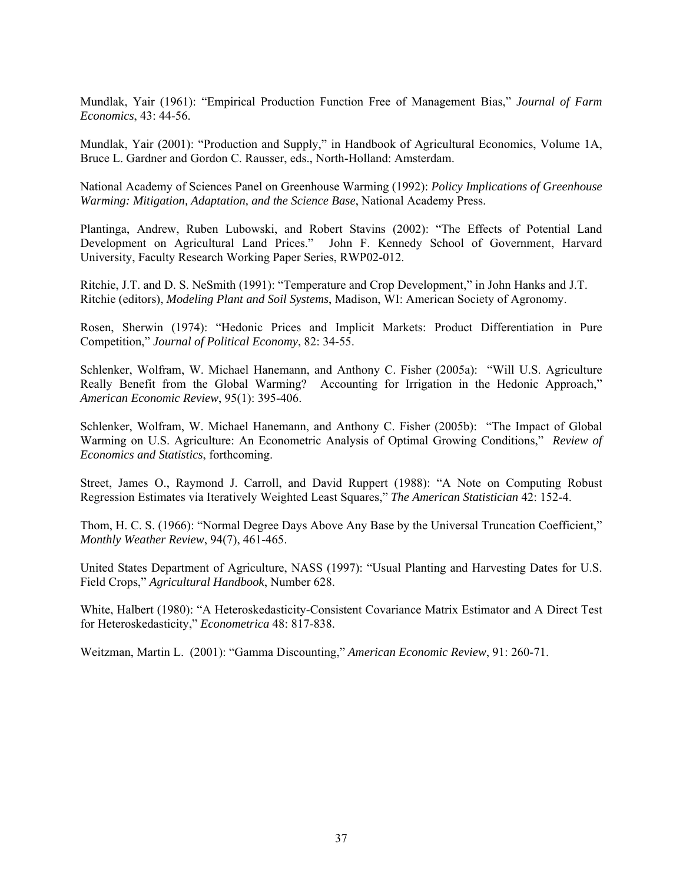Mundlak, Yair (1961): "Empirical Production Function Free of Management Bias," *Journal of Farm Economics*, 43: 44-56.

Mundlak, Yair (2001): "Production and Supply," in Handbook of Agricultural Economics, Volume 1A, Bruce L. Gardner and Gordon C. Rausser, eds., North-Holland: Amsterdam.

National Academy of Sciences Panel on Greenhouse Warming (1992): *Policy Implications of Greenhouse Warming: Mitigation, Adaptation, and the Science Base*, National Academy Press.

Plantinga, Andrew, Ruben Lubowski, and Robert Stavins (2002): "The Effects of Potential Land Development on Agricultural Land Prices." John F. Kennedy School of Government, Harvard University, Faculty Research Working Paper Series, RWP02-012.

Ritchie, J.T. and D. S. NeSmith (1991): "Temperature and Crop Development," in John Hanks and J.T. Ritchie (editors), *Modeling Plant and Soil Systems*, Madison, WI: American Society of Agronomy.

Rosen, Sherwin (1974): "Hedonic Prices and Implicit Markets: Product Differentiation in Pure Competition," *Journal of Political Economy*, 82: 34-55.

Schlenker, Wolfram, W. Michael Hanemann, and Anthony C. Fisher (2005a): "Will U.S. Agriculture Really Benefit from the Global Warming? Accounting for Irrigation in the Hedonic Approach," *American Economic Review*, 95(1): 395-406.

Schlenker, Wolfram, W. Michael Hanemann, and Anthony C. Fisher (2005b): "The Impact of Global Warming on U.S. Agriculture: An Econometric Analysis of Optimal Growing Conditions," *Review of Economics and Statistics*, forthcoming.

Street, James O., Raymond J. Carroll, and David Ruppert (1988): "A Note on Computing Robust Regression Estimates via Iteratively Weighted Least Squares," *The American Statistician* 42: 152-4.

Thom, H. C. S. (1966): "Normal Degree Days Above Any Base by the Universal Truncation Coefficient," *Monthly Weather Review*, 94(7), 461-465.

United States Department of Agriculture, NASS (1997): "Usual Planting and Harvesting Dates for U.S. Field Crops," *Agricultural Handbook*, Number 628.

White, Halbert (1980): "A Heteroskedasticity-Consistent Covariance Matrix Estimator and A Direct Test for Heteroskedasticity," *Econometrica* 48: 817-838.

Weitzman, Martin L. (2001): "Gamma Discounting," *American Economic Review*, 91: 260-71.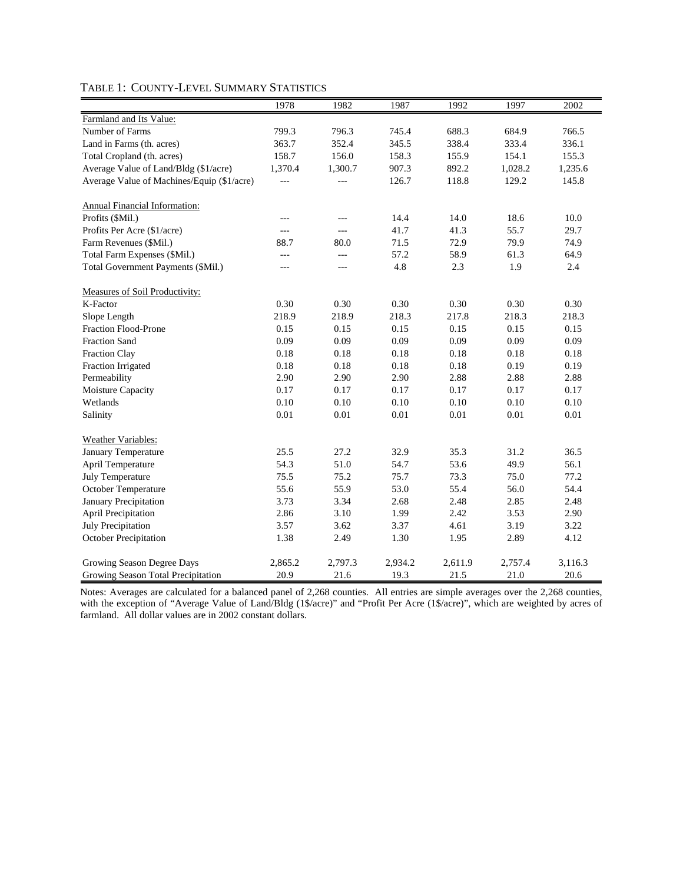# TABLE 1: COUNTY-LEVEL SUMMARY STATISTICS

|                                            | 1978    | 1982           | 1987    | 1992    | 1997    | 2002    |
|--------------------------------------------|---------|----------------|---------|---------|---------|---------|
| Farmland and Its Value:                    |         |                |         |         |         |         |
| Number of Farms                            | 799.3   | 796.3          | 745.4   | 688.3   | 684.9   | 766.5   |
| Land in Farms (th. acres)                  | 363.7   | 352.4          | 345.5   | 338.4   | 333.4   | 336.1   |
| Total Cropland (th. acres)                 | 158.7   | 156.0          | 158.3   | 155.9   | 154.1   | 155.3   |
| Average Value of Land/Bldg (\$1/acre)      | 1,370.4 | 1,300.7        | 907.3   | 892.2   | 1,028.2 | 1,235.6 |
| Average Value of Machines/Equip (\$1/acre) | ---     | ---            | 126.7   | 118.8   | 129.2   | 145.8   |
| <b>Annual Financial Information:</b>       |         |                |         |         |         |         |
| Profits (\$Mil.)                           | ---     | $\overline{a}$ | 14.4    | 14.0    | 18.6    | 10.0    |
| Profits Per Acre (\$1/acre)                | $---$   | $\overline{a}$ | 41.7    | 41.3    | 55.7    | 29.7    |
| Farm Revenues (\$Mil.)                     | 88.7    | 80.0           | 71.5    | 72.9    | 79.9    | 74.9    |
| Total Farm Expenses (\$Mil.)               | $---$   | $---$          | 57.2    | 58.9    | 61.3    | 64.9    |
| Total Government Payments (\$Mil.)         | ---     | ---            | 4.8     | 2.3     | 1.9     | 2.4     |
| <b>Measures of Soil Productivity:</b>      |         |                |         |         |         |         |
| K-Factor                                   | 0.30    | 0.30           | 0.30    | 0.30    | 0.30    | 0.30    |
| Slope Length                               | 218.9   | 218.9          | 218.3   | 217.8   | 218.3   | 218.3   |
| <b>Fraction Flood-Prone</b>                | 0.15    | 0.15           | 0.15    | 0.15    | 0.15    | 0.15    |
| <b>Fraction Sand</b>                       | 0.09    | 0.09           | 0.09    | 0.09    | 0.09    | 0.09    |
| <b>Fraction Clay</b>                       | 0.18    | 0.18           | 0.18    | 0.18    | 0.18    | 0.18    |
| Fraction Irrigated                         | 0.18    | 0.18           | 0.18    | 0.18    | 0.19    | 0.19    |
| Permeability                               | 2.90    | 2.90           | 2.90    | 2.88    | 2.88    | 2.88    |
| Moisture Capacity                          | 0.17    | 0.17           | 0.17    | 0.17    | 0.17    | 0.17    |
| Wetlands                                   | 0.10    | 0.10           | 0.10    | 0.10    | 0.10    | 0.10    |
| Salinity                                   | 0.01    | 0.01           | 0.01    | 0.01    | 0.01    | 0.01    |
| <b>Weather Variables:</b>                  |         |                |         |         |         |         |
| January Temperature                        | 25.5    | 27.2           | 32.9    | 35.3    | 31.2    | 36.5    |
| April Temperature                          | 54.3    | 51.0           | 54.7    | 53.6    | 49.9    | 56.1    |
| July Temperature                           | 75.5    | 75.2           | 75.7    | 73.3    | 75.0    | 77.2    |
| October Temperature                        | 55.6    | 55.9           | 53.0    | 55.4    | 56.0    | 54.4    |
| January Precipitation                      | 3.73    | 3.34           | 2.68    | 2.48    | 2.85    | 2.48    |
| <b>April Precipitation</b>                 | 2.86    | 3.10           | 1.99    | 2.42    | 3.53    | 2.90    |
| July Precipitation                         | 3.57    | 3.62           | 3.37    | 4.61    | 3.19    | 3.22    |
| October Precipitation                      | 1.38    | 2.49           | 1.30    | 1.95    | 2.89    | 4.12    |
| Growing Season Degree Days                 | 2,865.2 | 2,797.3        | 2,934.2 | 2,611.9 | 2,757.4 | 3,116.3 |
| Growing Season Total Precipitation         | 20.9    | 21.6           | 19.3    | 21.5    | 21.0    | 20.6    |

Notes: Averages are calculated for a balanced panel of 2,268 counties. All entries are simple averages over the 2,268 counties, with the exception of "Average Value of Land/Bldg (1\$/acre)" and "Profit Per Acre (1\$/acre)", which are weighted by acres of farmland. All dollar values are in 2002 constant dollars.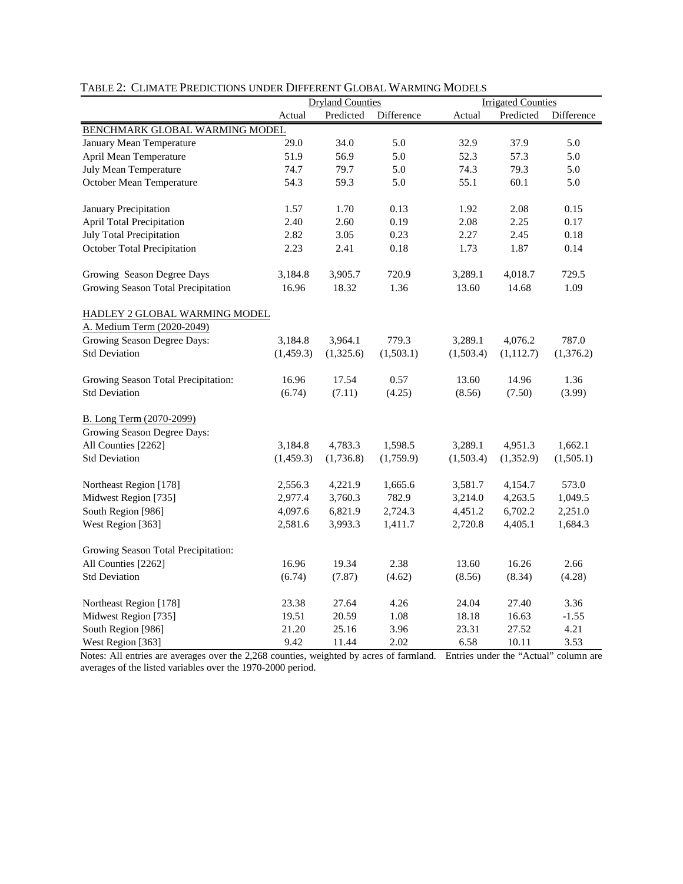| I ADLE 2. CLIMATE I REDICTIONS UNDER DIFFERENT OLODAL WARMING MODELS |           | <b>Dryland Counties</b> |            |           | <b>Irrigated Counties</b> |            |
|----------------------------------------------------------------------|-----------|-------------------------|------------|-----------|---------------------------|------------|
|                                                                      | Actual    | Predicted               | Difference | Actual    | Predicted                 | Difference |
| BENCHMARK GLOBAL WARMING MODEL                                       |           |                         |            |           |                           |            |
| January Mean Temperature                                             | 29.0      | 34.0                    | 5.0        | 32.9      | 37.9                      | 5.0        |
| April Mean Temperature                                               | 51.9      | 56.9                    | 5.0        | 52.3      | 57.3                      | 5.0        |
| July Mean Temperature                                                | 74.7      | 79.7                    | 5.0        | 74.3      | 79.3                      | 5.0        |
| October Mean Temperature                                             | 54.3      | 59.3                    | 5.0        | 55.1      | 60.1                      | 5.0        |
| January Precipitation                                                | 1.57      | 1.70                    | 0.13       | 1.92      | 2.08                      | 0.15       |
| <b>April Total Precipitation</b>                                     | 2.40      | 2.60                    | 0.19       | 2.08      | 2.25                      | 0.17       |
| <b>July Total Precipitation</b>                                      | 2.82      | 3.05                    | 0.23       | 2.27      | 2.45                      | 0.18       |
| October Total Precipitation                                          | 2.23      | 2.41                    | 0.18       | 1.73      | 1.87                      | 0.14       |
| Growing Season Degree Days                                           | 3,184.8   | 3,905.7                 | 720.9      | 3,289.1   | 4,018.7                   | 729.5      |
| Growing Season Total Precipitation                                   | 16.96     | 18.32                   | 1.36       | 13.60     | 14.68                     | 1.09       |
| HADLEY 2 GLOBAL WARMING MODEL                                        |           |                         |            |           |                           |            |
| A. Medium Term (2020-2049)                                           |           |                         |            |           |                           |            |
| Growing Season Degree Days:                                          | 3,184.8   | 3,964.1                 | 779.3      | 3,289.1   | 4,076.2                   | 787.0      |
| <b>Std Deviation</b>                                                 | (1,459.3) | (1,325.6)               | (1,503.1)  | (1,503.4) | (1, 112.7)                | (1, 376.2) |
| Growing Season Total Precipitation:                                  | 16.96     | 17.54                   | 0.57       | 13.60     | 14.96                     | 1.36       |
| <b>Std Deviation</b>                                                 | (6.74)    | (7.11)                  | (4.25)     | (8.56)    | (7.50)                    | (3.99)     |
| B. Long Term (2070-2099)                                             |           |                         |            |           |                           |            |
| Growing Season Degree Days:                                          |           |                         |            |           |                           |            |
| All Counties [2262]                                                  | 3,184.8   | 4,783.3                 | 1,598.5    | 3,289.1   | 4,951.3                   | 1,662.1    |
| <b>Std Deviation</b>                                                 | (1,459.3) | (1,736.8)               | (1,759.9)  | (1,503.4) | (1,352.9)                 | (1,505.1)  |
| Northeast Region [178]                                               | 2,556.3   | 4,221.9                 | 1,665.6    | 3,581.7   | 4,154.7                   | 573.0      |
| Midwest Region [735]                                                 | 2,977.4   | 3,760.3                 | 782.9      | 3,214.0   | 4,263.5                   | 1,049.5    |
| South Region [986]                                                   | 4,097.6   | 6,821.9                 | 2,724.3    | 4,451.2   | 6,702.2                   | 2,251.0    |
| West Region [363]                                                    | 2,581.6   | 3,993.3                 | 1,411.7    | 2,720.8   | 4,405.1                   | 1,684.3    |
| Growing Season Total Precipitation:                                  |           |                         |            |           |                           |            |
| All Counties [2262]                                                  | 16.96     | 19.34                   | 2.38       | 13.60     | 16.26                     | 2.66       |
| <b>Std Deviation</b>                                                 | (6.74)    | (7.87)                  | (4.62)     | (8.56)    | (8.34)                    | (4.28)     |
| Northeast Region [178]                                               | 23.38     | 27.64                   | 4.26       | 24.04     | 27.40                     | 3.36       |
| Midwest Region [735]                                                 | 19.51     | 20.59                   | 1.08       | 18.18     | 16.63                     | $-1.55$    |
| South Region [986]                                                   | 21.20     | 25.16                   | 3.96       | 23.31     | 27.52                     | 4.21       |
| West Region [363]                                                    | 9.42      | 11.44                   | 2.02       | 6.58      | 10.11                     | 3.53       |

# TABLE 2: CLIMATE PREDICTIONS UNDER DIFFERENT GLOBAL WARMING MODELS

Notes: All entries are averages over the 2,268 counties, weighted by acres of farmland. Entries under the "Actual" column are averages of the listed variables over the 1970-2000 period.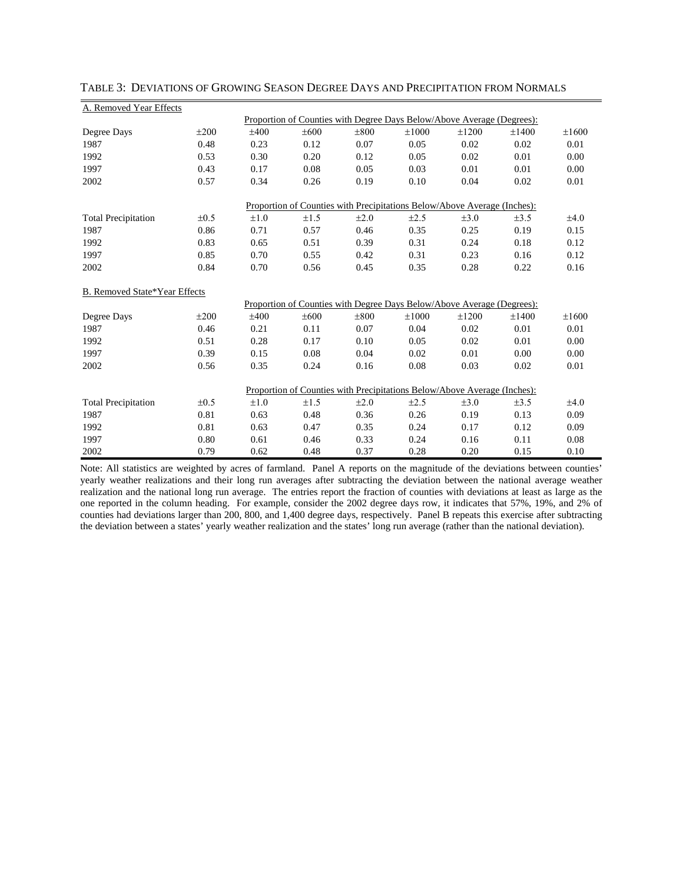| A. Removed Year Effects       |           |           |           |           |                                                                          |           |           |       |
|-------------------------------|-----------|-----------|-----------|-----------|--------------------------------------------------------------------------|-----------|-----------|-------|
|                               |           |           |           |           | Proportion of Counties with Degree Days Below/Above Average (Degrees):   |           |           |       |
| Degree Days                   | ±200      | ±400      | $\pm 600$ | $\pm 800$ | $\pm 1000$                                                               | ±1200     | ±1400     | ±1600 |
| 1987                          | 0.48      | 0.23      | 0.12      | 0.07      | 0.05                                                                     | 0.02      | 0.02      | 0.01  |
| 1992                          | 0.53      | 0.30      | 0.20      | 0.12      | 0.05                                                                     | 0.02      | 0.01      | 0.00  |
| 1997                          | 0.43      | 0.17      | 0.08      | 0.05      | 0.03                                                                     | 0.01      | 0.01      | 0.00  |
| 2002                          | 0.57      | 0.34      | 0.26      | 0.19      | 0.10                                                                     | 0.04      | 0.02      | 0.01  |
|                               |           |           |           |           | Proportion of Counties with Precipitations Below/Above Average (Inches): |           |           |       |
| <b>Total Precipitation</b>    | $\pm 0.5$ | $\pm 1.0$ | $\pm 1.5$ | $\pm 2.0$ | ±2.5                                                                     | $\pm 3.0$ | $\pm 3.5$ | ±4.0  |
| 1987                          | 0.86      | 0.71      | 0.57      | 0.46      | 0.35                                                                     | 0.25      | 0.19      | 0.15  |
| 1992                          | 0.83      | 0.65      | 0.51      | 0.39      | 0.31                                                                     | 0.24      | 0.18      | 0.12  |
| 1997                          | 0.85      | 0.70      | 0.55      | 0.42      | 0.31                                                                     | 0.23      | 0.16      | 0.12  |
| 2002                          | 0.84      | 0.70      | 0.56      | 0.45      | 0.35                                                                     | 0.28      | 0.22      | 0.16  |
| B. Removed State*Year Effects |           |           |           |           |                                                                          |           |           |       |
|                               |           |           |           |           | Proportion of Counties with Degree Days Below/Above Average (Degrees):   |           |           |       |
| Degree Days                   | ±200      | ±400      | $\pm 600$ | $\pm 800$ | ±1000                                                                    | ±1200     | ±1400     | ±1600 |
| 1987                          | 0.46      | 0.21      | 0.11      | 0.07      | 0.04                                                                     | 0.02      | 0.01      | 0.01  |
| 1992                          | 0.51      | 0.28      | 0.17      | 0.10      | 0.05                                                                     | 0.02      | 0.01      | 0.00  |
| 1997                          | 0.39      | 0.15      | 0.08      | 0.04      | 0.02                                                                     | 0.01      | 0.00      | 0.00  |
| 2002                          | 0.56      | 0.35      | 0.24      | 0.16      | 0.08                                                                     | 0.03      | 0.02      | 0.01  |
|                               |           |           |           |           | Proportion of Counties with Precipitations Below/Above Average (Inches): |           |           |       |
| <b>Total Precipitation</b>    | $\pm 0.5$ | ±1.0      | ±1.5      | $\pm 2.0$ | $\pm 2.5$                                                                | $\pm 3.0$ | $\pm 3.5$ | ±4.0  |
| 1987                          | 0.81      | 0.63      | 0.48      | 0.36      | 0.26                                                                     | 0.19      | 0.13      | 0.09  |
| 1992                          | 0.81      | 0.63      | 0.47      | 0.35      | 0.24                                                                     | 0.17      | 0.12      | 0.09  |
| 1997                          | 0.80      | 0.61      | 0.46      | 0.33      | 0.24                                                                     | 0.16      | 0.11      | 0.08  |
| 2002                          | 0.79      | 0.62      | 0.48      | 0.37      | 0.28                                                                     | 0.20      | 0.15      | 0.10  |

TABLE 3: DEVIATIONS OF GROWING SEASON DEGREE DAYS AND PRECIPITATION FROM NORMALS

Note: All statistics are weighted by acres of farmland. Panel A reports on the magnitude of the deviations between counties' yearly weather realizations and their long run averages after subtracting the deviation between the national average weather realization and the national long run average. The entries report the fraction of counties with deviations at least as large as the one reported in the column heading. For example, consider the 2002 degree days row, it indicates that 57%, 19%, and 2% of counties had deviations larger than 200, 800, and 1,400 degree days, respectively. Panel B repeats this exercise after subtracting the deviation between a states' yearly weather realization and the states' long run average (rather than the national deviation).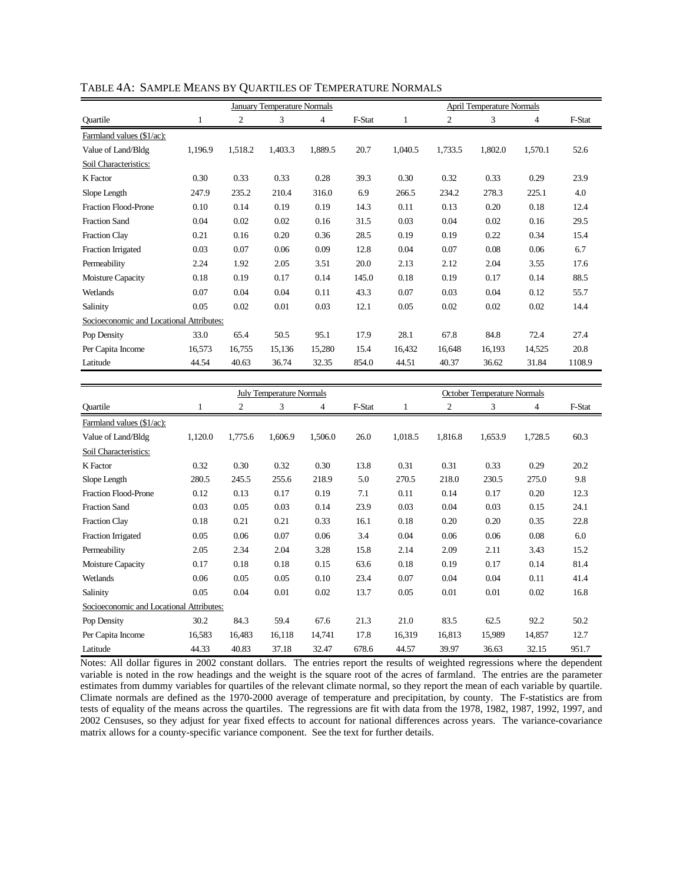|                                          |         |         | January Temperature Normals |                |        |         | <b>April Temperature Normals</b> |         |         |        |
|------------------------------------------|---------|---------|-----------------------------|----------------|--------|---------|----------------------------------|---------|---------|--------|
| Quartile                                 |         | 2       | 3                           | $\overline{4}$ | F-Stat |         | 2                                | 3       | 4       | F-Stat |
| Farmland values (\$1/ac):                |         |         |                             |                |        |         |                                  |         |         |        |
| Value of Land/Bldg                       | 1,196.9 | 1,518.2 | 1,403.3                     | 1,889.5        | 20.7   | 1,040.5 | 1,733.5                          | 1,802.0 | 1,570.1 | 52.6   |
| Soil Characteristics:                    |         |         |                             |                |        |         |                                  |         |         |        |
| K Factor                                 | 0.30    | 0.33    | 0.33                        | 0.28           | 39.3   | 0.30    | 0.32                             | 0.33    | 0.29    | 23.9   |
| Slope Length                             | 247.9   | 235.2   | 210.4                       | 316.0          | 6.9    | 266.5   | 234.2                            | 278.3   | 225.1   | 4.0    |
| <b>Fraction Flood-Prone</b>              | 0.10    | 0.14    | 0.19                        | 0.19           | 14.3   | 0.11    | 0.13                             | 0.20    | 0.18    | 12.4   |
| <b>Fraction Sand</b>                     | 0.04    | 0.02    | 0.02                        | 0.16           | 31.5   | 0.03    | 0.04                             | 0.02    | 0.16    | 29.5   |
| <b>Fraction Clay</b>                     | 0.21    | 0.16    | 0.20                        | 0.36           | 28.5   | 0.19    | 0.19                             | 0.22    | 0.34    | 15.4   |
| Fraction Irrigated                       | 0.03    | 0.07    | 0.06                        | 0.09           | 12.8   | 0.04    | 0.07                             | 0.08    | 0.06    | 6.7    |
| Permeability                             | 2.24    | 1.92    | 2.05                        | 3.51           | 20.0   | 2.13    | 2.12                             | 2.04    | 3.55    | 17.6   |
| Moisture Capacity                        | 0.18    | 0.19    | 0.17                        | 0.14           | 145.0  | 0.18    | 0.19                             | 0.17    | 0.14    | 88.5   |
| Wetlands                                 | 0.07    | 0.04    | 0.04                        | 0.11           | 43.3   | 0.07    | 0.03                             | 0.04    | 0.12    | 55.7   |
| Salinity                                 | 0.05    | 0.02    | 0.01                        | 0.03           | 12.1   | 0.05    | 0.02                             | 0.02    | 0.02    | 14.4   |
| Socioeconomic and Locational Attributes: |         |         |                             |                |        |         |                                  |         |         |        |
| Pop Density                              | 33.0    | 65.4    | 50.5                        | 95.1           | 17.9   | 28.1    | 67.8                             | 84.8    | 72.4    | 27.4   |
| Per Capita Income                        | 16,573  | 16,755  | 15,136                      | 15,280         | 15.4   | 16,432  | 16,648                           | 16,193  | 14,525  | 20.8   |
| Latitude                                 | 44.54   | 40.63   | 36.74                       | 32.35          | 854.0  | 44.51   | 40.37                            | 36.62   | 31.84   | 1108.9 |

TABLE 4A: SAMPLE MEANS BY QUARTILES OF TEMPERATURE NORMALS

|                                          |         | <b>July Temperature Normals</b> |         |         |        |         | <b>October Temperature Normals</b> |         |         |        |
|------------------------------------------|---------|---------------------------------|---------|---------|--------|---------|------------------------------------|---------|---------|--------|
| Quartile                                 |         | 2                               | 3       | 4       | F-Stat |         | 2                                  | 3       | 4       | F-Stat |
| Farmland values (\$1/ac):                |         |                                 |         |         |        |         |                                    |         |         |        |
| Value of Land/Bldg                       | 1,120.0 | 1,775.6                         | 1,606.9 | 1,506.0 | 26.0   | 1,018.5 | 1,816.8                            | 1,653.9 | 1,728.5 | 60.3   |
| Soil Characteristics:                    |         |                                 |         |         |        |         |                                    |         |         |        |
| K Factor                                 | 0.32    | 0.30                            | 0.32    | 0.30    | 13.8   | 0.31    | 0.31                               | 0.33    | 0.29    | 20.2   |
| Slope Length                             | 280.5   | 245.5                           | 255.6   | 218.9   | 5.0    | 270.5   | 218.0                              | 230.5   | 275.0   | 9.8    |
| <b>Fraction Flood-Prone</b>              | 0.12    | 0.13                            | 0.17    | 0.19    | 7.1    | 0.11    | 0.14                               | 0.17    | 0.20    | 12.3   |
| <b>Fraction Sand</b>                     | 0.03    | 0.05                            | 0.03    | 0.14    | 23.9   | 0.03    | 0.04                               | 0.03    | 0.15    | 24.1   |
| <b>Fraction Clay</b>                     | 0.18    | 0.21                            | 0.21    | 0.33    | 16.1   | 0.18    | 0.20                               | 0.20    | 0.35    | 22.8   |
| Fraction Irrigated                       | 0.05    | 0.06                            | 0.07    | 0.06    | 3.4    | 0.04    | 0.06                               | 0.06    | 0.08    | 6.0    |
| Permeability                             | 2.05    | 2.34                            | 2.04    | 3.28    | 15.8   | 2.14    | 2.09                               | 2.11    | 3.43    | 15.2   |
| Moisture Capacity                        | 0.17    | 0.18                            | 0.18    | 0.15    | 63.6   | 0.18    | 0.19                               | 0.17    | 0.14    | 81.4   |
| Wetlands                                 | 0.06    | 0.05                            | 0.05    | 0.10    | 23.4   | 0.07    | 0.04                               | 0.04    | 0.11    | 41.4   |
| Salinity                                 | 0.05    | 0.04                            | 0.01    | 0.02    | 13.7   | 0.05    | 0.01                               | 0.01    | 0.02    | 16.8   |
| Socioeconomic and Locational Attributes: |         |                                 |         |         |        |         |                                    |         |         |        |
| Pop Density                              | 30.2    | 84.3                            | 59.4    | 67.6    | 21.3   | 21.0    | 83.5                               | 62.5    | 92.2    | 50.2   |
| Per Capita Income                        | 16,583  | 16,483                          | 16,118  | 14,741  | 17.8   | 16,319  | 16,813                             | 15,989  | 14,857  | 12.7   |
| Latitude                                 | 44.33   | 40.83                           | 37.18   | 32.47   | 678.6  | 44.57   | 39.97                              | 36.63   | 32.15   | 951.7  |

Notes: All dollar figures in 2002 constant dollars. The entries report the results of weighted regressions where the dependent variable is noted in the row headings and the weight is the square root of the acres of farmland. The entries are the parameter estimates from dummy variables for quartiles of the relevant climate normal, so they report the mean of each variable by quartile. Climate normals are defined as the 1970-2000 average of temperature and precipitation, by county. The F-statistics are from tests of equality of the means across the quartiles. The regressions are fit with data from the 1978, 1982, 1987, 1992, 1997, and 2002 Censuses, so they adjust for year fixed effects to account for national differences across years. The variance-covariance matrix allows for a county-specific variance component. See the text for further details.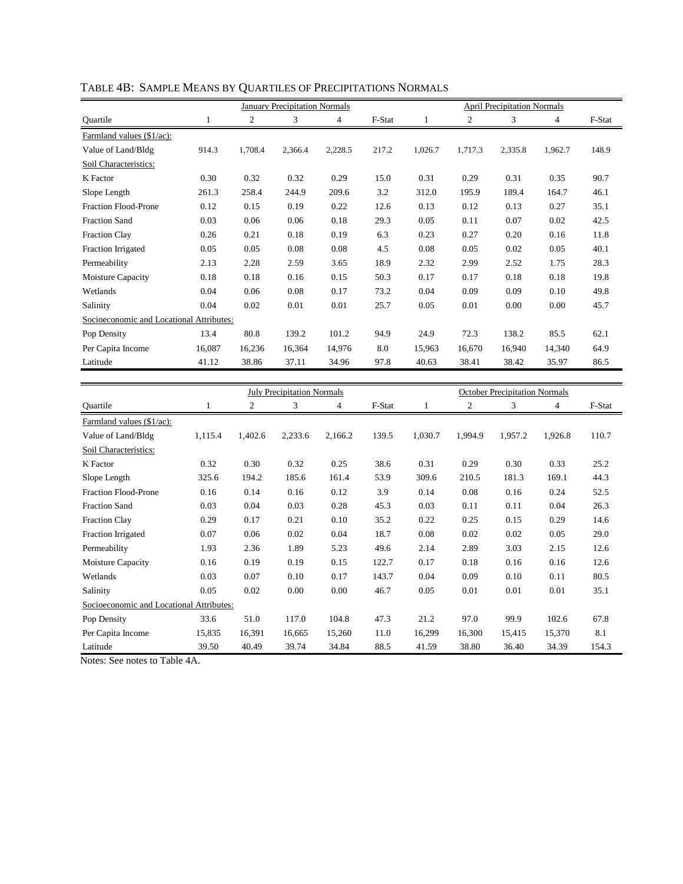|                                          |        |              | <b>January Precipitation Normals</b> |         |        |         |                | <b>April Precipitation Normals</b> |         |        |
|------------------------------------------|--------|--------------|--------------------------------------|---------|--------|---------|----------------|------------------------------------|---------|--------|
| Quartile                                 |        | $\mathbf{2}$ | 3                                    | 4       | F-Stat |         | $\mathfrak{2}$ | 3                                  | 4       | F-Stat |
| Farmland values $($1/ac)$ :              |        |              |                                      |         |        |         |                |                                    |         |        |
| Value of Land/Bldg                       | 914.3  | 1,708.4      | 2,366.4                              | 2,228.5 | 217.2  | 1,026.7 | 1,717.3        | 2,335.8                            | 1,962.7 | 148.9  |
| Soil Characteristics:                    |        |              |                                      |         |        |         |                |                                    |         |        |
| K Factor                                 | 0.30   | 0.32         | 0.32                                 | 0.29    | 15.0   | 0.31    | 0.29           | 0.31                               | 0.35    | 90.7   |
| Slope Length                             | 261.3  | 258.4        | 244.9                                | 209.6   | 3.2    | 312.0   | 195.9          | 189.4                              | 164.7   | 46.1   |
| <b>Fraction Flood-Prone</b>              | 0.12   | 0.15         | 0.19                                 | 0.22    | 12.6   | 0.13    | 0.12           | 0.13                               | 0.27    | 35.1   |
| <b>Fraction Sand</b>                     | 0.03   | 0.06         | 0.06                                 | 0.18    | 29.3   | 0.05    | 0.11           | 0.07                               | 0.02    | 42.5   |
| <b>Fraction Clay</b>                     | 0.26   | 0.21         | 0.18                                 | 0.19    | 6.3    | 0.23    | 0.27           | 0.20                               | 0.16    | 11.8   |
| Fraction Irrigated                       | 0.05   | 0.05         | 0.08                                 | 0.08    | 4.5    | 0.08    | 0.05           | 0.02                               | 0.05    | 40.1   |
| Permeability                             | 2.13   | 2.28         | 2.59                                 | 3.65    | 18.9   | 2.32    | 2.99           | 2.52                               | 1.75    | 28.3   |
| Moisture Capacity                        | 0.18   | 0.18         | 0.16                                 | 0.15    | 50.3   | 0.17    | 0.17           | 0.18                               | 0.18    | 19.8   |
| Wetlands                                 | 0.04   | 0.06         | 0.08                                 | 0.17    | 73.2   | 0.04    | 0.09           | 0.09                               | 0.10    | 49.8   |
| Salinity                                 | 0.04   | 0.02         | 0.01                                 | 0.01    | 25.7   | 0.05    | 0.01           | 0.00                               | 0.00    | 45.7   |
| Socioeconomic and Locational Attributes: |        |              |                                      |         |        |         |                |                                    |         |        |
| Pop Density                              | 13.4   | 80.8         | 139.2                                | 101.2   | 94.9   | 24.9    | 72.3           | 138.2                              | 85.5    | 62.1   |
| Per Capita Income                        | 16,087 | 16,236       | 16,364                               | 14,976  | 8.0    | 15,963  | 16,670         | 16,940                             | 14,340  | 64.9   |
| Latitude                                 | 41.12  | 38.86        | 37.11                                | 34.96   | 97.8   | 40.63   | 38.41          | 38.42                              | 35.97   | 86.5   |

TABLE 4B: SAMPLE MEANS BY QUARTILES OF PRECIPITATIONS NORMALS

|                                          | <b>July Precipitation Normals</b> |         |         |         |        | <b>October Precipitation Normals</b> |         |         |         |        |
|------------------------------------------|-----------------------------------|---------|---------|---------|--------|--------------------------------------|---------|---------|---------|--------|
| Quartile                                 |                                   | 2       | 3       | 4       | F-Stat |                                      | 2       | 3       | 4       | F-Stat |
| Farmland values (\$1/ac):                |                                   |         |         |         |        |                                      |         |         |         |        |
| Value of Land/Bldg                       | 1,115.4                           | 1,402.6 | 2,233.6 | 2,166.2 | 139.5  | 1,030.7                              | 1,994.9 | 1,957.2 | 1,926.8 | 110.7  |
| Soil Characteristics:                    |                                   |         |         |         |        |                                      |         |         |         |        |
| K Factor                                 | 0.32                              | 0.30    | 0.32    | 0.25    | 38.6   | 0.31                                 | 0.29    | 0.30    | 0.33    | 25.2   |
| Slope Length                             | 325.6                             | 194.2   | 185.6   | 161.4   | 53.9   | 309.6                                | 210.5   | 181.3   | 169.1   | 44.3   |
| <b>Fraction Flood-Prone</b>              | 0.16                              | 0.14    | 0.16    | 0.12    | 3.9    | 0.14                                 | 0.08    | 0.16    | 0.24    | 52.5   |
| <b>Fraction Sand</b>                     | 0.03                              | 0.04    | 0.03    | 0.28    | 45.3   | 0.03                                 | 0.11    | 0.11    | 0.04    | 26.3   |
| <b>Fraction Clay</b>                     | 0.29                              | 0.17    | 0.21    | 0.10    | 35.2   | 0.22                                 | 0.25    | 0.15    | 0.29    | 14.6   |
| Fraction Irrigated                       | 0.07                              | 0.06    | 0.02    | 0.04    | 18.7   | 0.08                                 | 0.02    | 0.02    | 0.05    | 29.0   |
| Permeability                             | 1.93                              | 2.36    | 1.89    | 5.23    | 49.6   | 2.14                                 | 2.89    | 3.03    | 2.15    | 12.6   |
| Moisture Capacity                        | 0.16                              | 0.19    | 0.19    | 0.15    | 122.7  | 0.17                                 | 0.18    | 0.16    | 0.16    | 12.6   |
| Wetlands                                 | 0.03                              | 0.07    | 0.10    | 0.17    | 143.7  | 0.04                                 | 0.09    | 0.10    | 0.11    | 80.5   |
| Salinity                                 | 0.05                              | 0.02    | 0.00    | 0.00    | 46.7   | 0.05                                 | 0.01    | 0.01    | 0.01    | 35.1   |
| Socioeconomic and Locational Attributes: |                                   |         |         |         |        |                                      |         |         |         |        |
| Pop Density                              | 33.6                              | 51.0    | 117.0   | 104.8   | 47.3   | 21.2                                 | 97.0    | 99.9    | 102.6   | 67.8   |
| Per Capita Income                        | 15,835                            | 16,391  | 16,665  | 15,260  | 11.0   | 16,299                               | 16,300  | 15,415  | 15,370  | 8.1    |
| Latitude                                 | 39.50                             | 40.49   | 39.74   | 34.84   | 88.5   | 41.59                                | 38.80   | 36.40   | 34.39   | 154.3  |

Notes: See notes to Table 4A.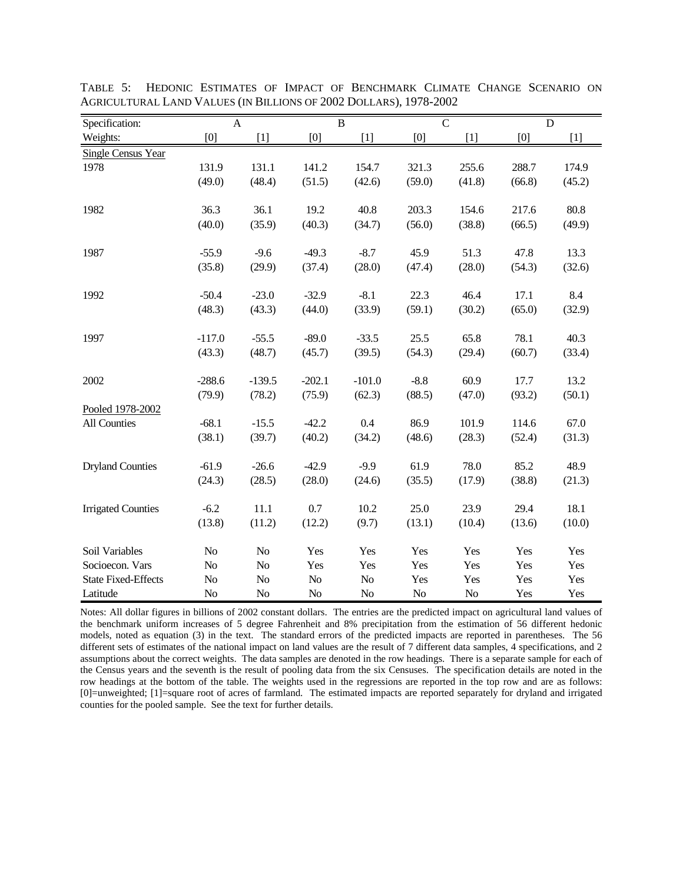| Specification:             |                | $\overline{A}$ |          | $\overline{B}$ | $\overline{C}$ |        | $\overline{D}$ |        |
|----------------------------|----------------|----------------|----------|----------------|----------------|--------|----------------|--------|
| Weights:                   | [0]            | $[1]$          | [0]      | $[1]$          | [0]            | $[1]$  | [0]            | $[1]$  |
| <b>Single Census Year</b>  |                |                |          |                |                |        |                |        |
| 1978                       | 131.9          | 131.1          | 141.2    | 154.7          | 321.3          | 255.6  | 288.7          | 174.9  |
|                            | (49.0)         | (48.4)         | (51.5)   | (42.6)         | (59.0)         | (41.8) | (66.8)         | (45.2) |
| 1982                       | 36.3           | 36.1           | 19.2     | 40.8           | 203.3          | 154.6  | 217.6          | 80.8   |
|                            | (40.0)         | (35.9)         | (40.3)   | (34.7)         | (56.0)         | (38.8) | (66.5)         | (49.9) |
| 1987                       | $-55.9$        | $-9.6$         | $-49.3$  | $-8.7$         | 45.9           | 51.3   | 47.8           | 13.3   |
|                            | (35.8)         | (29.9)         | (37.4)   | (28.0)         | (47.4)         | (28.0) | (54.3)         | (32.6) |
| 1992                       | $-50.4$        | $-23.0$        | $-32.9$  | $-8.1$         | 22.3           | 46.4   | 17.1           | 8.4    |
|                            | (48.3)         | (43.3)         | (44.0)   | (33.9)         | (59.1)         | (30.2) | (65.0)         | (32.9) |
| 1997                       | $-117.0$       | $-55.5$        | $-89.0$  | $-33.5$        | 25.5           | 65.8   | 78.1           | 40.3   |
|                            | (43.3)         | (48.7)         | (45.7)   | (39.5)         | (54.3)         | (29.4) | (60.7)         | (33.4) |
| 2002                       | $-288.6$       | $-139.5$       | $-202.1$ | $-101.0$       | $-8.8$         | 60.9   | 17.7           | 13.2   |
|                            | (79.9)         | (78.2)         | (75.9)   | (62.3)         | (88.5)         | (47.0) | (93.2)         | (50.1) |
| Pooled 1978-2002           |                |                |          |                |                |        |                |        |
| All Counties               | $-68.1$        | $-15.5$        | $-42.2$  | 0.4            | 86.9           | 101.9  | 114.6          | 67.0   |
|                            | (38.1)         | (39.7)         | (40.2)   | (34.2)         | (48.6)         | (28.3) | (52.4)         | (31.3) |
| <b>Dryland Counties</b>    | $-61.9$        | $-26.6$        | $-42.9$  | $-9.9$         | 61.9           | 78.0   | 85.2           | 48.9   |
|                            | (24.3)         | (28.5)         | (28.0)   | (24.6)         | (35.5)         | (17.9) | (38.8)         | (21.3) |
| <b>Irrigated Counties</b>  | $-6.2$         | 11.1           | 0.7      | 10.2           | 25.0           | 23.9   | 29.4           | 18.1   |
|                            | (13.8)         | (11.2)         | (12.2)   | (9.7)          | (13.1)         | (10.4) | (13.6)         | (10.0) |
| Soil Variables             | N <sub>o</sub> | No             | Yes      | Yes            | Yes            | Yes    | Yes            | Yes    |
| Socioecon. Vars            | N <sub>o</sub> | No             | Yes      | Yes            | Yes            | Yes    | Yes            | Yes    |
| <b>State Fixed-Effects</b> | No             | No             | No       | No             | Yes            | Yes    | Yes            | Yes    |
| Latitude                   | No             | No             | No       | No             | No             | No     | Yes            | Yes    |

TABLE 5: HEDONIC ESTIMATES OF IMPACT OF BENCHMARK CLIMATE CHANGE SCENARIO ON AGRICULTURAL LAND VALUES (IN BILLIONS OF 2002 DOLLARS), 1978-2002

Notes: All dollar figures in billions of 2002 constant dollars. The entries are the predicted impact on agricultural land values of the benchmark uniform increases of 5 degree Fahrenheit and 8% precipitation from the estimation of 56 different hedonic models, noted as equation (3) in the text. The standard errors of the predicted impacts are reported in parentheses. The 56 different sets of estimates of the national impact on land values are the result of 7 different data samples, 4 specifications, and 2 assumptions about the correct weights. The data samples are denoted in the row headings. There is a separate sample for each of the Census years and the seventh is the result of pooling data from the six Censuses. The specification details are noted in the row headings at the bottom of the table. The weights used in the regressions are reported in the top row and are as follows: [0]=unweighted; [1]=square root of acres of farmland. The estimated impacts are reported separately for dryland and irrigated counties for the pooled sample. See the text for further details.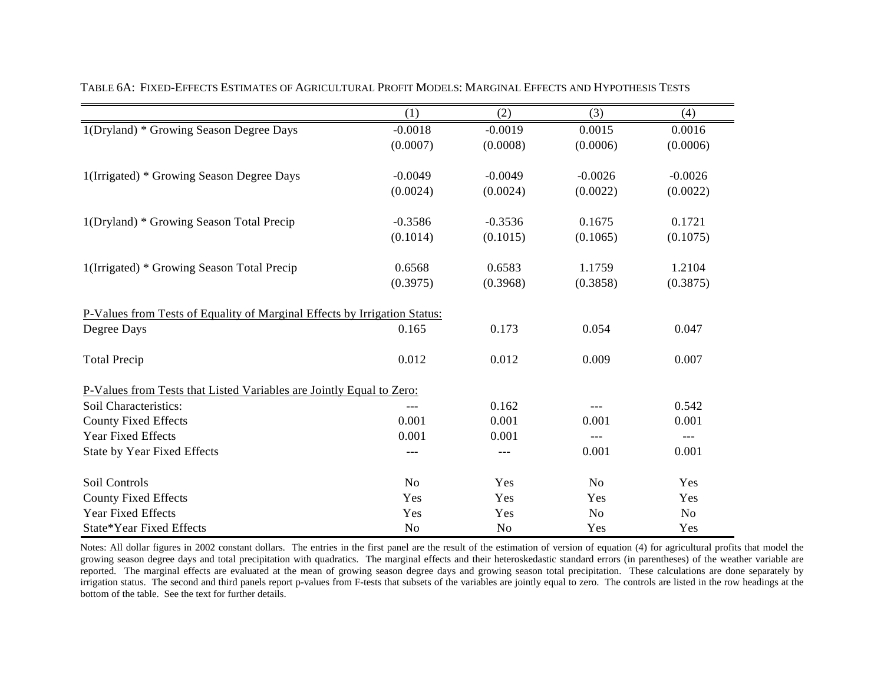|                                                                           | (1)            | (2)            | (3)            | (4)       |
|---------------------------------------------------------------------------|----------------|----------------|----------------|-----------|
| 1(Dryland) * Growing Season Degree Days                                   | $-0.0018$      | $-0.0019$      | 0.0015         | 0.0016    |
|                                                                           | (0.0007)       | (0.0008)       | (0.0006)       | (0.0006)  |
|                                                                           |                |                |                |           |
| 1(Irrigated) * Growing Season Degree Days                                 | $-0.0049$      | $-0.0049$      | $-0.0026$      | $-0.0026$ |
|                                                                           | (0.0024)       | (0.0024)       | (0.0022)       | (0.0022)  |
| 1(Dryland) * Growing Season Total Precip                                  | $-0.3586$      | $-0.3536$      | 0.1675         | 0.1721    |
|                                                                           | (0.1014)       | (0.1015)       | (0.1065)       | (0.1075)  |
| 1(Irrigated) * Growing Season Total Precip                                | 0.6568         | 0.6583         | 1.1759         | 1.2104    |
|                                                                           | (0.3975)       | (0.3968)       | (0.3858)       | (0.3875)  |
| P-Values from Tests of Equality of Marginal Effects by Irrigation Status: |                |                |                |           |
| Degree Days                                                               | 0.165          | 0.173          | 0.054          | 0.047     |
| <b>Total Precip</b>                                                       | 0.012          | 0.012          | 0.009          | 0.007     |
| P-Values from Tests that Listed Variables are Jointly Equal to Zero:      |                |                |                |           |
| Soil Characteristics:                                                     | ---            | 0.162          | $---$          | 0.542     |
| <b>County Fixed Effects</b>                                               | 0.001          | 0.001          | 0.001          | 0.001     |
| <b>Year Fixed Effects</b>                                                 | 0.001          | 0.001          |                | $---$     |
| <b>State by Year Fixed Effects</b>                                        |                | ---            | 0.001          | 0.001     |
| Soil Controls                                                             | N <sub>o</sub> | Yes            | N <sub>o</sub> | Yes       |
| <b>County Fixed Effects</b>                                               | Yes            | Yes            | Yes            | Yes       |
| <b>Year Fixed Effects</b>                                                 | Yes            | Yes            | N <sub>0</sub> | No        |
| <b>State*Year Fixed Effects</b>                                           | N <sub>o</sub> | N <sub>0</sub> | Yes            | Yes       |

TABLE 6A: FIXED-EFFECTS ESTIMATES OF AGRICULTURAL PROFIT MODELS: MARGINAL EFFECTS AND HYPOTHESIS TESTS

Notes: All dollar figures in 2002 constant dollars. The entries in the first panel are the result of the estimation of version of equation (4) for agricultural profits that model the growing season degree days and total precipitation with quadratics. The marginal effects and their heteroskedastic standard errors (in parentheses) of the weather variable are reported. The marginal effects are evaluated at the mean of growing season degree days and growing season total precipitation. These calculations are done separately by irrigation status. The second and third panels report p-values from F-tests that subsets of the variables are jointly equal to zero. The controls are listed in the row headings at the bottom of the table. See the text for further details.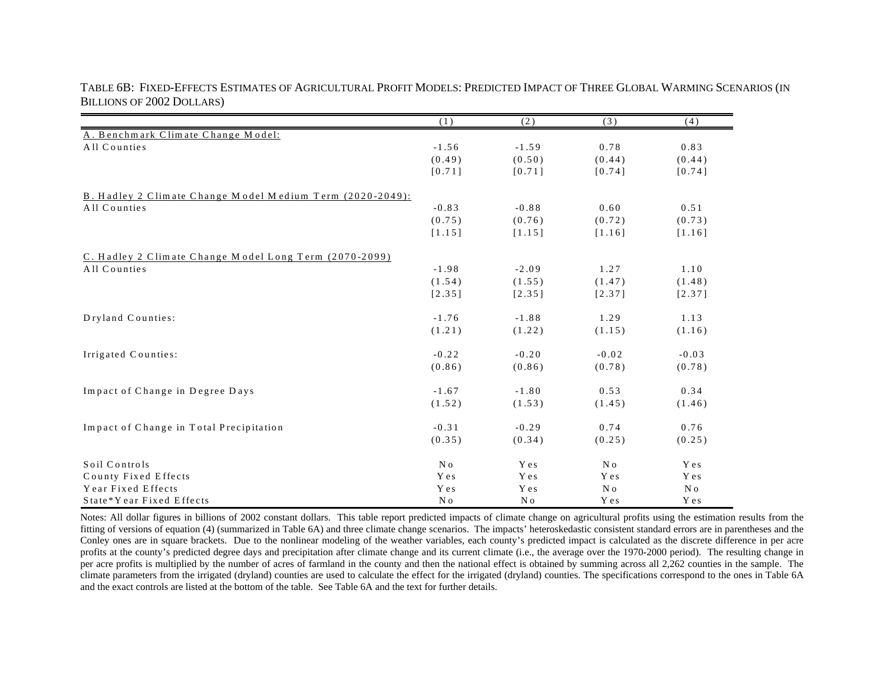|                                                           | $\overline{(1)}$ | $\overline{(2)}$ | $\overline{(3)}$ | (4)     |
|-----------------------------------------------------------|------------------|------------------|------------------|---------|
| A. Benchmark Climate Change Model:                        |                  |                  |                  |         |
| All Counties                                              | $-1.56$          | $-1.59$          | 0.78             | 0.83    |
|                                                           | (0.49)           | (0.50)           | (0.44)           | (0.44)  |
|                                                           | [0.71]           | [0.71]           | [0.74]           | [0.74]  |
| B. Hadley 2 Climate Change Model Medium Term (2020-2049): |                  |                  |                  |         |
| All Counties                                              | $-0.83$          | $-0.88$          | 0.60             | 0.51    |
|                                                           | (0.75)           | (0.76)           | (0.72)           | (0.73)  |
|                                                           | [1.15]           | [1.15]           | [1.16]           | [1.16]  |
| C. Hadley 2 Climate Change Model Long Term (2070-2099)    |                  |                  |                  |         |
| All Counties                                              | $-1.98$          | $-2.09$          | 1.27             | 1.10    |
|                                                           | (1.54)           | (1.55)           | (1.47)           | (1.48)  |
|                                                           | [2.35]           | [2.35]           | [2.37]           | [2.37]  |
| Dryland Counties:                                         | $-1.76$          | $-1.88$          | 1.29             | 1.13    |
|                                                           | (1.21)           | (1.22)           | (1.15)           | (1.16)  |
| Irrigated Counties:                                       | $-0.22$          | $-0.20$          | $-0.02$          | $-0.03$ |
|                                                           | (0.86)           | (0.86)           | (0.78)           | (0.78)  |
| Impact of Change in Degree Days                           | $-1.67$          | $-1.80$          | 0.53             | 0.34    |
|                                                           | (1.52)           | (1.53)           | (1.45)           | (1.46)  |
| Impact of Change in Total Precipitation                   | $-0.31$          | $-0.29$          | 0.74             | 0.76    |
|                                                           | (0.35)           | (0.34)           | (0.25)           | (0.25)  |
|                                                           |                  |                  |                  |         |
| Soil Controls                                             | N <sub>o</sub>   | Yes              | N <sub>o</sub>   | Yes     |
| County Fixed Effects                                      | Yes              | Yes              | Yes              | Yes     |
| Year Fixed Effects                                        | $\mathbf Y$ e s  | Yes              | N o              | N o     |
| State*Year Fixed Effects                                  | N <sub>o</sub>   | N <sub>0</sub>   | Yes              | Yes     |

TABLE 6B: FIXED-EFFECTS ESTIMATES OF AGRICULTURAL PROFIT MODELS: PREDICTED IMPACT OF THREE GLOBAL WARMING SCENARIOS (IN BILLIONS OF 2002 DOLLARS)

Notes: All dollar figures in billions of 2002 constant dollars. This table report predicted impacts of climate change on agricultural profits using the estimation results from the fitting of versions of equation (4) (summarized in Table 6A) and three climate change scenarios. The impacts' heteroskedastic consistent standard errors are in parentheses and the Conley ones are in square brackets. Due to the nonlinear modeling of the weather variables, each county's predicted impact is calculated as the discrete difference in per acre profits at the county's predicted degree days and precipitation after climate change and its current climate (i.e., the average over the 1970-2000 period). The resulting change in per acre profits is multiplied by the number of acres of farmland in the county and then the national effect is obtained by summing across all 2,262 counties in the sample. The climate parameters from the irrigated (dryland) counties are used to calculate the effect for the irrigated (dryland) counties. The specifications correspond to the ones in Table 6A and the exact controls are listed at the bottom of the table. See Table 6A and the text for further details.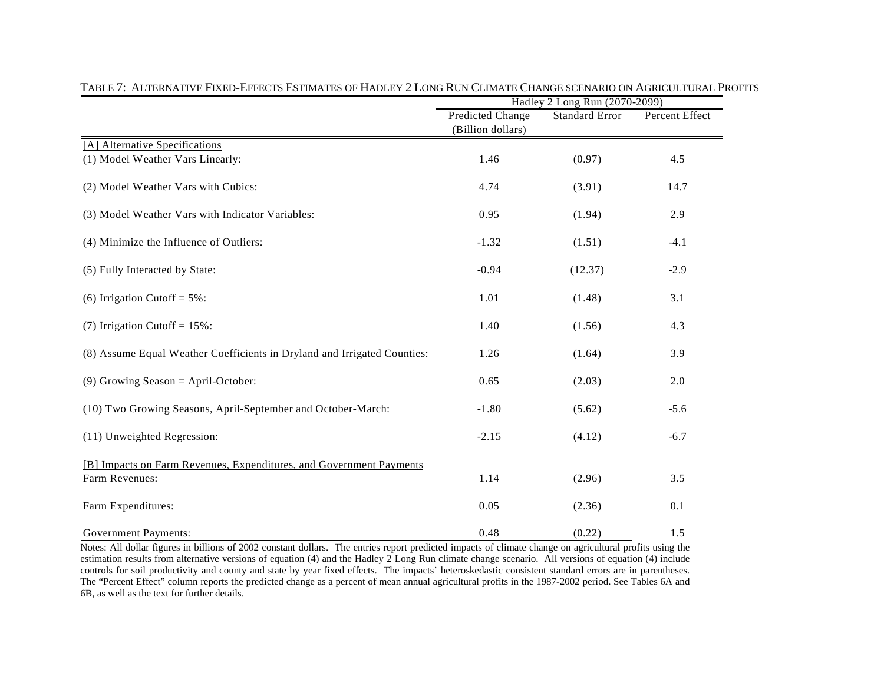|                                                                                       |                                       | Hadley $\angle$ Long Kun ( $\angle$ 070- $\angle$ 099) |                |
|---------------------------------------------------------------------------------------|---------------------------------------|--------------------------------------------------------|----------------|
|                                                                                       | Predicted Change<br>(Billion dollars) | <b>Standard Error</b>                                  | Percent Effect |
| [A] Alternative Specifications                                                        |                                       |                                                        |                |
| (1) Model Weather Vars Linearly:                                                      | 1.46                                  | (0.97)                                                 | 4.5            |
| (2) Model Weather Vars with Cubics:                                                   | 4.74                                  | (3.91)                                                 | 14.7           |
| (3) Model Weather Vars with Indicator Variables:                                      | 0.95                                  | (1.94)                                                 | 2.9            |
| (4) Minimize the Influence of Outliers:                                               | $-1.32$                               | (1.51)                                                 | $-4.1$         |
| (5) Fully Interacted by State:                                                        | $-0.94$                               | (12.37)                                                | $-2.9$         |
| (6) Irrigation Cutoff = $5\%$ :                                                       | 1.01                                  | (1.48)                                                 | 3.1            |
| (7) Irrigation Cutoff = $15\%$ :                                                      | 1.40                                  | (1.56)                                                 | 4.3            |
| (8) Assume Equal Weather Coefficients in Dryland and Irrigated Counties:              | 1.26                                  | (1.64)                                                 | 3.9            |
| $(9)$ Growing Season = April-October:                                                 | 0.65                                  | (2.03)                                                 | 2.0            |
| (10) Two Growing Seasons, April-September and October-March:                          | $-1.80$                               | (5.62)                                                 | $-5.6$         |
| (11) Unweighted Regression:                                                           | $-2.15$                               | (4.12)                                                 | $-6.7$         |
|                                                                                       |                                       |                                                        |                |
| [B] Impacts on Farm Revenues, Expenditures, and Government Payments<br>Farm Revenues: | 1.14                                  | (2.96)                                                 | 3.5            |
| Farm Expenditures:                                                                    | 0.05                                  | (2.36)                                                 | 0.1            |
| <b>Government Payments:</b>                                                           | 0.48                                  | (0.22)                                                 | 1.5            |

TABLE 7: ALTERNATIVE FIXED-EFFECTS ESTIMATES OF HADLEY 2 LONG RUN CLIMATE CHANGE SCENARIO ON AGRICULTURAL PROFITS  $H_{\text{e}}$ dley 2 Long Run (2070-2009)

Notes: All dollar figures in billions of 2002 constant dollars. The entries report predicted impacts of climate change on agricultural profits using the estimation results from alternative versions of equation (4) and the Hadley 2 Long Run climate change scenario. All versions of equation (4) include controls for soil productivity and county and state by year fixed effects. The impacts' heteroskedastic consistent standard errors are in parentheses. The "Percent Effect" column reports the predicted change as a percent of mean annual agricultural profits in the 1987-2002 period. See Tables 6A and 6B, as well as the text for further details.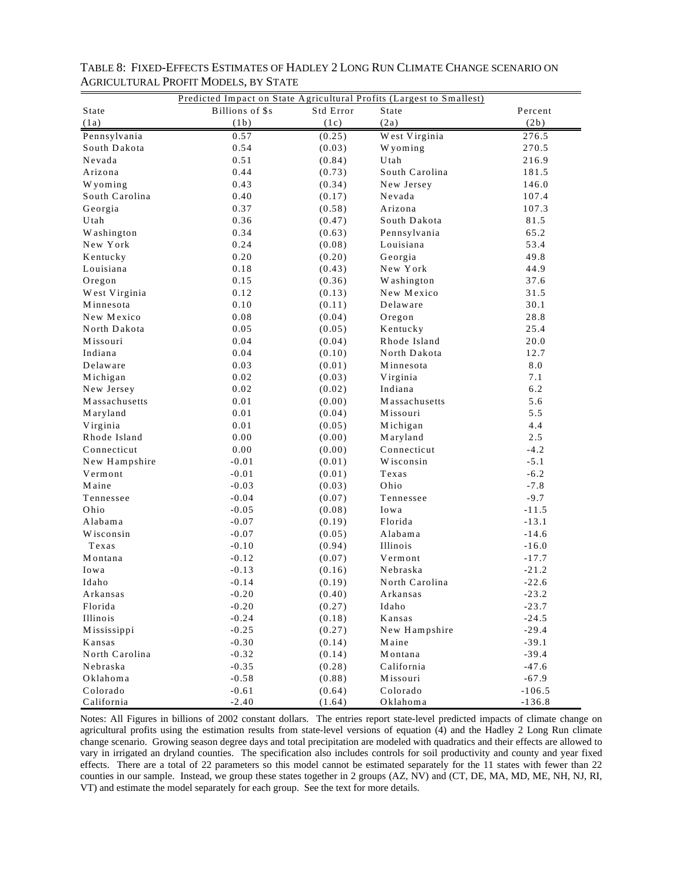|                |                 |           | Predicted Impact on State Agricultural Profits (Largest to Smallest) |          |
|----------------|-----------------|-----------|----------------------------------------------------------------------|----------|
| State          | Billions of \$s | Std Error | State                                                                | Percent  |
| (1a)           | (1b)            | (1c)      | (2a)                                                                 | (2b)     |
| Pennsylvania   | 0.57            | (0.25)    | West Virginia                                                        | 276.5    |
| South Dakota   | 0.54            | (0.03)    | Wyoming                                                              | 270.5    |
| Nevada         | 0.51            | (0.84)    | Utah                                                                 | 216.9    |
| Arizona        | 0.44            | (0.73)    | South Carolina                                                       | 181.5    |
| Wyoming        | 0.43            | (0.34)    | New Jersey                                                           | 146.0    |
| South Carolina | 0.40            | (0.17)    | Nevada                                                               | 107.4    |
| Georgia        | 0.37            | (0.58)    | Arizona                                                              | 107.3    |
| Utah           | 0.36            | (0.47)    | South Dakota                                                         | 81.5     |
| Washington     | 0.34            | (0.63)    | Pennsylvania                                                         | 65.2     |
| New York       | 0.24            | (0.08)    | Louisiana                                                            | 53.4     |
| Kentucky       | 0.20            | (0.20)    | Georgia                                                              | 49.8     |
| Louisiana      | 0.18            | (0.43)    | New York                                                             | 44.9     |
| Oregon         | 0.15            | (0.36)    | W ashington                                                          | 37.6     |
| West Virginia  | 0.12            | (0.13)    | New Mexico                                                           | 31.5     |
| Minnesota      | 0.10            | (0.11)    | Delaware                                                             | 30.1     |
| New Mexico     | 0.08            | (0.04)    | Oregon                                                               | 28.8     |
| North Dakota   | 0.05            | (0.05)    | Kentucky                                                             | 25.4     |
| Missouri       | 0.04            | (0.04)    | Rhode Island                                                         | 20.0     |
| Indiana        | 0.04            | (0.10)    | North Dakota                                                         | 12.7     |
| Delaware       | 0.03            | (0.01)    | Minnesota                                                            | 8.0      |
| Michigan       | 0.02            | (0.03)    | Virginia                                                             | 7.1      |
| New Jersey     | 0.02            | (0.02)    | Indiana                                                              | 6.2      |
| Massachusetts  | 0.01            | (0.00)    | Massachusetts                                                        | 5.6      |
| Maryland       | 0.01            | (0.04)    | Missouri                                                             | 5.5      |
| Virginia       | 0.01            | (0.05)    | Michigan                                                             | 4.4      |
| Rhode Island   | 0.00            | (0.00)    | Maryland                                                             | 2.5      |
| Connecticut    | 0.00            | (0.00)    | Connecticut                                                          | $-4.2$   |
| New Hampshire  | $-0.01$         | (0.01)    | Wisconsin                                                            | $-5.1$   |
| Vermont        | $-0.01$         | (0.01)    | Texas                                                                | $-6.2$   |
| M aine         | $-0.03$         | (0.03)    | Ohio                                                                 | $-7.8$   |
| Tennessee      | $-0.04$         | (0.07)    | Tennessee                                                            | $-9.7$   |
| Ohio           | $-0.05$         | (0.08)    | Iowa                                                                 | $-11.5$  |
| Alabama        | $-0.07$         | (0.19)    | Florida                                                              | $-13.1$  |
| Wisconsin      | $-0.07$         | (0.05)    | Alabama                                                              | $-14.6$  |
| Texas          | $-0.10$         | (0.94)    | Illinois                                                             | $-16.0$  |
| Montana        | $-0.12$         | (0.07)    | Vermont                                                              | $-17.7$  |
| Iowa           | $-0.13$         | (0.16)    | Nebraska                                                             | $-21.2$  |
| Idaho          | $-0.14$         | (0.19)    | North Carolina                                                       | $-22.6$  |
| Arkansas       | $-0.20$         | (0.40)    | Arkansas                                                             | $-23.2$  |
| Florida        | $-0.20$         | (0.27)    | Idaho                                                                | $-23.7$  |
| Illinois       | $-0.24$         | (0.18)    | Kansas                                                               | $-24.5$  |
| Mississippi    | $-0.25$         | (0.27)    | New Hampshire                                                        | $-29.4$  |
| Kansas         | $-0.30$         | (0.14)    | Maine                                                                | $-39.1$  |
| North Carolina | $-0.32$         | (0.14)    | Montana                                                              | $-39.4$  |
| Nebraska       | $-0.35$         | (0.28)    | California                                                           | $-47.6$  |
| Oklahoma       | $-0.58$         | (0.88)    | Missouri                                                             | $-67.9$  |
| Colorado       | $-0.61$         | (0.64)    | Colorado                                                             | $-106.5$ |
| California     | $-2.40$         | (1.64)    | Oklahoma                                                             | $-136.8$ |

TABLE 8: FIXED-EFFECTS ESTIMATES OF HADLEY 2 LONG RUN CLIMATE CHANGE SCENARIO ON AGRICULTURAL PROFIT MODELS, BY STATE

Notes: All Figures in billions of 2002 constant dollars. The entries report state-level predicted impacts of climate change on agricultural profits using the estimation results from state-level versions of equation (4) and the Hadley 2 Long Run climate change scenario. Growing season degree days and total precipitation are modeled with quadratics and their effects are allowed to vary in irrigated an dryland counties. The specification also includes controls for soil productivity and county and year fixed effects. There are a total of 22 parameters so this model cannot be estimated separately for the 11 states with fewer than 22 counties in our sample. Instead, we group these states together in 2 groups (AZ, NV) and (CT, DE, MA, MD, ME, NH, NJ, RI, VT) and estimate the model separately for each group. See the text for more details.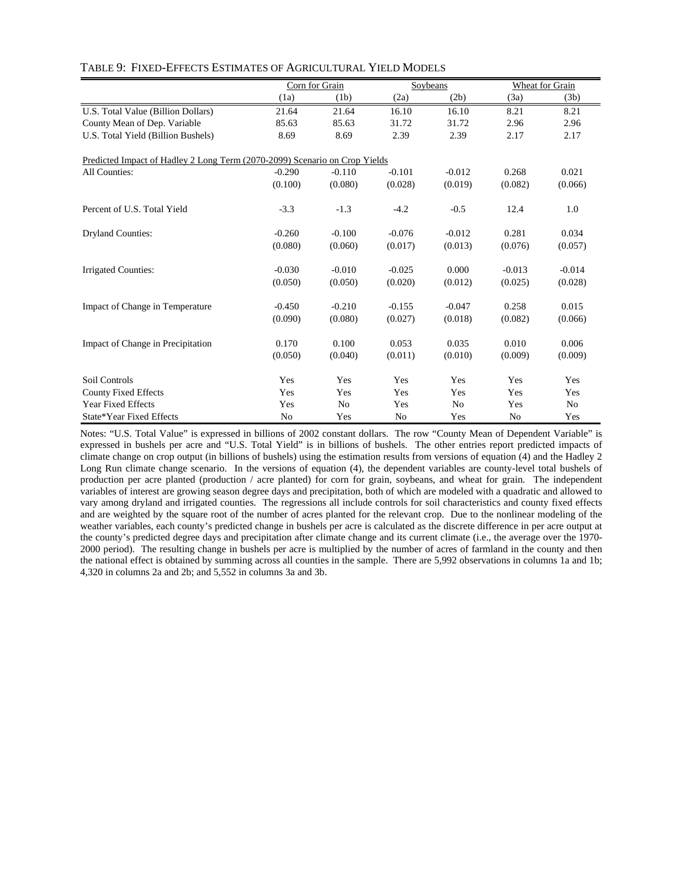|                                                                            |          | Corn for Grain |          | Soybeans |          | <b>Wheat for Grain</b> |  |
|----------------------------------------------------------------------------|----------|----------------|----------|----------|----------|------------------------|--|
|                                                                            | (1a)     | (1b)           | (2a)     | (2b)     | (3a)     | (3b)                   |  |
| U.S. Total Value (Billion Dollars)                                         | 21.64    | 21.64          | 16.10    | 16.10    | 8.21     | 8.21                   |  |
| County Mean of Dep. Variable                                               | 85.63    | 85.63          | 31.72    | 31.72    | 2.96     | 2.96                   |  |
| U.S. Total Yield (Billion Bushels)                                         | 8.69     | 8.69           | 2.39     | 2.39     | 2.17     | 2.17                   |  |
| Predicted Impact of Hadley 2 Long Term (2070-2099) Scenario on Crop Yields |          |                |          |          |          |                        |  |
| All Counties:                                                              | $-0.290$ | $-0.110$       | $-0.101$ | $-0.012$ | 0.268    | 0.021                  |  |
|                                                                            | (0.100)  | (0.080)        | (0.028)  | (0.019)  | (0.082)  | (0.066)                |  |
| Percent of U.S. Total Yield                                                | $-3.3$   | $-1.3$         | $-4.2$   | $-0.5$   | 12.4     | 1.0                    |  |
| <b>Dryland Counties:</b>                                                   | $-0.260$ | $-0.100$       | $-0.076$ | $-0.012$ | 0.281    | 0.034                  |  |
|                                                                            | (0.080)  | (0.060)        | (0.017)  | (0.013)  | (0.076)  | (0.057)                |  |
| <b>Irrigated Counties:</b>                                                 | $-0.030$ | $-0.010$       | $-0.025$ | 0.000    | $-0.013$ | $-0.014$               |  |
|                                                                            | (0.050)  | (0.050)        | (0.020)  | (0.012)  | (0.025)  | (0.028)                |  |
| Impact of Change in Temperature                                            | $-0.450$ | $-0.210$       | $-0.155$ | $-0.047$ | 0.258    | 0.015                  |  |
|                                                                            | (0.090)  | (0.080)        | (0.027)  | (0.018)  | (0.082)  | (0.066)                |  |
| Impact of Change in Precipitation                                          | 0.170    | 0.100          | 0.053    | 0.035    | 0.010    | 0.006                  |  |
|                                                                            | (0.050)  | (0.040)        | (0.011)  | (0.010)  | (0.009)  | (0.009)                |  |
| Soil Controls                                                              | Yes      | Yes            | Yes      | Yes      | Yes      | Yes                    |  |
| <b>County Fixed Effects</b>                                                | Yes      | Yes            | Yes      | Yes      | Yes      | Yes                    |  |
| <b>Year Fixed Effects</b>                                                  | Yes      | N <sub>0</sub> | Yes      | No       | Yes      | No                     |  |
| State*Year Fixed Effects                                                   | No       | Yes            | No       | Yes      | No       | Yes                    |  |

### TABLE 9: FIXED-EFFECTS ESTIMATES OF AGRICULTURAL YIELD MODELS

Notes: "U.S. Total Value" is expressed in billions of 2002 constant dollars. The row "County Mean of Dependent Variable" is expressed in bushels per acre and "U.S. Total Yield" is in billions of bushels. The other entries report predicted impacts of climate change on crop output (in billions of bushels) using the estimation results from versions of equation (4) and the Hadley 2 Long Run climate change scenario. In the versions of equation (4), the dependent variables are county-level total bushels of production per acre planted (production / acre planted) for corn for grain, soybeans, and wheat for grain. The independent variables of interest are growing season degree days and precipitation, both of which are modeled with a quadratic and allowed to vary among dryland and irrigated counties. The regressions all include controls for soil characteristics and county fixed effects and are weighted by the square root of the number of acres planted for the relevant crop. Due to the nonlinear modeling of the weather variables, each county's predicted change in bushels per acre is calculated as the discrete difference in per acre output at the county's predicted degree days and precipitation after climate change and its current climate (i.e., the average over the 1970- 2000 period). The resulting change in bushels per acre is multiplied by the number of acres of farmland in the county and then the national effect is obtained by summing across all counties in the sample. There are 5,992 observations in columns 1a and 1b; 4,320 in columns 2a and 2b; and 5,552 in columns 3a and 3b.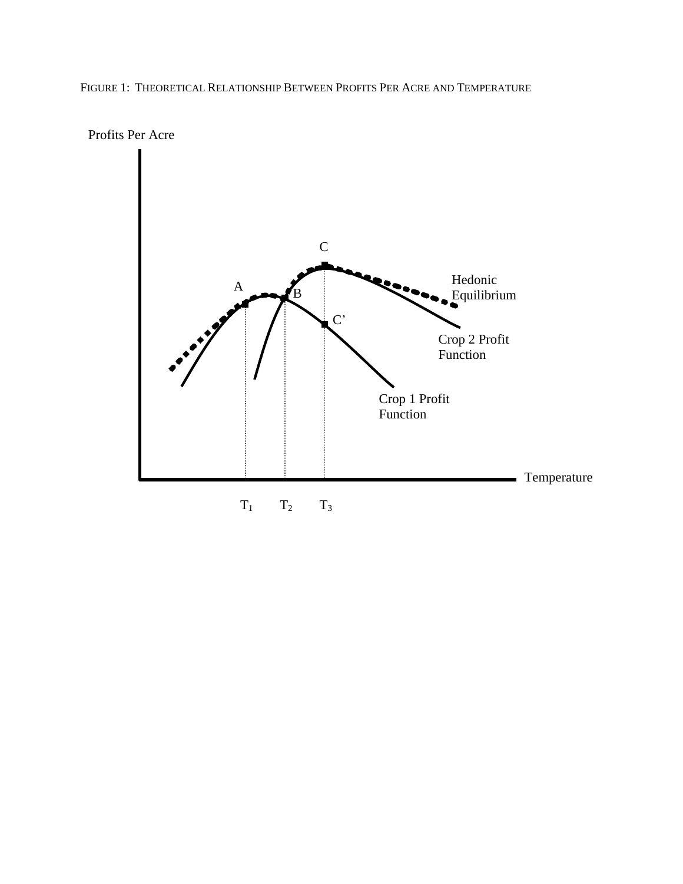FIGURE 1: THEORETICAL RELATIONSHIP BETWEEN PROFITS PER ACRE AND TEMPERATURE



Profits Per Acre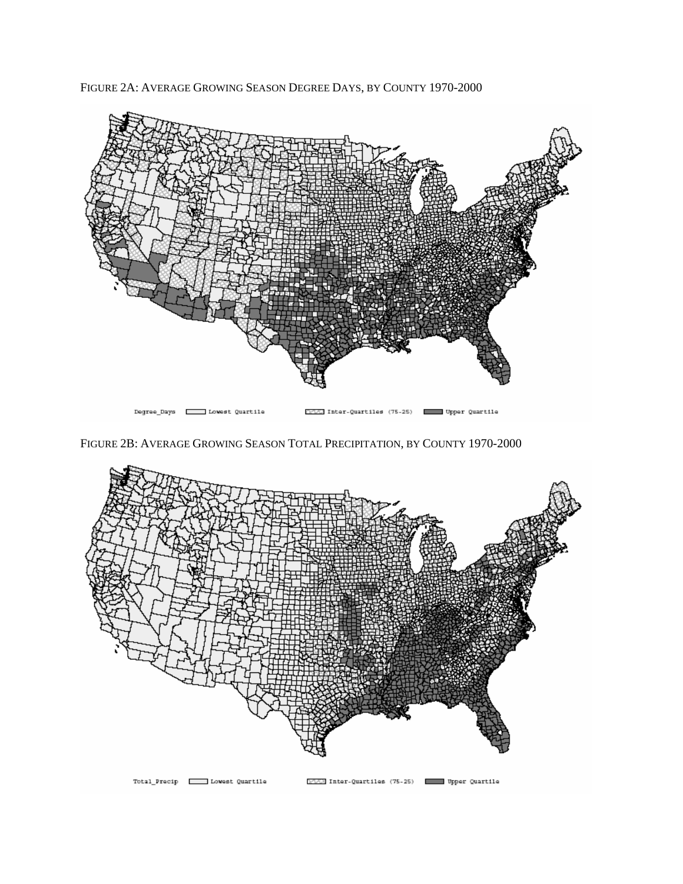

FIGURE 2A: AVERAGE GROWING SEASON DEGREE DAYS, BY COUNTY 1970-2000

Degree\_Days [100001 Quartile

0445 Inter-Quartiles (75-25) [ Upper Quartile

FIGURE 2B: AVERAGE GROWING SEASON TOTAL PRECIPITATION, BY COUNTY 1970-2000

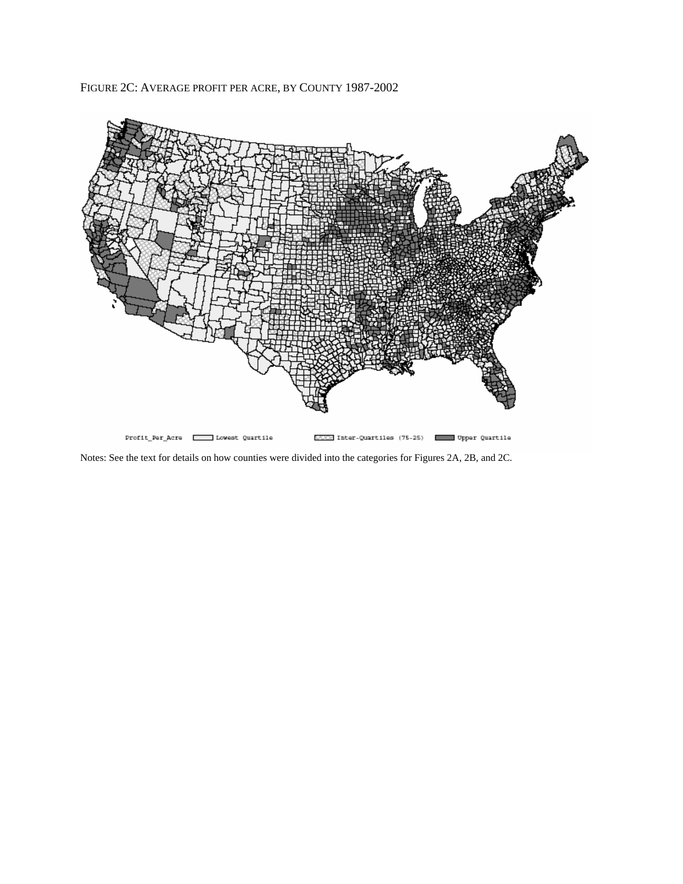FIGURE 2C: AVERAGE PROFIT PER ACRE, BY COUNTY 1987-2002



Notes: See the text for details on how counties were divided into the categories for Figures 2A, 2B, and 2C.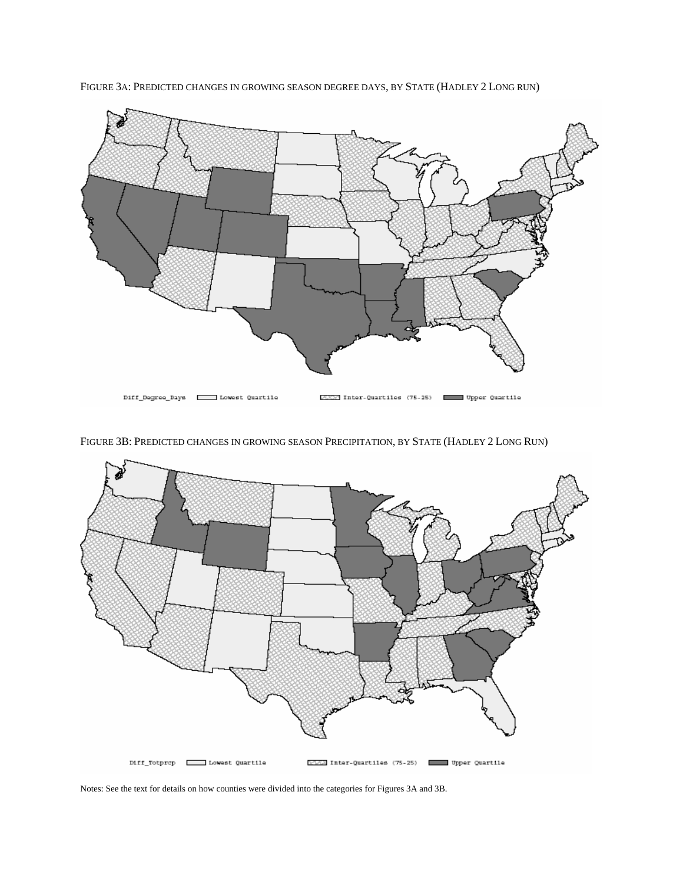

FIGURE 3A: PREDICTED CHANGES IN GROWING SEASON DEGREE DAYS, BY STATE (HADLEY 2 LONG RUN)

FIGURE 3B: PREDICTED CHANGES IN GROWING SEASON PRECIPITATION, BY STATE (HADLEY 2 LONG RUN)



Notes: See the text for details on how counties were divided into the categories for Figures 3A and 3B.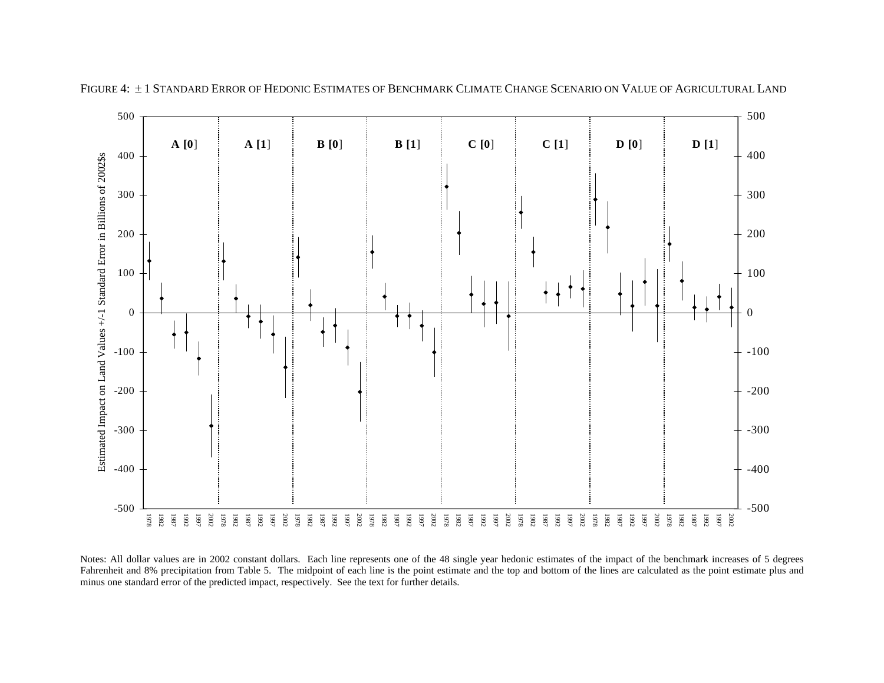

FIGURE 4: ± 1 STANDARD ERROR OF HEDONIC ESTIMATES OF BENCHMARK CLIMATE CHANGE SCENARIO ON VALUE OF AGRICULTURAL LAND

Notes: All dollar values are in 2002 constant dollars. Each line represents one of the 48 single year hedonic estimates of the impact of the benchmark increases of 5 degrees Fahrenheit and 8% precipitation from Table 5. The midpoint of each line is the point estimate and the top and bottom of the lines are calculated as the point estimate plus and minus one standard error of the predicted impact, respectively. See the text for further details.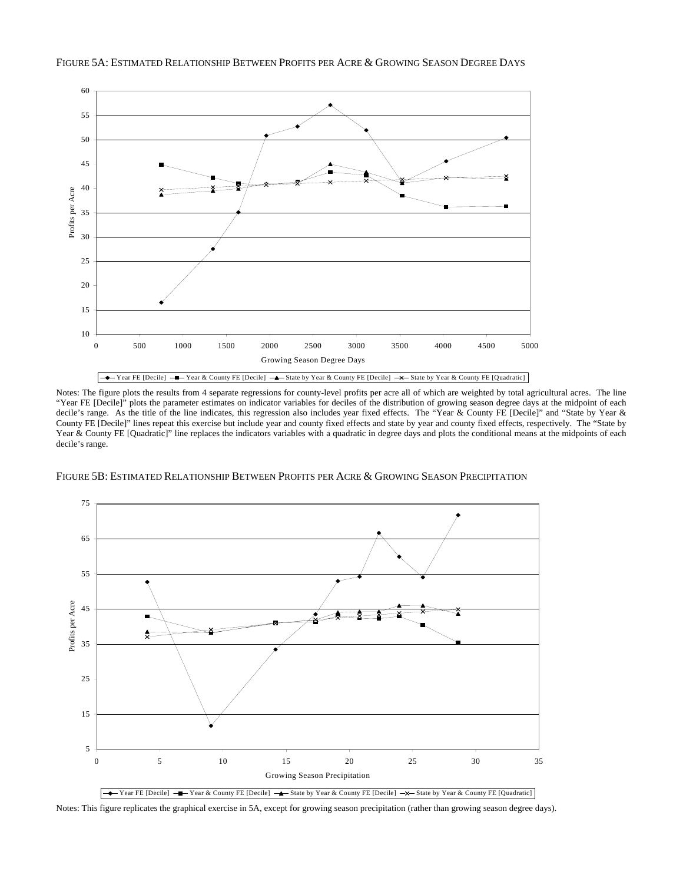

Notes: The figure plots the results from 4 separate regressions for county-level profits per acre all of which are weighted by total agricultural acres. The line "Year FE [Decile]" plots the parameter estimates on indicator variables for deciles of the distribution of growing season degree days at the midpoint of each decile's range. As the title of the line indicates, this regression also includes year fixed effects. The "Year & County FE [Decile]" and "State by Year & County FE [Decile]" lines repeat this exercise but include year and county fixed effects and state by year and county fixed effects, respectively. The "State by Year & County FE [Quadratic]" line replaces the indicators variables with a quadratic in degree days and plots the conditional means at the midpoints of each decile's ran ge.